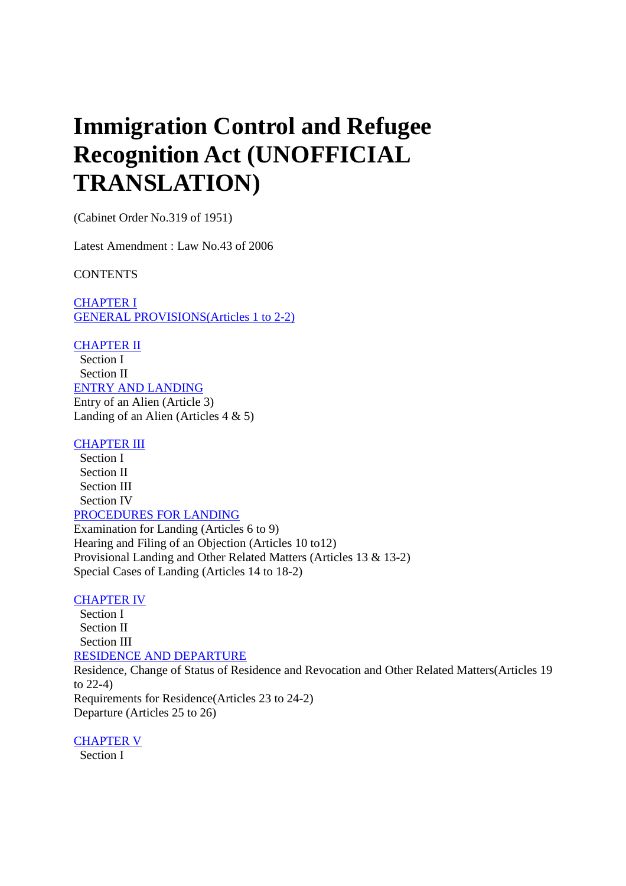# **Immigration Control and Refugee Recognition Act (UNOFFICIAL TRANSLATION)**

(Cabinet Order No.319 of 1951)

Latest Amendment : Law No.43 of 2006

**CONTENTS** 

CHAPTER I GENERAL PROVISIONS(Articles 1 to 2-2)

CHAPTER II

 Section I Section II ENTRY AND LANDING Entry of an Alien (Article 3) Landing of an Alien (Articles 4 & 5)

## **CHAPTER III**

 Section I Section II Section III Section IV PROCEDURES FOR LANDING Examination for Landing (Articles 6 to 9) Hearing and Filing of an Objection (Articles 10 to12) Provisional Landing and Other Related Matters (Articles 13 & 13-2) Special Cases of Landing (Articles 14 to 18-2)

## CHAPTER IV

 Section I Section II Section III RESIDENCE AND DEPARTURE Residence, Change of Status of Residence and Revocation and Other Related Matters(Articles 19 to 22-4) Requirements for Residence(Articles 23 to 24-2) Departure (Articles 25 to 26)

CHAPTER V

Section I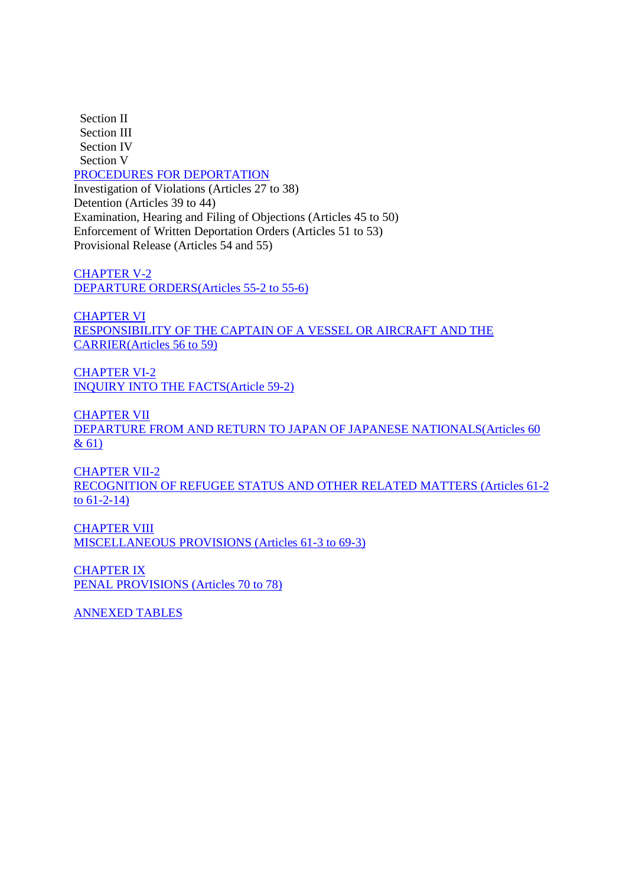Section II Section III Section IV Section V PROCEDURES FOR DEPORTATION Investigation of Violations (Articles 27 to 38) Detention (Articles 39 to 44) Examination, Hearing and Filing of Objections (Articles 45 to 50) Enforcement of Written Deportation Orders (Articles 51 to 53) Provisional Release (Articles 54 and 55)

CHAPTER V-2 DEPARTURE ORDERS(Articles 55-2 to 55-6)

CHAPTER VI RESPONSIBILITY OF THE CAPTAIN OF A VESSEL OR AIRCRAFT AND THE CARRIER(Articles 56 to 59)

CHAPTER VI-2 INQUIRY INTO THE FACTS(Article 59-2)

CHAPTER VII DEPARTURE FROM AND RETURN TO JAPAN OF JAPANESE NATIONALS(Articles 60 & 61)

CHAPTER VII-2 RECOGNITION OF REFUGEE STATUS AND OTHER RELATED MATTERS (Articles 61-2 to 61-2-14)

CHAPTER VIII MISCELLANEOUS PROVISIONS (Articles 61-3 to 69-3)

CHAPTER IX PENAL PROVISIONS (Articles 70 to 78)

ANNEXED TABLES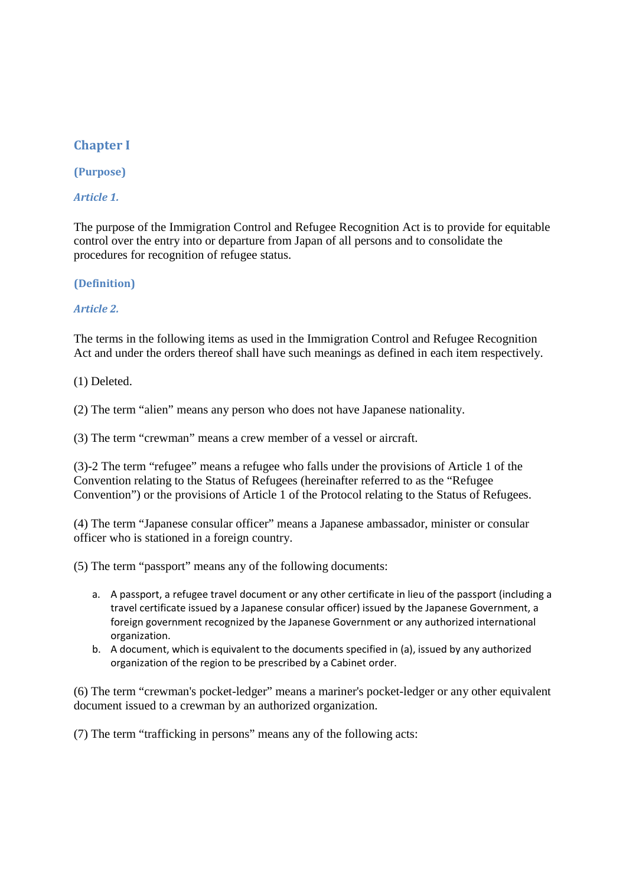# **Chapter I**

# **(Purpose)**

# *Article 1.*

The purpose of the Immigration Control and Refugee Recognition Act is to provide for equitable control over the entry into or departure from Japan of all persons and to consolidate the procedures for recognition of refugee status.

**(Definition)** 

## *Article 2.*

The terms in the following items as used in the Immigration Control and Refugee Recognition Act and under the orders thereof shall have such meanings as defined in each item respectively.

(1) Deleted.

(2) The term "alien" means any person who does not have Japanese nationality.

(3) The term "crewman" means a crew member of a vessel or aircraft.

(3)-2 The term "refugee" means a refugee who falls under the provisions of Article 1 of the Convention relating to the Status of Refugees (hereinafter referred to as the "Refugee Convention") or the provisions of Article 1 of the Protocol relating to the Status of Refugees.

(4) The term "Japanese consular officer" means a Japanese ambassador, minister or consular officer who is stationed in a foreign country.

(5) The term "passport" means any of the following documents:

- a. A passport, a refugee travel document or any other certificate in lieu of the passport (including a travel certificate issued by a Japanese consular officer) issued by the Japanese Government, a foreign government recognized by the Japanese Government or any authorized international organization.
- b. A document, which is equivalent to the documents specified in (a), issued by any authorized organization of the region to be prescribed by a Cabinet order.

(6) The term "crewman's pocket-ledger" means a mariner's pocket-ledger or any other equivalent document issued to a crewman by an authorized organization.

(7) The term "trafficking in persons" means any of the following acts: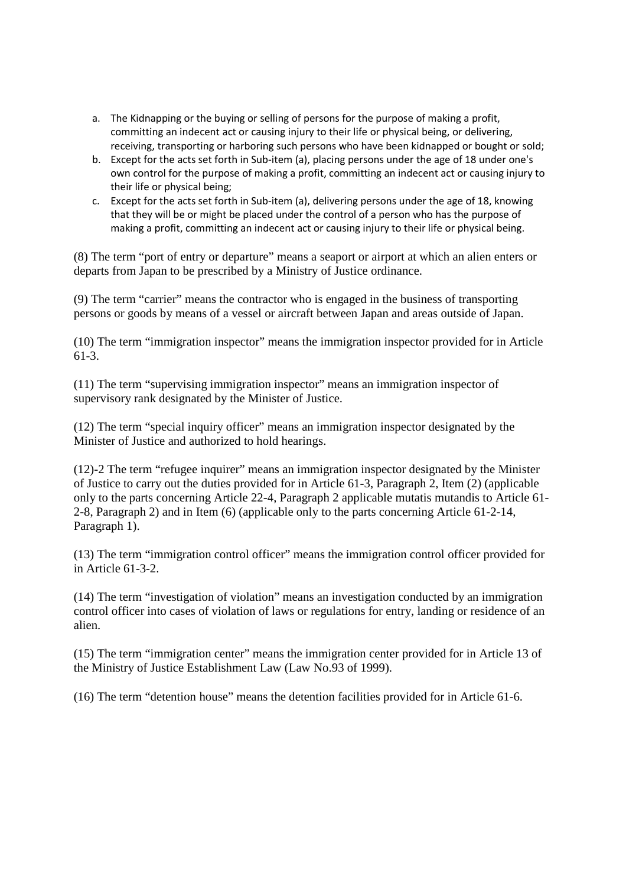- a. The Kidnapping or the buying or selling of persons for the purpose of making a profit, committing an indecent act or causing injury to their life or physical being, or delivering, receiving, transporting or harboring such persons who have been kidnapped or bought or sold;
- b. Except for the acts set forth in Sub-item (a), placing persons under the age of 18 under one's own control for the purpose of making a profit, committing an indecent act or causing injury to their life or physical being;
- c. Except for the acts set forth in Sub-item (a), delivering persons under the age of 18, knowing that they will be or might be placed under the control of a person who has the purpose of making a profit, committing an indecent act or causing injury to their life or physical being.

(8) The term "port of entry or departure" means a seaport or airport at which an alien enters or departs from Japan to be prescribed by a Ministry of Justice ordinance.

(9) The term "carrier" means the contractor who is engaged in the business of transporting persons or goods by means of a vessel or aircraft between Japan and areas outside of Japan.

(10) The term "immigration inspector" means the immigration inspector provided for in Article 61-3.

(11) The term "supervising immigration inspector" means an immigration inspector of supervisory rank designated by the Minister of Justice.

(12) The term "special inquiry officer" means an immigration inspector designated by the Minister of Justice and authorized to hold hearings.

(12)-2 The term "refugee inquirer" means an immigration inspector designated by the Minister of Justice to carry out the duties provided for in Article 61-3, Paragraph 2, Item (2) (applicable only to the parts concerning Article 22-4, Paragraph 2 applicable mutatis mutandis to Article 61- 2-8, Paragraph 2) and in Item (6) (applicable only to the parts concerning Article 61-2-14, Paragraph 1).

(13) The term "immigration control officer" means the immigration control officer provided for in Article 61-3-2.

(14) The term "investigation of violation" means an investigation conducted by an immigration control officer into cases of violation of laws or regulations for entry, landing or residence of an alien.

(15) The term "immigration center" means the immigration center provided for in Article 13 of the Ministry of Justice Establishment Law (Law No.93 of 1999).

(16) The term "detention house" means the detention facilities provided for in Article 61-6.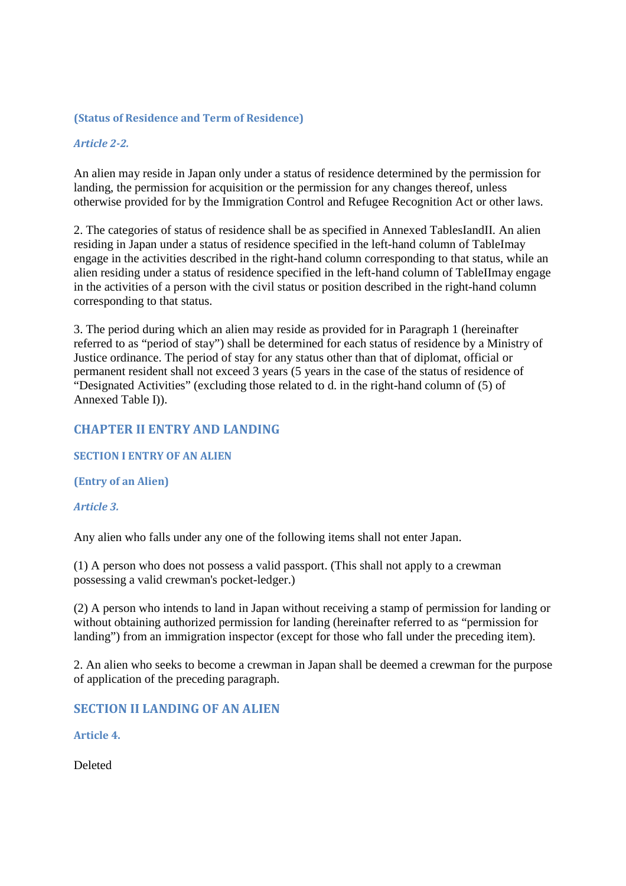#### **(Status of Residence and Term of Residence)**

## *Article 2-2.*

An alien may reside in Japan only under a status of residence determined by the permission for landing, the permission for acquisition or the permission for any changes thereof, unless otherwise provided for by the Immigration Control and Refugee Recognition Act or other laws.

2. The categories of status of residence shall be as specified in Annexed TablesIandII. An alien residing in Japan under a status of residence specified in the left-hand column of TableImay engage in the activities described in the right-hand column corresponding to that status, while an alien residing under a status of residence specified in the left-hand column of TableIImay engage in the activities of a person with the civil status or position described in the right-hand column corresponding to that status.

3. The period during which an alien may reside as provided for in Paragraph 1 (hereinafter referred to as "period of stay") shall be determined for each status of residence by a Ministry of Justice ordinance. The period of stay for any status other than that of diplomat, official or permanent resident shall not exceed 3 years (5 years in the case of the status of residence of "Designated Activities" (excluding those related to d. in the right-hand column of (5) of Annexed Table I)).

## **CHAPTER II ENTRY AND LANDING**

#### **SECTION I ENTRY OF AN ALIEN**

#### **(Entry of an Alien)**

#### *Article 3.*

Any alien who falls under any one of the following items shall not enter Japan.

(1) A person who does not possess a valid passport. (This shall not apply to a crewman possessing a valid crewman's pocket-ledger.)

(2) A person who intends to land in Japan without receiving a stamp of permission for landing or without obtaining authorized permission for landing (hereinafter referred to as "permission for landing") from an immigration inspector (except for those who fall under the preceding item).

2. An alien who seeks to become a crewman in Japan shall be deemed a crewman for the purpose of application of the preceding paragraph.

**SECTION II LANDING OF AN ALIEN** 

**Article 4.** 

Deleted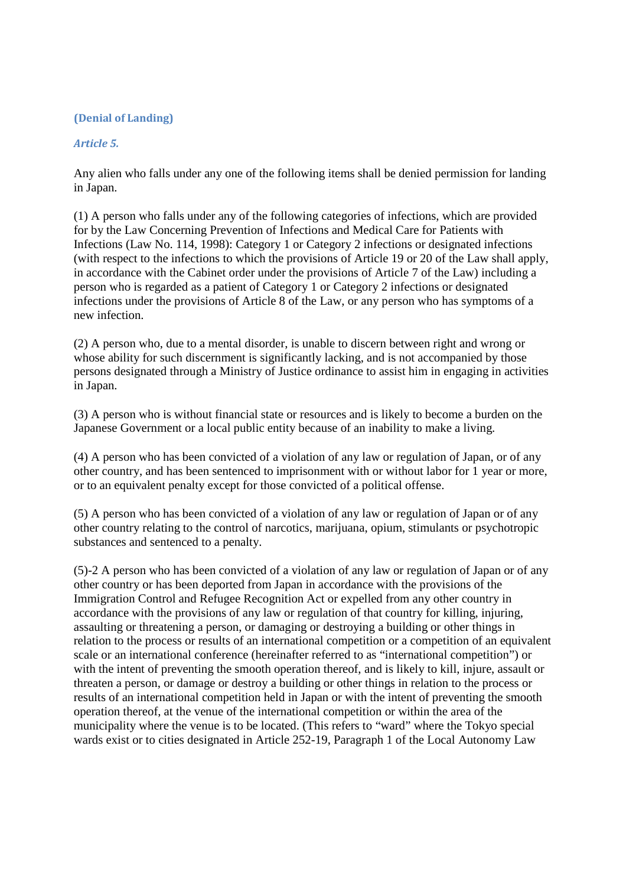## **(Denial of Landing)**

## *Article 5.*

Any alien who falls under any one of the following items shall be denied permission for landing in Japan.

(1) A person who falls under any of the following categories of infections, which are provided for by the Law Concerning Prevention of Infections and Medical Care for Patients with Infections (Law No. 114, 1998): Category 1 or Category 2 infections or designated infections (with respect to the infections to which the provisions of Article 19 or 20 of the Law shall apply, in accordance with the Cabinet order under the provisions of Article 7 of the Law) including a person who is regarded as a patient of Category 1 or Category 2 infections or designated infections under the provisions of Article 8 of the Law, or any person who has symptoms of a new infection.

(2) A person who, due to a mental disorder, is unable to discern between right and wrong or whose ability for such discernment is significantly lacking, and is not accompanied by those persons designated through a Ministry of Justice ordinance to assist him in engaging in activities in Japan.

(3) A person who is without financial state or resources and is likely to become a burden on the Japanese Government or a local public entity because of an inability to make a living.

(4) A person who has been convicted of a violation of any law or regulation of Japan, or of any other country, and has been sentenced to imprisonment with or without labor for 1 year or more, or to an equivalent penalty except for those convicted of a political offense.

(5) A person who has been convicted of a violation of any law or regulation of Japan or of any other country relating to the control of narcotics, marijuana, opium, stimulants or psychotropic substances and sentenced to a penalty.

(5)-2 A person who has been convicted of a violation of any law or regulation of Japan or of any other country or has been deported from Japan in accordance with the provisions of the Immigration Control and Refugee Recognition Act or expelled from any other country in accordance with the provisions of any law or regulation of that country for killing, injuring, assaulting or threatening a person, or damaging or destroying a building or other things in relation to the process or results of an international competition or a competition of an equivalent scale or an international conference (hereinafter referred to as "international competition") or with the intent of preventing the smooth operation thereof, and is likely to kill, injure, assault or threaten a person, or damage or destroy a building or other things in relation to the process or results of an international competition held in Japan or with the intent of preventing the smooth operation thereof, at the venue of the international competition or within the area of the municipality where the venue is to be located. (This refers to "ward" where the Tokyo special wards exist or to cities designated in Article 252-19, Paragraph 1 of the Local Autonomy Law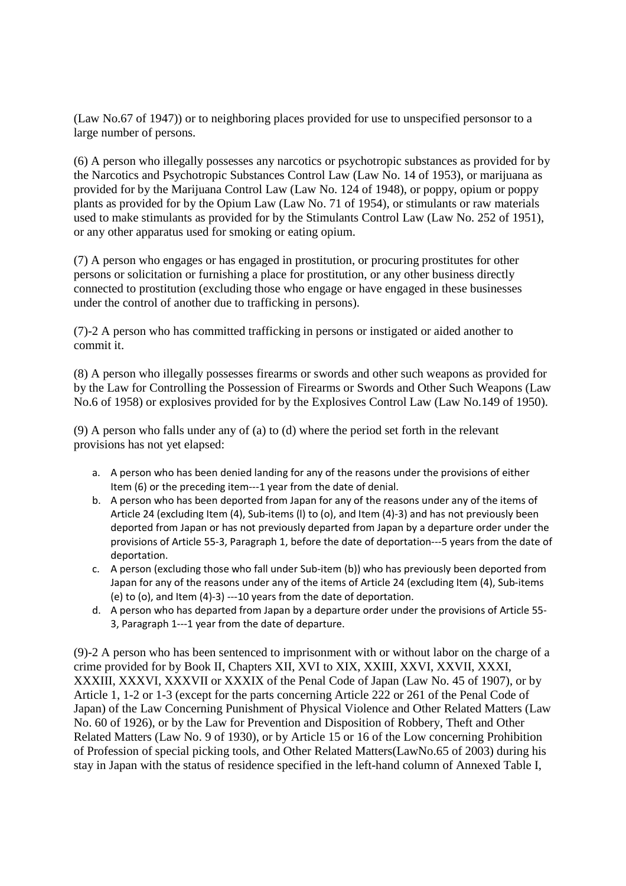(Law No.67 of 1947)) or to neighboring places provided for use to unspecified personsor to a large number of persons.

(6) A person who illegally possesses any narcotics or psychotropic substances as provided for by the Narcotics and Psychotropic Substances Control Law (Law No. 14 of 1953), or marijuana as provided for by the Marijuana Control Law (Law No. 124 of 1948), or poppy, opium or poppy plants as provided for by the Opium Law (Law No. 71 of 1954), or stimulants or raw materials used to make stimulants as provided for by the Stimulants Control Law (Law No. 252 of 1951), or any other apparatus used for smoking or eating opium.

(7) A person who engages or has engaged in prostitution, or procuring prostitutes for other persons or solicitation or furnishing a place for prostitution, or any other business directly connected to prostitution (excluding those who engage or have engaged in these businesses under the control of another due to trafficking in persons).

(7)-2 A person who has committed trafficking in persons or instigated or aided another to commit it.

(8) A person who illegally possesses firearms or swords and other such weapons as provided for by the Law for Controlling the Possession of Firearms or Swords and Other Such Weapons (Law No.6 of 1958) or explosives provided for by the Explosives Control Law (Law No.149 of 1950).

(9) A person who falls under any of (a) to (d) where the period set forth in the relevant provisions has not yet elapsed:

- a. A person who has been denied landing for any of the reasons under the provisions of either Item (6) or the preceding item---1 year from the date of denial.
- b. A person who has been deported from Japan for any of the reasons under any of the items of Article 24 (excluding Item (4), Sub-items (l) to (o), and Item (4)-3) and has not previously been deported from Japan or has not previously departed from Japan by a departure order under the provisions of Article 55-3, Paragraph 1, before the date of deportation---5 years from the date of deportation.
- c. A person (excluding those who fall under Sub-item (b)) who has previously been deported from Japan for any of the reasons under any of the items of Article 24 (excluding Item (4), Sub-items (e) to (o), and Item (4)-3) ---10 years from the date of deportation.
- d. A person who has departed from Japan by a departure order under the provisions of Article 55- 3, Paragraph 1---1 year from the date of departure.

(9)-2 A person who has been sentenced to imprisonment with or without labor on the charge of a crime provided for by Book II, Chapters XII, XVI to XIX, XXIII, XXVI, XXVII, XXXI, XXXIII, XXXVI, XXXVII or XXXIX of the Penal Code of Japan (Law No. 45 of 1907), or by Article 1, 1-2 or 1-3 (except for the parts concerning Article 222 or 261 of the Penal Code of Japan) of the Law Concerning Punishment of Physical Violence and Other Related Matters (Law No. 60 of 1926), or by the Law for Prevention and Disposition of Robbery, Theft and Other Related Matters (Law No. 9 of 1930), or by Article 15 or 16 of the Low concerning Prohibition of Profession of special picking tools, and Other Related Matters(LawNo.65 of 2003) during his stay in Japan with the status of residence specified in the left-hand column of Annexed Table I,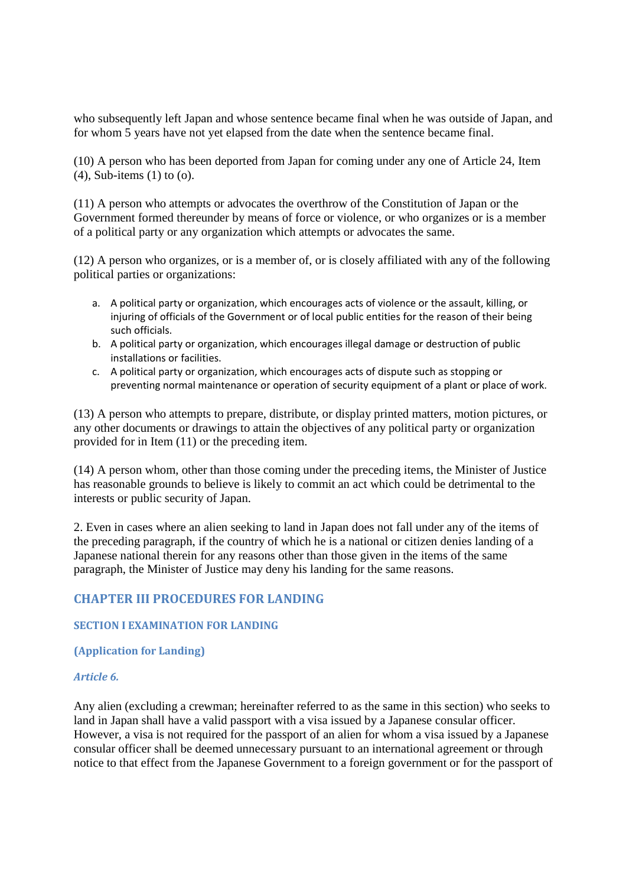who subsequently left Japan and whose sentence became final when he was outside of Japan, and for whom 5 years have not yet elapsed from the date when the sentence became final.

(10) A person who has been deported from Japan for coming under any one of Article 24, Item (4), Sub-items (1) to (o).

(11) A person who attempts or advocates the overthrow of the Constitution of Japan or the Government formed thereunder by means of force or violence, or who organizes or is a member of a political party or any organization which attempts or advocates the same.

(12) A person who organizes, or is a member of, or is closely affiliated with any of the following political parties or organizations:

- a. A political party or organization, which encourages acts of violence or the assault, killing, or injuring of officials of the Government or of local public entities for the reason of their being such officials.
- b. A political party or organization, which encourages illegal damage or destruction of public installations or facilities.
- c. A political party or organization, which encourages acts of dispute such as stopping or preventing normal maintenance or operation of security equipment of a plant or place of work.

(13) A person who attempts to prepare, distribute, or display printed matters, motion pictures, or any other documents or drawings to attain the objectives of any political party or organization provided for in Item (11) or the preceding item.

(14) A person whom, other than those coming under the preceding items, the Minister of Justice has reasonable grounds to believe is likely to commit an act which could be detrimental to the interests or public security of Japan.

2. Even in cases where an alien seeking to land in Japan does not fall under any of the items of the preceding paragraph, if the country of which he is a national or citizen denies landing of a Japanese national therein for any reasons other than those given in the items of the same paragraph, the Minister of Justice may deny his landing for the same reasons.

# **CHAPTER III PROCEDURES FOR LANDING**

#### **SECTION I EXAMINATION FOR LANDING**

#### **(Application for Landing)**

#### *Article 6.*

Any alien (excluding a crewman; hereinafter referred to as the same in this section) who seeks to land in Japan shall have a valid passport with a visa issued by a Japanese consular officer. However, a visa is not required for the passport of an alien for whom a visa issued by a Japanese consular officer shall be deemed unnecessary pursuant to an international agreement or through notice to that effect from the Japanese Government to a foreign government or for the passport of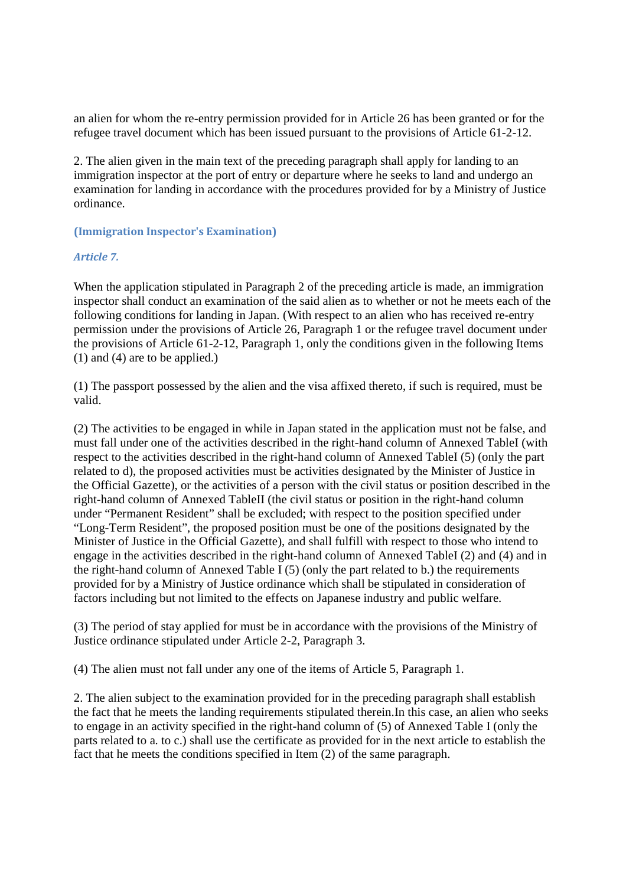an alien for whom the re-entry permission provided for in Article 26 has been granted or for the refugee travel document which has been issued pursuant to the provisions of Article 61-2-12.

2. The alien given in the main text of the preceding paragraph shall apply for landing to an immigration inspector at the port of entry or departure where he seeks to land and undergo an examination for landing in accordance with the procedures provided for by a Ministry of Justice ordinance.

## **(Immigration Inspector's Examination)**

### *Article 7.*

When the application stipulated in Paragraph 2 of the preceding article is made, an immigration inspector shall conduct an examination of the said alien as to whether or not he meets each of the following conditions for landing in Japan. (With respect to an alien who has received re-entry permission under the provisions of Article 26, Paragraph 1 or the refugee travel document under the provisions of Article 61-2-12, Paragraph 1, only the conditions given in the following Items (1) and (4) are to be applied.)

(1) The passport possessed by the alien and the visa affixed thereto, if such is required, must be valid.

(2) The activities to be engaged in while in Japan stated in the application must not be false, and must fall under one of the activities described in the right-hand column of Annexed TableI (with respect to the activities described in the right-hand column of Annexed TableI (5) (only the part related to d), the proposed activities must be activities designated by the Minister of Justice in the Official Gazette), or the activities of a person with the civil status or position described in the right-hand column of Annexed TableII (the civil status or position in the right-hand column under "Permanent Resident" shall be excluded; with respect to the position specified under "Long-Term Resident", the proposed position must be one of the positions designated by the Minister of Justice in the Official Gazette), and shall fulfill with respect to those who intend to engage in the activities described in the right-hand column of Annexed TableI (2) and (4) and in the right-hand column of Annexed Table I (5) (only the part related to b.) the requirements provided for by a Ministry of Justice ordinance which shall be stipulated in consideration of factors including but not limited to the effects on Japanese industry and public welfare.

(3) The period of stay applied for must be in accordance with the provisions of the Ministry of Justice ordinance stipulated under Article 2-2, Paragraph 3.

(4) The alien must not fall under any one of the items of Article 5, Paragraph 1.

2. The alien subject to the examination provided for in the preceding paragraph shall establish the fact that he meets the landing requirements stipulated therein.In this case, an alien who seeks to engage in an activity specified in the right-hand column of (5) of Annexed Table I (only the parts related to a. to c.) shall use the certificate as provided for in the next article to establish the fact that he meets the conditions specified in Item (2) of the same paragraph.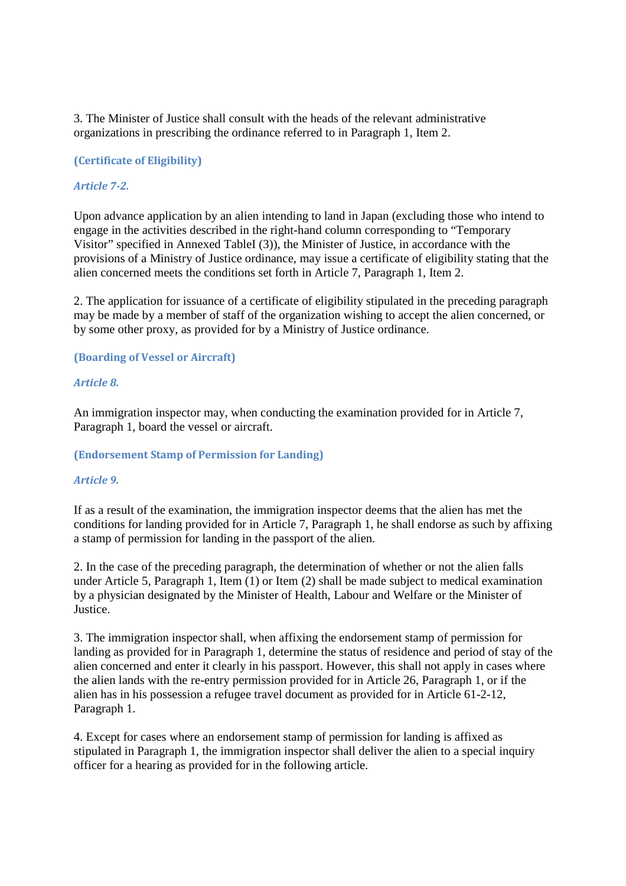3. The Minister of Justice shall consult with the heads of the relevant administrative organizations in prescribing the ordinance referred to in Paragraph 1, Item 2.

### **(Certificate of Eligibility)**

### *Article 7-2.*

Upon advance application by an alien intending to land in Japan (excluding those who intend to engage in the activities described in the right-hand column corresponding to "Temporary Visitor" specified in Annexed TableI (3)), the Minister of Justice, in accordance with the provisions of a Ministry of Justice ordinance, may issue a certificate of eligibility stating that the alien concerned meets the conditions set forth in Article 7, Paragraph 1, Item 2.

2. The application for issuance of a certificate of eligibility stipulated in the preceding paragraph may be made by a member of staff of the organization wishing to accept the alien concerned, or by some other proxy, as provided for by a Ministry of Justice ordinance.

#### **(Boarding of Vessel or Aircraft)**

#### *Article 8.*

An immigration inspector may, when conducting the examination provided for in Article 7, Paragraph 1, board the vessel or aircraft.

#### **(Endorsement Stamp of Permission for Landing)**

#### *Article 9.*

If as a result of the examination, the immigration inspector deems that the alien has met the conditions for landing provided for in Article 7, Paragraph 1, he shall endorse as such by affixing a stamp of permission for landing in the passport of the alien.

2. In the case of the preceding paragraph, the determination of whether or not the alien falls under Article 5, Paragraph 1, Item (1) or Item (2) shall be made subject to medical examination by a physician designated by the Minister of Health, Labour and Welfare or the Minister of Justice.

3. The immigration inspector shall, when affixing the endorsement stamp of permission for landing as provided for in Paragraph 1, determine the status of residence and period of stay of the alien concerned and enter it clearly in his passport. However, this shall not apply in cases where the alien lands with the re-entry permission provided for in Article 26, Paragraph 1, or if the alien has in his possession a refugee travel document as provided for in Article 61-2-12, Paragraph 1.

4. Except for cases where an endorsement stamp of permission for landing is affixed as stipulated in Paragraph 1, the immigration inspector shall deliver the alien to a special inquiry officer for a hearing as provided for in the following article.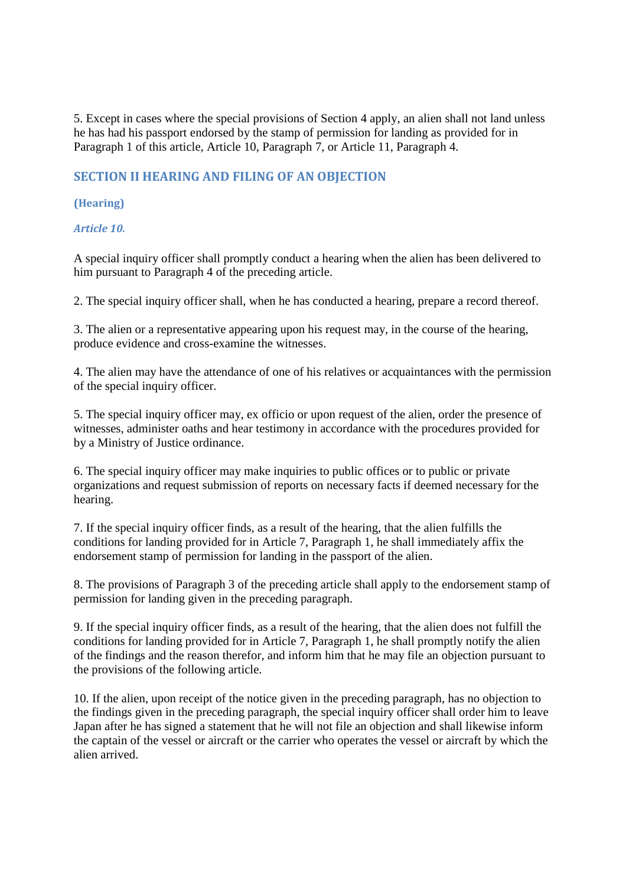5. Except in cases where the special provisions of Section 4 apply, an alien shall not land unless he has had his passport endorsed by the stamp of permission for landing as provided for in Paragraph 1 of this article, Article 10, Paragraph 7, or Article 11, Paragraph 4.

# **SECTION II HEARING AND FILING OF AN OBJECTION**

## **(Hearing)**

## *Article 10.*

A special inquiry officer shall promptly conduct a hearing when the alien has been delivered to him pursuant to Paragraph 4 of the preceding article.

2. The special inquiry officer shall, when he has conducted a hearing, prepare a record thereof.

3. The alien or a representative appearing upon his request may, in the course of the hearing, produce evidence and cross-examine the witnesses.

4. The alien may have the attendance of one of his relatives or acquaintances with the permission of the special inquiry officer.

5. The special inquiry officer may, ex officio or upon request of the alien, order the presence of witnesses, administer oaths and hear testimony in accordance with the procedures provided for by a Ministry of Justice ordinance.

6. The special inquiry officer may make inquiries to public offices or to public or private organizations and request submission of reports on necessary facts if deemed necessary for the hearing.

7. If the special inquiry officer finds, as a result of the hearing, that the alien fulfills the conditions for landing provided for in Article 7, Paragraph 1, he shall immediately affix the endorsement stamp of permission for landing in the passport of the alien.

8. The provisions of Paragraph 3 of the preceding article shall apply to the endorsement stamp of permission for landing given in the preceding paragraph.

9. If the special inquiry officer finds, as a result of the hearing, that the alien does not fulfill the conditions for landing provided for in Article 7, Paragraph 1, he shall promptly notify the alien of the findings and the reason therefor, and inform him that he may file an objection pursuant to the provisions of the following article.

10. If the alien, upon receipt of the notice given in the preceding paragraph, has no objection to the findings given in the preceding paragraph, the special inquiry officer shall order him to leave Japan after he has signed a statement that he will not file an objection and shall likewise inform the captain of the vessel or aircraft or the carrier who operates the vessel or aircraft by which the alien arrived.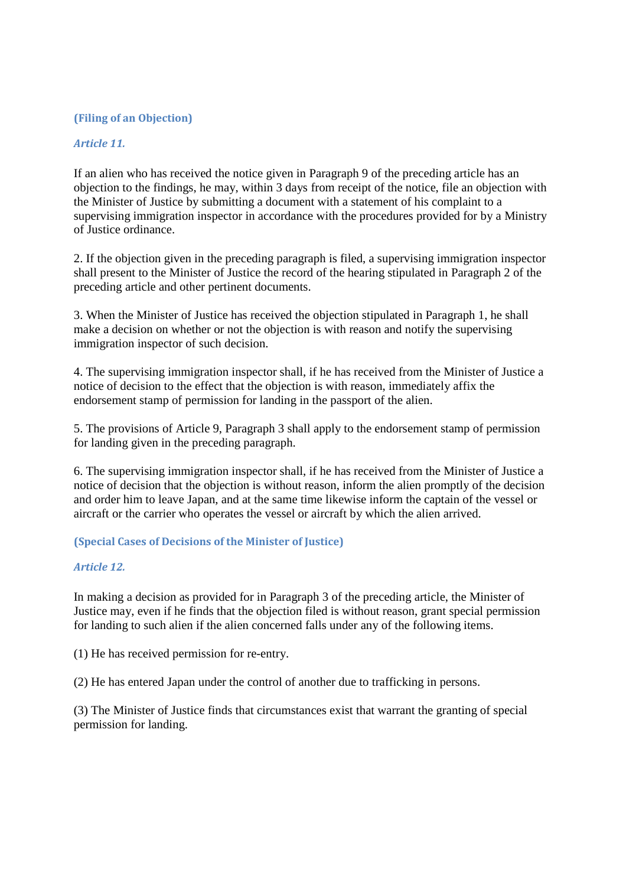## **(Filing of an Objection)**

## *Article 11.*

If an alien who has received the notice given in Paragraph 9 of the preceding article has an objection to the findings, he may, within 3 days from receipt of the notice, file an objection with the Minister of Justice by submitting a document with a statement of his complaint to a supervising immigration inspector in accordance with the procedures provided for by a Ministry of Justice ordinance.

2. If the objection given in the preceding paragraph is filed, a supervising immigration inspector shall present to the Minister of Justice the record of the hearing stipulated in Paragraph 2 of the preceding article and other pertinent documents.

3. When the Minister of Justice has received the objection stipulated in Paragraph 1, he shall make a decision on whether or not the objection is with reason and notify the supervising immigration inspector of such decision.

4. The supervising immigration inspector shall, if he has received from the Minister of Justice a notice of decision to the effect that the objection is with reason, immediately affix the endorsement stamp of permission for landing in the passport of the alien.

5. The provisions of Article 9, Paragraph 3 shall apply to the endorsement stamp of permission for landing given in the preceding paragraph.

6. The supervising immigration inspector shall, if he has received from the Minister of Justice a notice of decision that the objection is without reason, inform the alien promptly of the decision and order him to leave Japan, and at the same time likewise inform the captain of the vessel or aircraft or the carrier who operates the vessel or aircraft by which the alien arrived.

## **(Special Cases of Decisions of the Minister of Justice)**

#### *Article 12.*

In making a decision as provided for in Paragraph 3 of the preceding article, the Minister of Justice may, even if he finds that the objection filed is without reason, grant special permission for landing to such alien if the alien concerned falls under any of the following items.

(1) He has received permission for re-entry.

(2) He has entered Japan under the control of another due to trafficking in persons.

(3) The Minister of Justice finds that circumstances exist that warrant the granting of special permission for landing.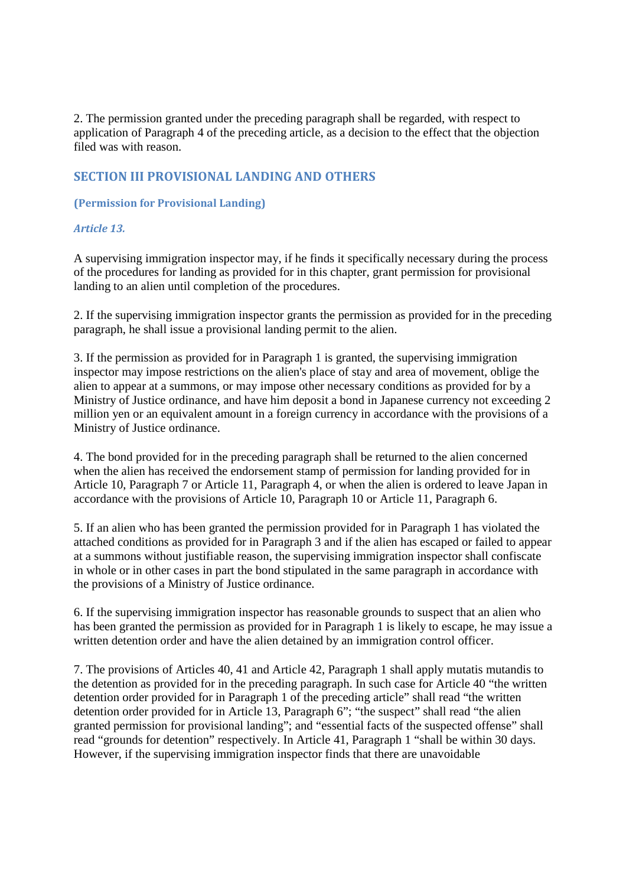2. The permission granted under the preceding paragraph shall be regarded, with respect to application of Paragraph 4 of the preceding article, as a decision to the effect that the objection filed was with reason.

# **SECTION III PROVISIONAL LANDING AND OTHERS**

### **(Permission for Provisional Landing)**

### *Article 13.*

A supervising immigration inspector may, if he finds it specifically necessary during the process of the procedures for landing as provided for in this chapter, grant permission for provisional landing to an alien until completion of the procedures.

2. If the supervising immigration inspector grants the permission as provided for in the preceding paragraph, he shall issue a provisional landing permit to the alien.

3. If the permission as provided for in Paragraph 1 is granted, the supervising immigration inspector may impose restrictions on the alien's place of stay and area of movement, oblige the alien to appear at a summons, or may impose other necessary conditions as provided for by a Ministry of Justice ordinance, and have him deposit a bond in Japanese currency not exceeding 2 million yen or an equivalent amount in a foreign currency in accordance with the provisions of a Ministry of Justice ordinance.

4. The bond provided for in the preceding paragraph shall be returned to the alien concerned when the alien has received the endorsement stamp of permission for landing provided for in Article 10, Paragraph 7 or Article 11, Paragraph 4, or when the alien is ordered to leave Japan in accordance with the provisions of Article 10, Paragraph 10 or Article 11, Paragraph 6.

5. If an alien who has been granted the permission provided for in Paragraph 1 has violated the attached conditions as provided for in Paragraph 3 and if the alien has escaped or failed to appear at a summons without justifiable reason, the supervising immigration inspector shall confiscate in whole or in other cases in part the bond stipulated in the same paragraph in accordance with the provisions of a Ministry of Justice ordinance.

6. If the supervising immigration inspector has reasonable grounds to suspect that an alien who has been granted the permission as provided for in Paragraph 1 is likely to escape, he may issue a written detention order and have the alien detained by an immigration control officer.

7. The provisions of Articles 40, 41 and Article 42, Paragraph 1 shall apply mutatis mutandis to the detention as provided for in the preceding paragraph. In such case for Article 40 "the written detention order provided for in Paragraph 1 of the preceding article" shall read "the written detention order provided for in Article 13, Paragraph 6"; "the suspect" shall read "the alien granted permission for provisional landing"; and "essential facts of the suspected offense" shall read "grounds for detention" respectively. In Article 41, Paragraph 1 "shall be within 30 days. However, if the supervising immigration inspector finds that there are unavoidable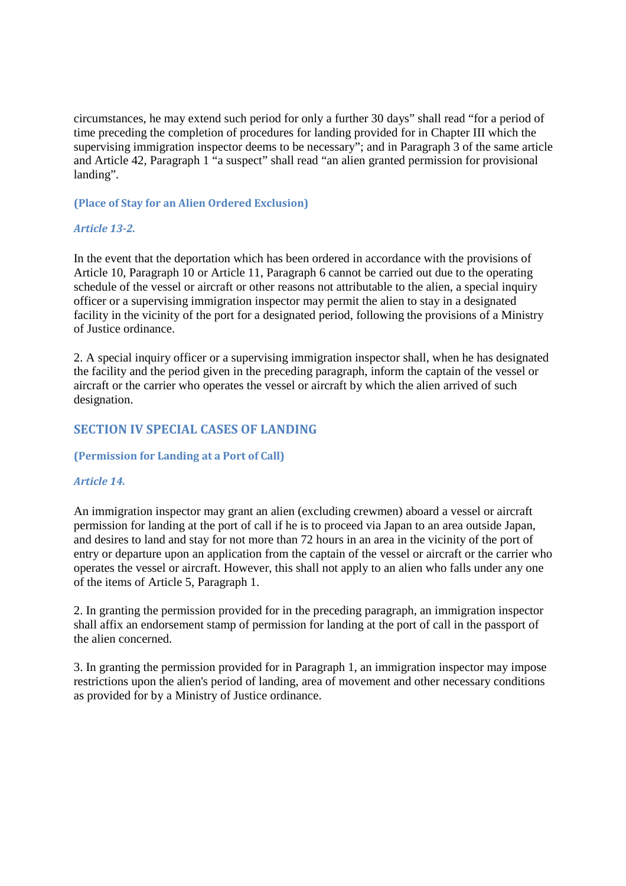circumstances, he may extend such period for only a further 30 days" shall read "for a period of time preceding the completion of procedures for landing provided for in Chapter III which the supervising immigration inspector deems to be necessary"; and in Paragraph 3 of the same article and Article 42, Paragraph 1 "a suspect" shall read "an alien granted permission for provisional landing".

### **(Place of Stay for an Alien Ordered Exclusion)**

## *Article 13-2.*

In the event that the deportation which has been ordered in accordance with the provisions of Article 10, Paragraph 10 or Article 11, Paragraph 6 cannot be carried out due to the operating schedule of the vessel or aircraft or other reasons not attributable to the alien, a special inquiry officer or a supervising immigration inspector may permit the alien to stay in a designated facility in the vicinity of the port for a designated period, following the provisions of a Ministry of Justice ordinance.

2. A special inquiry officer or a supervising immigration inspector shall, when he has designated the facility and the period given in the preceding paragraph, inform the captain of the vessel or aircraft or the carrier who operates the vessel or aircraft by which the alien arrived of such designation.

# **SECTION IV SPECIAL CASES OF LANDING**

## **(Permission for Landing at a Port of Call)**

#### *Article 14.*

An immigration inspector may grant an alien (excluding crewmen) aboard a vessel or aircraft permission for landing at the port of call if he is to proceed via Japan to an area outside Japan, and desires to land and stay for not more than 72 hours in an area in the vicinity of the port of entry or departure upon an application from the captain of the vessel or aircraft or the carrier who operates the vessel or aircraft. However, this shall not apply to an alien who falls under any one of the items of Article 5, Paragraph 1.

2. In granting the permission provided for in the preceding paragraph, an immigration inspector shall affix an endorsement stamp of permission for landing at the port of call in the passport of the alien concerned.

3. In granting the permission provided for in Paragraph 1, an immigration inspector may impose restrictions upon the alien's period of landing, area of movement and other necessary conditions as provided for by a Ministry of Justice ordinance.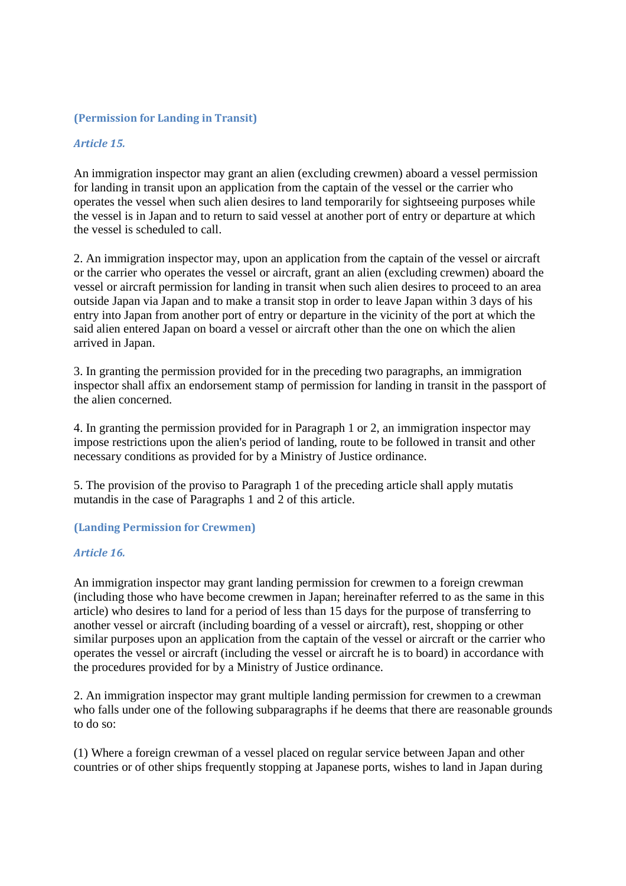## **(Permission for Landing in Transit)**

## *Article 15.*

An immigration inspector may grant an alien (excluding crewmen) aboard a vessel permission for landing in transit upon an application from the captain of the vessel or the carrier who operates the vessel when such alien desires to land temporarily for sightseeing purposes while the vessel is in Japan and to return to said vessel at another port of entry or departure at which the vessel is scheduled to call.

2. An immigration inspector may, upon an application from the captain of the vessel or aircraft or the carrier who operates the vessel or aircraft, grant an alien (excluding crewmen) aboard the vessel or aircraft permission for landing in transit when such alien desires to proceed to an area outside Japan via Japan and to make a transit stop in order to leave Japan within 3 days of his entry into Japan from another port of entry or departure in the vicinity of the port at which the said alien entered Japan on board a vessel or aircraft other than the one on which the alien arrived in Japan.

3. In granting the permission provided for in the preceding two paragraphs, an immigration inspector shall affix an endorsement stamp of permission for landing in transit in the passport of the alien concerned.

4. In granting the permission provided for in Paragraph 1 or 2, an immigration inspector may impose restrictions upon the alien's period of landing, route to be followed in transit and other necessary conditions as provided for by a Ministry of Justice ordinance.

5. The provision of the proviso to Paragraph 1 of the preceding article shall apply mutatis mutandis in the case of Paragraphs 1 and 2 of this article.

#### **(Landing Permission for Crewmen)**

#### *Article 16.*

An immigration inspector may grant landing permission for crewmen to a foreign crewman (including those who have become crewmen in Japan; hereinafter referred to as the same in this article) who desires to land for a period of less than 15 days for the purpose of transferring to another vessel or aircraft (including boarding of a vessel or aircraft), rest, shopping or other similar purposes upon an application from the captain of the vessel or aircraft or the carrier who operates the vessel or aircraft (including the vessel or aircraft he is to board) in accordance with the procedures provided for by a Ministry of Justice ordinance.

2. An immigration inspector may grant multiple landing permission for crewmen to a crewman who falls under one of the following subparagraphs if he deems that there are reasonable grounds to do so:

(1) Where a foreign crewman of a vessel placed on regular service between Japan and other countries or of other ships frequently stopping at Japanese ports, wishes to land in Japan during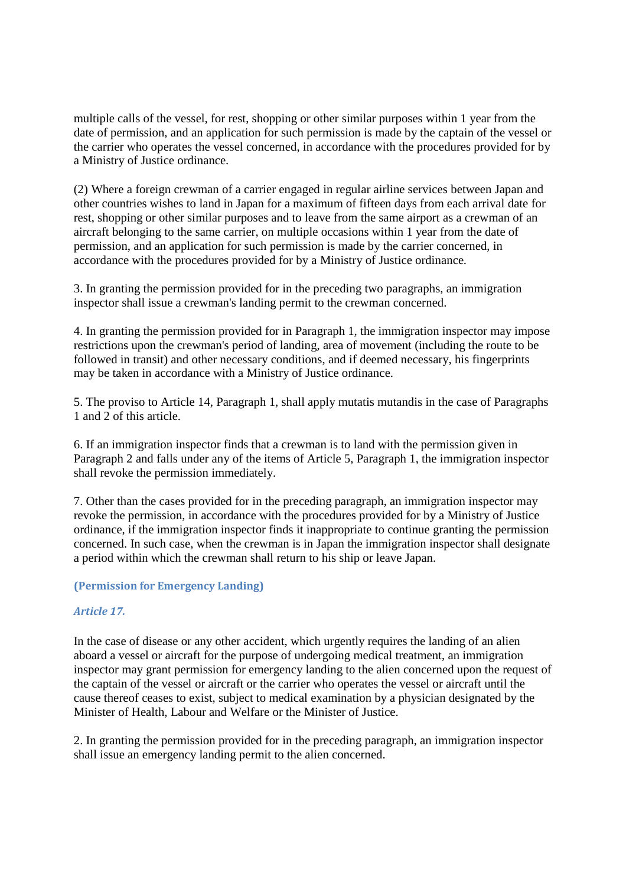multiple calls of the vessel, for rest, shopping or other similar purposes within 1 year from the date of permission, and an application for such permission is made by the captain of the vessel or the carrier who operates the vessel concerned, in accordance with the procedures provided for by a Ministry of Justice ordinance.

(2) Where a foreign crewman of a carrier engaged in regular airline services between Japan and other countries wishes to land in Japan for a maximum of fifteen days from each arrival date for rest, shopping or other similar purposes and to leave from the same airport as a crewman of an aircraft belonging to the same carrier, on multiple occasions within 1 year from the date of permission, and an application for such permission is made by the carrier concerned, in accordance with the procedures provided for by a Ministry of Justice ordinance.

3. In granting the permission provided for in the preceding two paragraphs, an immigration inspector shall issue a crewman's landing permit to the crewman concerned.

4. In granting the permission provided for in Paragraph 1, the immigration inspector may impose restrictions upon the crewman's period of landing, area of movement (including the route to be followed in transit) and other necessary conditions, and if deemed necessary, his fingerprints may be taken in accordance with a Ministry of Justice ordinance.

5. The proviso to Article 14, Paragraph 1, shall apply mutatis mutandis in the case of Paragraphs 1 and 2 of this article.

6. If an immigration inspector finds that a crewman is to land with the permission given in Paragraph 2 and falls under any of the items of Article 5, Paragraph 1, the immigration inspector shall revoke the permission immediately.

7. Other than the cases provided for in the preceding paragraph, an immigration inspector may revoke the permission, in accordance with the procedures provided for by a Ministry of Justice ordinance, if the immigration inspector finds it inappropriate to continue granting the permission concerned. In such case, when the crewman is in Japan the immigration inspector shall designate a period within which the crewman shall return to his ship or leave Japan.

## **(Permission for Emergency Landing)**

## *Article 17.*

In the case of disease or any other accident, which urgently requires the landing of an alien aboard a vessel or aircraft for the purpose of undergoing medical treatment, an immigration inspector may grant permission for emergency landing to the alien concerned upon the request of the captain of the vessel or aircraft or the carrier who operates the vessel or aircraft until the cause thereof ceases to exist, subject to medical examination by a physician designated by the Minister of Health, Labour and Welfare or the Minister of Justice.

2. In granting the permission provided for in the preceding paragraph, an immigration inspector shall issue an emergency landing permit to the alien concerned.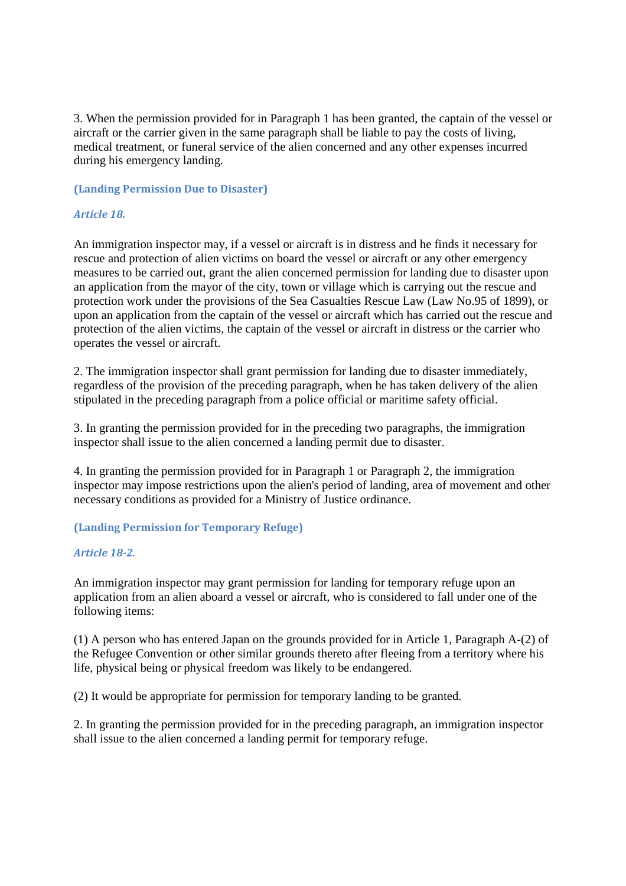3. When the permission provided for in Paragraph 1 has been granted, the captain of the vessel or aircraft or the carrier given in the same paragraph shall be liable to pay the costs of living, medical treatment, or funeral service of the alien concerned and any other expenses incurred during his emergency landing.

### **(Landing Permission Due to Disaster)**

## *Article 18.*

An immigration inspector may, if a vessel or aircraft is in distress and he finds it necessary for rescue and protection of alien victims on board the vessel or aircraft or any other emergency measures to be carried out, grant the alien concerned permission for landing due to disaster upon an application from the mayor of the city, town or village which is carrying out the rescue and protection work under the provisions of the Sea Casualties Rescue Law (Law No.95 of 1899), or upon an application from the captain of the vessel or aircraft which has carried out the rescue and protection of the alien victims, the captain of the vessel or aircraft in distress or the carrier who operates the vessel or aircraft.

2. The immigration inspector shall grant permission for landing due to disaster immediately, regardless of the provision of the preceding paragraph, when he has taken delivery of the alien stipulated in the preceding paragraph from a police official or maritime safety official.

3. In granting the permission provided for in the preceding two paragraphs, the immigration inspector shall issue to the alien concerned a landing permit due to disaster.

4. In granting the permission provided for in Paragraph 1 or Paragraph 2, the immigration inspector may impose restrictions upon the alien's period of landing, area of movement and other necessary conditions as provided for a Ministry of Justice ordinance.

## **(Landing Permission for Temporary Refuge)**

## *Article 18-2.*

An immigration inspector may grant permission for landing for temporary refuge upon an application from an alien aboard a vessel or aircraft, who is considered to fall under one of the following items:

(1) A person who has entered Japan on the grounds provided for in Article 1, Paragraph A-(2) of the Refugee Convention or other similar grounds thereto after fleeing from a territory where his life, physical being or physical freedom was likely to be endangered.

(2) It would be appropriate for permission for temporary landing to be granted.

2. In granting the permission provided for in the preceding paragraph, an immigration inspector shall issue to the alien concerned a landing permit for temporary refuge.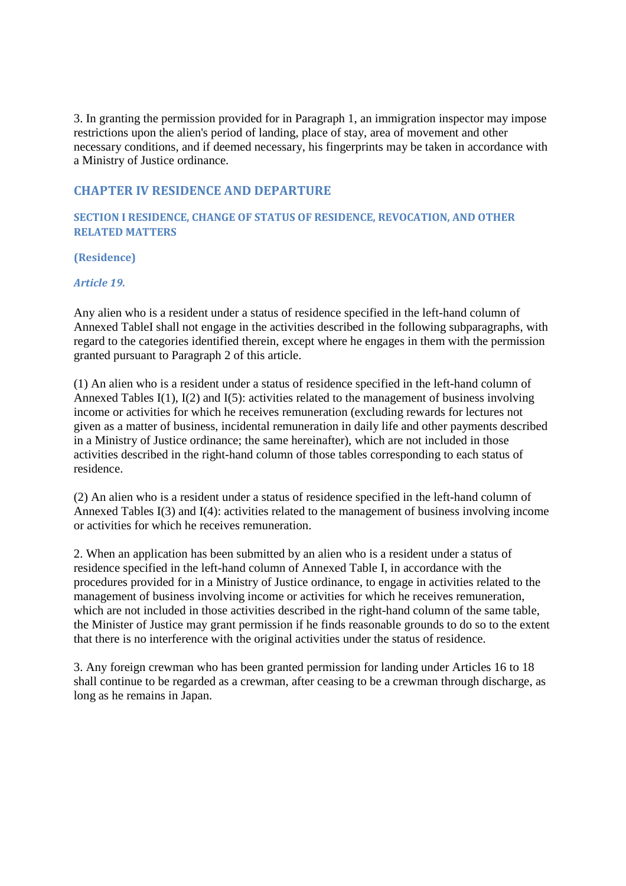3. In granting the permission provided for in Paragraph 1, an immigration inspector may impose restrictions upon the alien's period of landing, place of stay, area of movement and other necessary conditions, and if deemed necessary, his fingerprints may be taken in accordance with a Ministry of Justice ordinance.

# **CHAPTER IV RESIDENCE AND DEPARTURE**

**SECTION I RESIDENCE, CHANGE OF STATUS OF RESIDENCE, REVOCATION, AND OTHER RELATED MATTERS** 

**(Residence)** 

*Article 19.* 

Any alien who is a resident under a status of residence specified in the left-hand column of Annexed TableI shall not engage in the activities described in the following subparagraphs, with regard to the categories identified therein, except where he engages in them with the permission granted pursuant to Paragraph 2 of this article.

(1) An alien who is a resident under a status of residence specified in the left-hand column of Annexed Tables I(1), I(2) and I(5): activities related to the management of business involving income or activities for which he receives remuneration (excluding rewards for lectures not given as a matter of business, incidental remuneration in daily life and other payments described in a Ministry of Justice ordinance; the same hereinafter), which are not included in those activities described in the right-hand column of those tables corresponding to each status of residence.

(2) An alien who is a resident under a status of residence specified in the left-hand column of Annexed Tables I(3) and I(4): activities related to the management of business involving income or activities for which he receives remuneration.

2. When an application has been submitted by an alien who is a resident under a status of residence specified in the left-hand column of Annexed Table I, in accordance with the procedures provided for in a Ministry of Justice ordinance, to engage in activities related to the management of business involving income or activities for which he receives remuneration, which are not included in those activities described in the right-hand column of the same table, the Minister of Justice may grant permission if he finds reasonable grounds to do so to the extent that there is no interference with the original activities under the status of residence.

3. Any foreign crewman who has been granted permission for landing under Articles 16 to 18 shall continue to be regarded as a crewman, after ceasing to be a crewman through discharge, as long as he remains in Japan.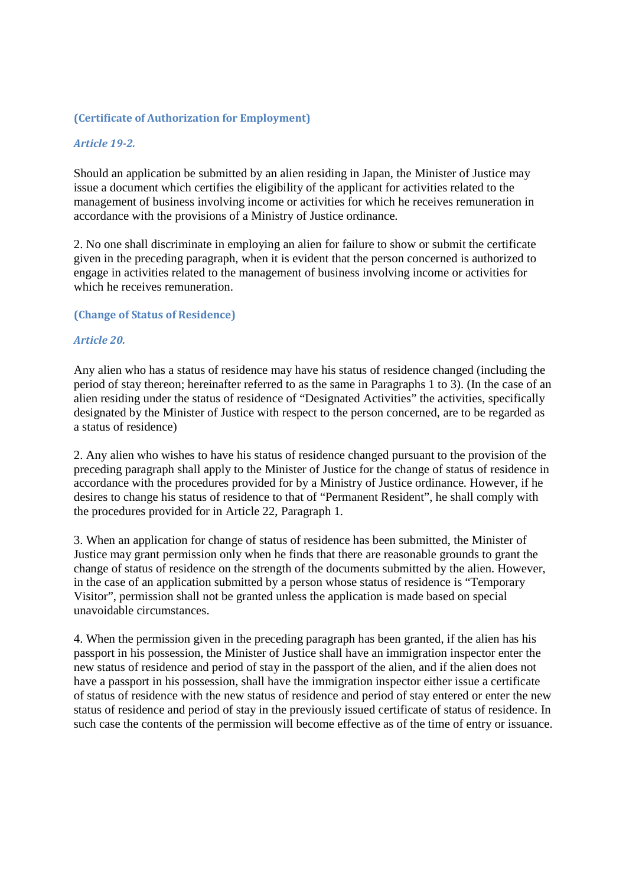### **(Certificate of Authorization for Employment)**

### *Article 19-2.*

Should an application be submitted by an alien residing in Japan, the Minister of Justice may issue a document which certifies the eligibility of the applicant for activities related to the management of business involving income or activities for which he receives remuneration in accordance with the provisions of a Ministry of Justice ordinance.

2. No one shall discriminate in employing an alien for failure to show or submit the certificate given in the preceding paragraph, when it is evident that the person concerned is authorized to engage in activities related to the management of business involving income or activities for which he receives remuneration.

#### **(Change of Status of Residence)**

#### *Article 20.*

Any alien who has a status of residence may have his status of residence changed (including the period of stay thereon; hereinafter referred to as the same in Paragraphs 1 to 3). (In the case of an alien residing under the status of residence of "Designated Activities" the activities, specifically designated by the Minister of Justice with respect to the person concerned, are to be regarded as a status of residence)

2. Any alien who wishes to have his status of residence changed pursuant to the provision of the preceding paragraph shall apply to the Minister of Justice for the change of status of residence in accordance with the procedures provided for by a Ministry of Justice ordinance. However, if he desires to change his status of residence to that of "Permanent Resident", he shall comply with the procedures provided for in Article 22, Paragraph 1.

3. When an application for change of status of residence has been submitted, the Minister of Justice may grant permission only when he finds that there are reasonable grounds to grant the change of status of residence on the strength of the documents submitted by the alien. However, in the case of an application submitted by a person whose status of residence is "Temporary Visitor", permission shall not be granted unless the application is made based on special unavoidable circumstances.

4. When the permission given in the preceding paragraph has been granted, if the alien has his passport in his possession, the Minister of Justice shall have an immigration inspector enter the new status of residence and period of stay in the passport of the alien, and if the alien does not have a passport in his possession, shall have the immigration inspector either issue a certificate of status of residence with the new status of residence and period of stay entered or enter the new status of residence and period of stay in the previously issued certificate of status of residence. In such case the contents of the permission will become effective as of the time of entry or issuance.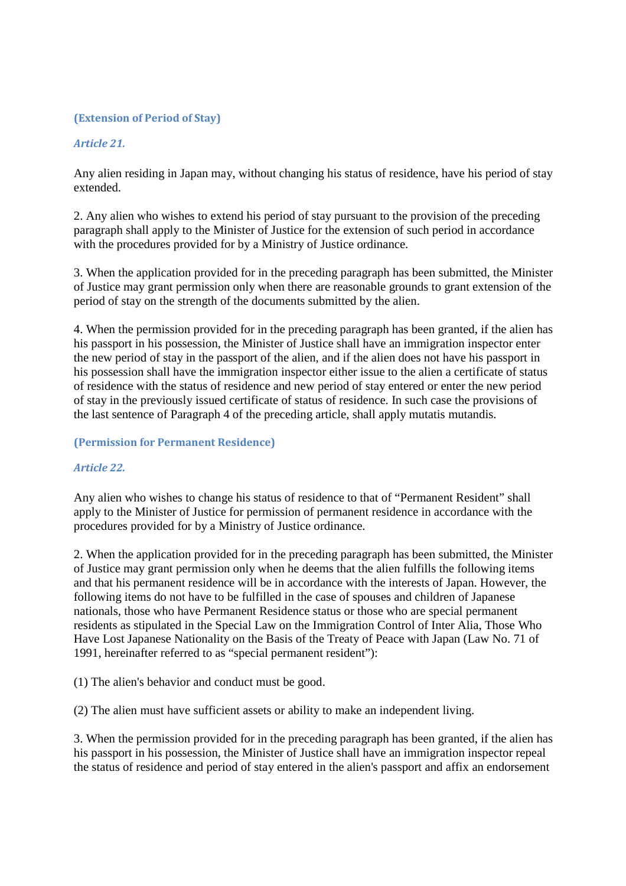## **(Extension of Period of Stay)**

## *Article 21.*

Any alien residing in Japan may, without changing his status of residence, have his period of stay extended.

2. Any alien who wishes to extend his period of stay pursuant to the provision of the preceding paragraph shall apply to the Minister of Justice for the extension of such period in accordance with the procedures provided for by a Ministry of Justice ordinance.

3. When the application provided for in the preceding paragraph has been submitted, the Minister of Justice may grant permission only when there are reasonable grounds to grant extension of the period of stay on the strength of the documents submitted by the alien.

4. When the permission provided for in the preceding paragraph has been granted, if the alien has his passport in his possession, the Minister of Justice shall have an immigration inspector enter the new period of stay in the passport of the alien, and if the alien does not have his passport in his possession shall have the immigration inspector either issue to the alien a certificate of status of residence with the status of residence and new period of stay entered or enter the new period of stay in the previously issued certificate of status of residence. In such case the provisions of the last sentence of Paragraph 4 of the preceding article, shall apply mutatis mutandis.

## **(Permission for Permanent Residence)**

## *Article 22.*

Any alien who wishes to change his status of residence to that of "Permanent Resident" shall apply to the Minister of Justice for permission of permanent residence in accordance with the procedures provided for by a Ministry of Justice ordinance.

2. When the application provided for in the preceding paragraph has been submitted, the Minister of Justice may grant permission only when he deems that the alien fulfills the following items and that his permanent residence will be in accordance with the interests of Japan. However, the following items do not have to be fulfilled in the case of spouses and children of Japanese nationals, those who have Permanent Residence status or those who are special permanent residents as stipulated in the Special Law on the Immigration Control of Inter Alia, Those Who Have Lost Japanese Nationality on the Basis of the Treaty of Peace with Japan (Law No. 71 of 1991, hereinafter referred to as "special permanent resident"):

(1) The alien's behavior and conduct must be good.

(2) The alien must have sufficient assets or ability to make an independent living.

3. When the permission provided for in the preceding paragraph has been granted, if the alien has his passport in his possession, the Minister of Justice shall have an immigration inspector repeal the status of residence and period of stay entered in the alien's passport and affix an endorsement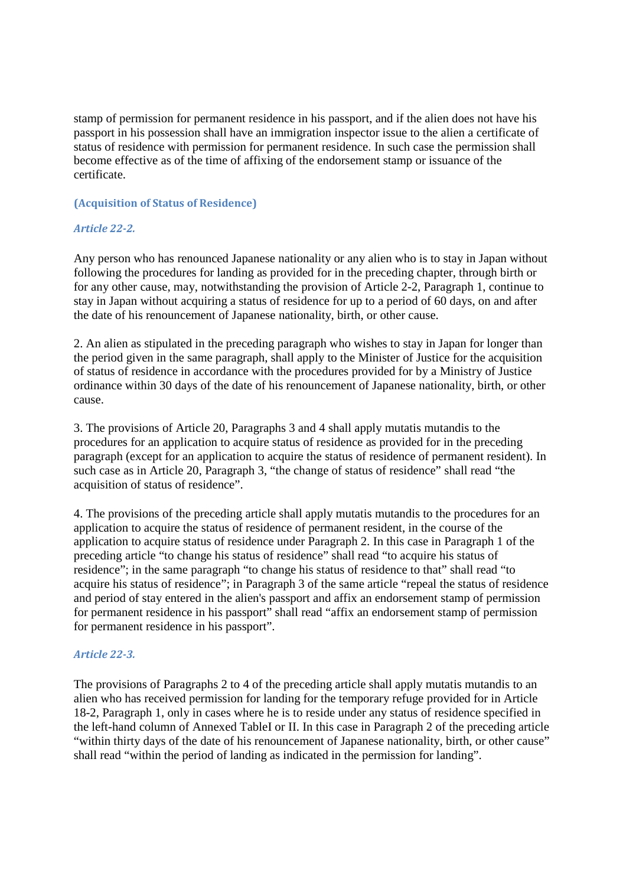stamp of permission for permanent residence in his passport, and if the alien does not have his passport in his possession shall have an immigration inspector issue to the alien a certificate of status of residence with permission for permanent residence. In such case the permission shall become effective as of the time of affixing of the endorsement stamp or issuance of the certificate.

### **(Acquisition of Status of Residence)**

## *Article 22-2.*

Any person who has renounced Japanese nationality or any alien who is to stay in Japan without following the procedures for landing as provided for in the preceding chapter, through birth or for any other cause, may, notwithstanding the provision of Article 2-2, Paragraph 1, continue to stay in Japan without acquiring a status of residence for up to a period of 60 days, on and after the date of his renouncement of Japanese nationality, birth, or other cause.

2. An alien as stipulated in the preceding paragraph who wishes to stay in Japan for longer than the period given in the same paragraph, shall apply to the Minister of Justice for the acquisition of status of residence in accordance with the procedures provided for by a Ministry of Justice ordinance within 30 days of the date of his renouncement of Japanese nationality, birth, or other cause.

3. The provisions of Article 20, Paragraphs 3 and 4 shall apply mutatis mutandis to the procedures for an application to acquire status of residence as provided for in the preceding paragraph (except for an application to acquire the status of residence of permanent resident). In such case as in Article 20, Paragraph 3, "the change of status of residence" shall read "the acquisition of status of residence".

4. The provisions of the preceding article shall apply mutatis mutandis to the procedures for an application to acquire the status of residence of permanent resident, in the course of the application to acquire status of residence under Paragraph 2. In this case in Paragraph 1 of the preceding article "to change his status of residence" shall read "to acquire his status of residence"; in the same paragraph "to change his status of residence to that" shall read "to acquire his status of residence"; in Paragraph 3 of the same article "repeal the status of residence and period of stay entered in the alien's passport and affix an endorsement stamp of permission for permanent residence in his passport" shall read "affix an endorsement stamp of permission for permanent residence in his passport".

## *Article 22-3.*

The provisions of Paragraphs 2 to 4 of the preceding article shall apply mutatis mutandis to an alien who has received permission for landing for the temporary refuge provided for in Article 18-2, Paragraph 1, only in cases where he is to reside under any status of residence specified in the left-hand column of Annexed TableI or II. In this case in Paragraph 2 of the preceding article "within thirty days of the date of his renouncement of Japanese nationality, birth, or other cause" shall read "within the period of landing as indicated in the permission for landing".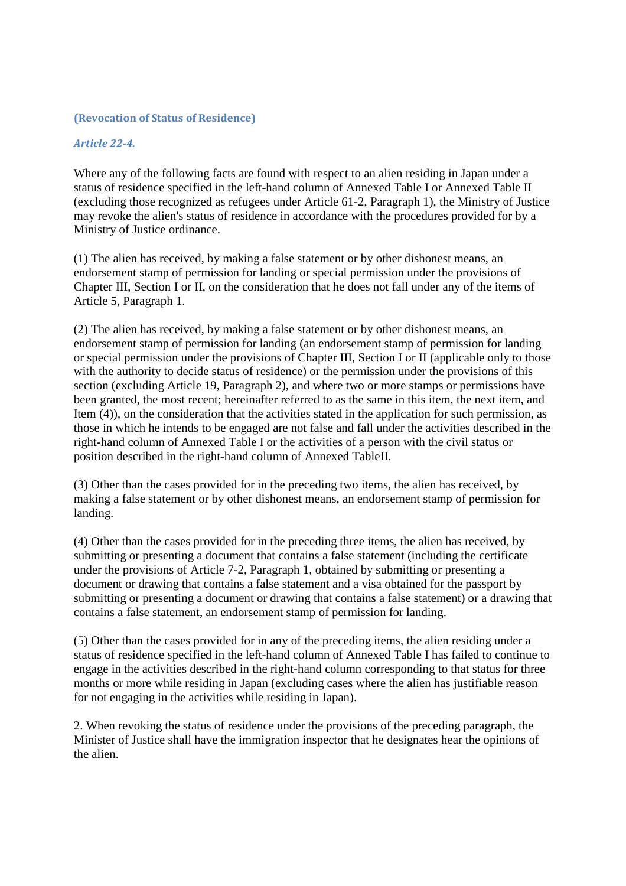#### **(Revocation of Status of Residence)**

#### *Article 22-4.*

Where any of the following facts are found with respect to an alien residing in Japan under a status of residence specified in the left-hand column of Annexed Table I or Annexed Table II (excluding those recognized as refugees under Article 61-2, Paragraph 1), the Ministry of Justice may revoke the alien's status of residence in accordance with the procedures provided for by a Ministry of Justice ordinance.

(1) The alien has received, by making a false statement or by other dishonest means, an endorsement stamp of permission for landing or special permission under the provisions of Chapter III, Section I or II, on the consideration that he does not fall under any of the items of Article 5, Paragraph 1.

(2) The alien has received, by making a false statement or by other dishonest means, an endorsement stamp of permission for landing (an endorsement stamp of permission for landing or special permission under the provisions of Chapter III, Section I or II (applicable only to those with the authority to decide status of residence) or the permission under the provisions of this section (excluding Article 19, Paragraph 2), and where two or more stamps or permissions have been granted, the most recent; hereinafter referred to as the same in this item, the next item, and Item (4)), on the consideration that the activities stated in the application for such permission, as those in which he intends to be engaged are not false and fall under the activities described in the right-hand column of Annexed Table I or the activities of a person with the civil status or position described in the right-hand column of Annexed TableII.

(3) Other than the cases provided for in the preceding two items, the alien has received, by making a false statement or by other dishonest means, an endorsement stamp of permission for landing.

(4) Other than the cases provided for in the preceding three items, the alien has received, by submitting or presenting a document that contains a false statement (including the certificate under the provisions of Article 7-2, Paragraph 1, obtained by submitting or presenting a document or drawing that contains a false statement and a visa obtained for the passport by submitting or presenting a document or drawing that contains a false statement) or a drawing that contains a false statement, an endorsement stamp of permission for landing.

(5) Other than the cases provided for in any of the preceding items, the alien residing under a status of residence specified in the left-hand column of Annexed Table I has failed to continue to engage in the activities described in the right-hand column corresponding to that status for three months or more while residing in Japan (excluding cases where the alien has justifiable reason for not engaging in the activities while residing in Japan).

2. When revoking the status of residence under the provisions of the preceding paragraph, the Minister of Justice shall have the immigration inspector that he designates hear the opinions of the alien.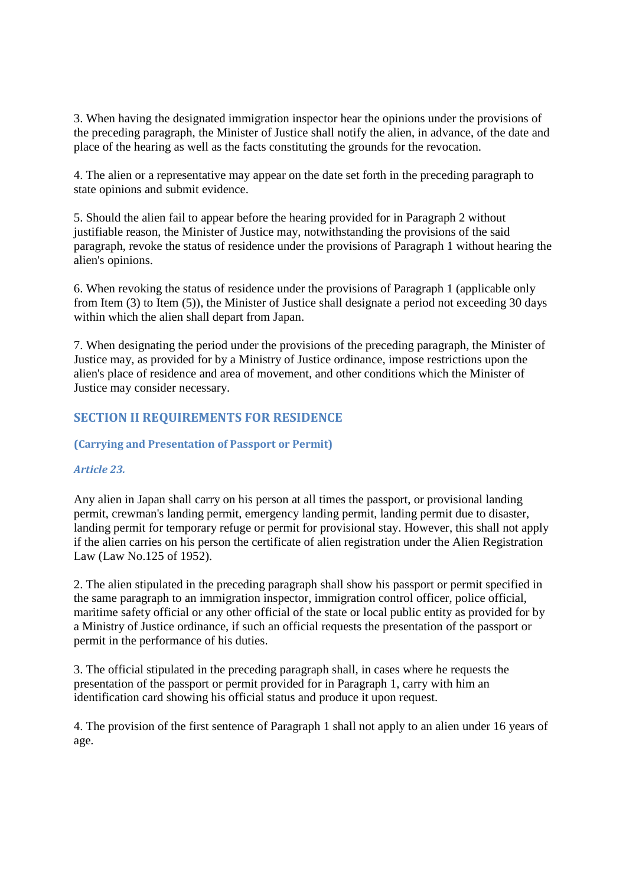3. When having the designated immigration inspector hear the opinions under the provisions of the preceding paragraph, the Minister of Justice shall notify the alien, in advance, of the date and place of the hearing as well as the facts constituting the grounds for the revocation.

4. The alien or a representative may appear on the date set forth in the preceding paragraph to state opinions and submit evidence.

5. Should the alien fail to appear before the hearing provided for in Paragraph 2 without justifiable reason, the Minister of Justice may, notwithstanding the provisions of the said paragraph, revoke the status of residence under the provisions of Paragraph 1 without hearing the alien's opinions.

6. When revoking the status of residence under the provisions of Paragraph 1 (applicable only from Item (3) to Item (5)), the Minister of Justice shall designate a period not exceeding 30 days within which the alien shall depart from Japan.

7. When designating the period under the provisions of the preceding paragraph, the Minister of Justice may, as provided for by a Ministry of Justice ordinance, impose restrictions upon the alien's place of residence and area of movement, and other conditions which the Minister of Justice may consider necessary.

# **SECTION II REQUIREMENTS FOR RESIDENCE**

#### **(Carrying and Presentation of Passport or Permit)**

## *Article 23.*

Any alien in Japan shall carry on his person at all times the passport, or provisional landing permit, crewman's landing permit, emergency landing permit, landing permit due to disaster, landing permit for temporary refuge or permit for provisional stay. However, this shall not apply if the alien carries on his person the certificate of alien registration under the Alien Registration Law (Law No.125 of 1952).

2. The alien stipulated in the preceding paragraph shall show his passport or permit specified in the same paragraph to an immigration inspector, immigration control officer, police official, maritime safety official or any other official of the state or local public entity as provided for by a Ministry of Justice ordinance, if such an official requests the presentation of the passport or permit in the performance of his duties.

3. The official stipulated in the preceding paragraph shall, in cases where he requests the presentation of the passport or permit provided for in Paragraph 1, carry with him an identification card showing his official status and produce it upon request.

4. The provision of the first sentence of Paragraph 1 shall not apply to an alien under 16 years of age.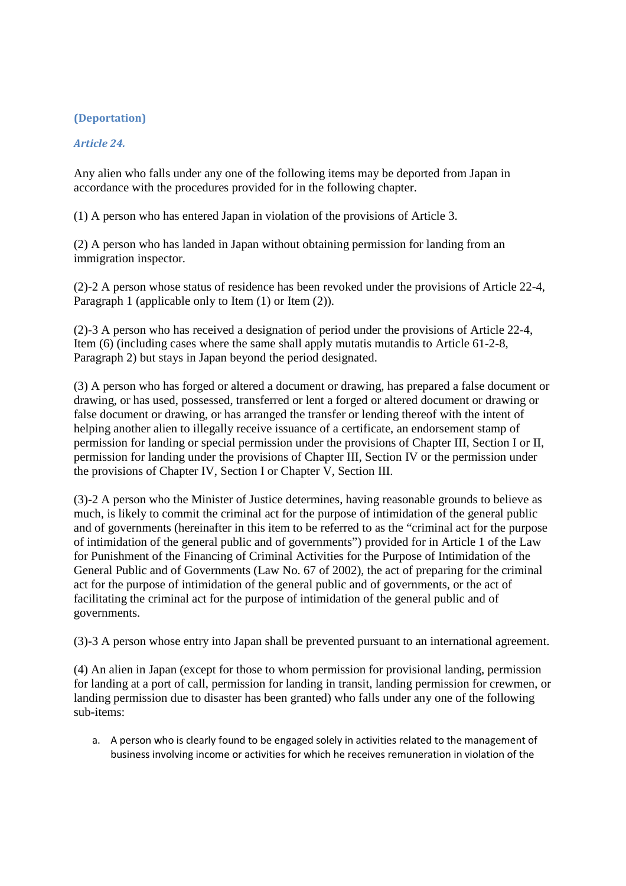## **(Deportation)**

## *Article 24.*

Any alien who falls under any one of the following items may be deported from Japan in accordance with the procedures provided for in the following chapter.

(1) A person who has entered Japan in violation of the provisions of Article 3.

(2) A person who has landed in Japan without obtaining permission for landing from an immigration inspector.

(2)-2 A person whose status of residence has been revoked under the provisions of Article 22-4, Paragraph 1 (applicable only to Item (1) or Item (2)).

(2)-3 A person who has received a designation of period under the provisions of Article 22-4, Item (6) (including cases where the same shall apply mutatis mutandis to Article 61-2-8, Paragraph 2) but stays in Japan beyond the period designated.

(3) A person who has forged or altered a document or drawing, has prepared a false document or drawing, or has used, possessed, transferred or lent a forged or altered document or drawing or false document or drawing, or has arranged the transfer or lending thereof with the intent of helping another alien to illegally receive issuance of a certificate, an endorsement stamp of permission for landing or special permission under the provisions of Chapter III, Section I or II, permission for landing under the provisions of Chapter III, Section IV or the permission under the provisions of Chapter IV, Section I or Chapter V, Section III.

(3)-2 A person who the Minister of Justice determines, having reasonable grounds to believe as much, is likely to commit the criminal act for the purpose of intimidation of the general public and of governments (hereinafter in this item to be referred to as the "criminal act for the purpose of intimidation of the general public and of governments") provided for in Article 1 of the Law for Punishment of the Financing of Criminal Activities for the Purpose of Intimidation of the General Public and of Governments (Law No. 67 of 2002), the act of preparing for the criminal act for the purpose of intimidation of the general public and of governments, or the act of facilitating the criminal act for the purpose of intimidation of the general public and of governments.

(3)-3 A person whose entry into Japan shall be prevented pursuant to an international agreement.

(4) An alien in Japan (except for those to whom permission for provisional landing, permission for landing at a port of call, permission for landing in transit, landing permission for crewmen, or landing permission due to disaster has been granted) who falls under any one of the following sub-items:

a. A person who is clearly found to be engaged solely in activities related to the management of business involving income or activities for which he receives remuneration in violation of the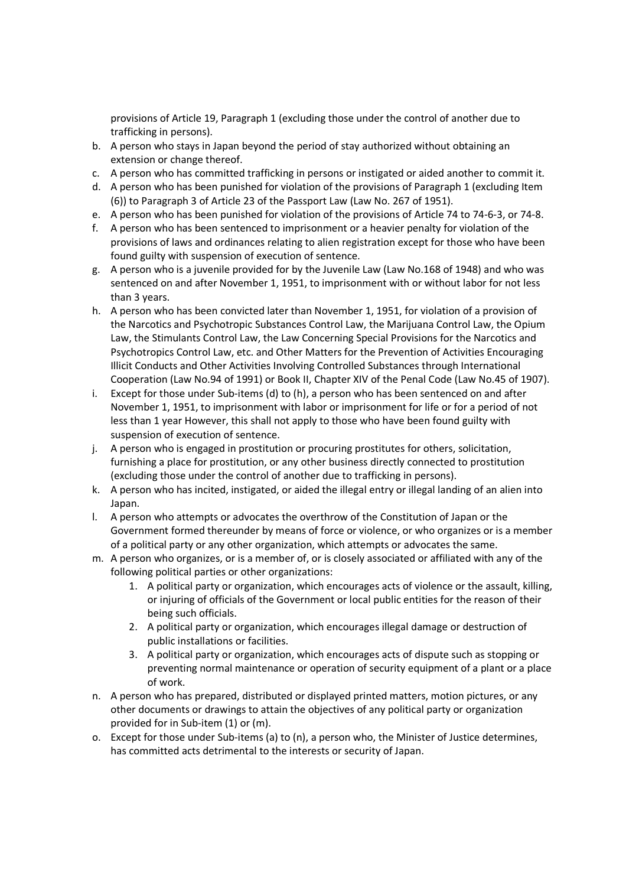provisions of Article 19, Paragraph 1 (excluding those under the control of another due to trafficking in persons).

- b. A person who stays in Japan beyond the period of stay authorized without obtaining an extension or change thereof.
- c. A person who has committed trafficking in persons or instigated or aided another to commit it.
- d. A person who has been punished for violation of the provisions of Paragraph 1 (excluding Item (6)) to Paragraph 3 of Article 23 of the Passport Law (Law No. 267 of 1951).
- e. A person who has been punished for violation of the provisions of Article 74 to 74-6-3, or 74-8.
- f. A person who has been sentenced to imprisonment or a heavier penalty for violation of the provisions of laws and ordinances relating to alien registration except for those who have been found guilty with suspension of execution of sentence.
- g. A person who is a juvenile provided for by the Juvenile Law (Law No.168 of 1948) and who was sentenced on and after November 1, 1951, to imprisonment with or without labor for not less than 3 years.
- h. A person who has been convicted later than November 1, 1951, for violation of a provision of the Narcotics and Psychotropic Substances Control Law, the Marijuana Control Law, the Opium Law, the Stimulants Control Law, the Law Concerning Special Provisions for the Narcotics and Psychotropics Control Law, etc. and Other Matters for the Prevention of Activities Encouraging Illicit Conducts and Other Activities Involving Controlled Substances through International Cooperation (Law No.94 of 1991) or Book II, Chapter XIV of the Penal Code (Law No.45 of 1907).
- i. Except for those under Sub-items (d) to (h), a person who has been sentenced on and after November 1, 1951, to imprisonment with labor or imprisonment for life or for a period of not less than 1 year However, this shall not apply to those who have been found guilty with suspension of execution of sentence.
- j. A person who is engaged in prostitution or procuring prostitutes for others, solicitation, furnishing a place for prostitution, or any other business directly connected to prostitution (excluding those under the control of another due to trafficking in persons).
- k. A person who has incited, instigated, or aided the illegal entry or illegal landing of an alien into Japan.
- l. A person who attempts or advocates the overthrow of the Constitution of Japan or the Government formed thereunder by means of force or violence, or who organizes or is a member of a political party or any other organization, which attempts or advocates the same.
- m. A person who organizes, or is a member of, or is closely associated or affiliated with any of the following political parties or other organizations:
	- 1. A political party or organization, which encourages acts of violence or the assault, killing, or injuring of officials of the Government or local public entities for the reason of their being such officials.
	- 2. A political party or organization, which encourages illegal damage or destruction of public installations or facilities.
	- 3. A political party or organization, which encourages acts of dispute such as stopping or preventing normal maintenance or operation of security equipment of a plant or a place of work.
- n. A person who has prepared, distributed or displayed printed matters, motion pictures, or any other documents or drawings to attain the objectives of any political party or organization provided for in Sub-item (1) or (m).
- o. Except for those under Sub-items (a) to (n), a person who, the Minister of Justice determines, has committed acts detrimental to the interests or security of Japan.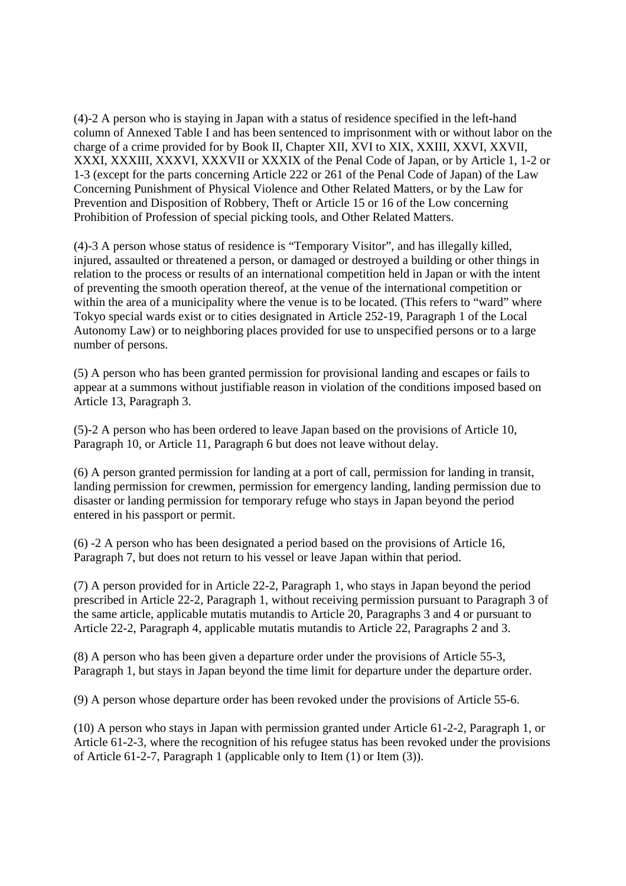(4)-2 A person who is staying in Japan with a status of residence specified in the left-hand column of Annexed Table I and has been sentenced to imprisonment with or without labor on the charge of a crime provided for by Book II, Chapter XII, XVI to XIX, XXIII, XXVI, XXVII, XXXI, XXXIII, XXXVI, XXXVII or XXXIX of the Penal Code of Japan, or by Article 1, 1-2 or 1-3 (except for the parts concerning Article 222 or 261 of the Penal Code of Japan) of the Law Concerning Punishment of Physical Violence and Other Related Matters, or by the Law for Prevention and Disposition of Robbery, Theft or Article 15 or 16 of the Low concerning Prohibition of Profession of special picking tools, and Other Related Matters.

(4)-3 A person whose status of residence is "Temporary Visitor", and has illegally killed, injured, assaulted or threatened a person, or damaged or destroyed a building or other things in relation to the process or results of an international competition held in Japan or with the intent of preventing the smooth operation thereof, at the venue of the international competition or within the area of a municipality where the venue is to be located. (This refers to "ward" where Tokyo special wards exist or to cities designated in Article 252-19, Paragraph 1 of the Local Autonomy Law) or to neighboring places provided for use to unspecified persons or to a large number of persons.

(5) A person who has been granted permission for provisional landing and escapes or fails to appear at a summons without justifiable reason in violation of the conditions imposed based on Article 13, Paragraph 3.

(5)-2 A person who has been ordered to leave Japan based on the provisions of Article 10, Paragraph 10, or Article 11, Paragraph 6 but does not leave without delay.

(6) A person granted permission for landing at a port of call, permission for landing in transit, landing permission for crewmen, permission for emergency landing, landing permission due to disaster or landing permission for temporary refuge who stays in Japan beyond the period entered in his passport or permit.

(6) -2 A person who has been designated a period based on the provisions of Article 16, Paragraph 7, but does not return to his vessel or leave Japan within that period.

(7) A person provided for in Article 22-2, Paragraph 1, who stays in Japan beyond the period prescribed in Article 22-2, Paragraph 1, without receiving permission pursuant to Paragraph 3 of the same article, applicable mutatis mutandis to Article 20, Paragraphs 3 and 4 or pursuant to Article 22-2, Paragraph 4, applicable mutatis mutandis to Article 22, Paragraphs 2 and 3.

(8) A person who has been given a departure order under the provisions of Article 55-3, Paragraph 1, but stays in Japan beyond the time limit for departure under the departure order.

(9) A person whose departure order has been revoked under the provisions of Article 55-6.

(10) A person who stays in Japan with permission granted under Article 61-2-2, Paragraph 1, or Article 61-2-3, where the recognition of his refugee status has been revoked under the provisions of Article 61-2-7, Paragraph 1 (applicable only to Item (1) or Item (3)).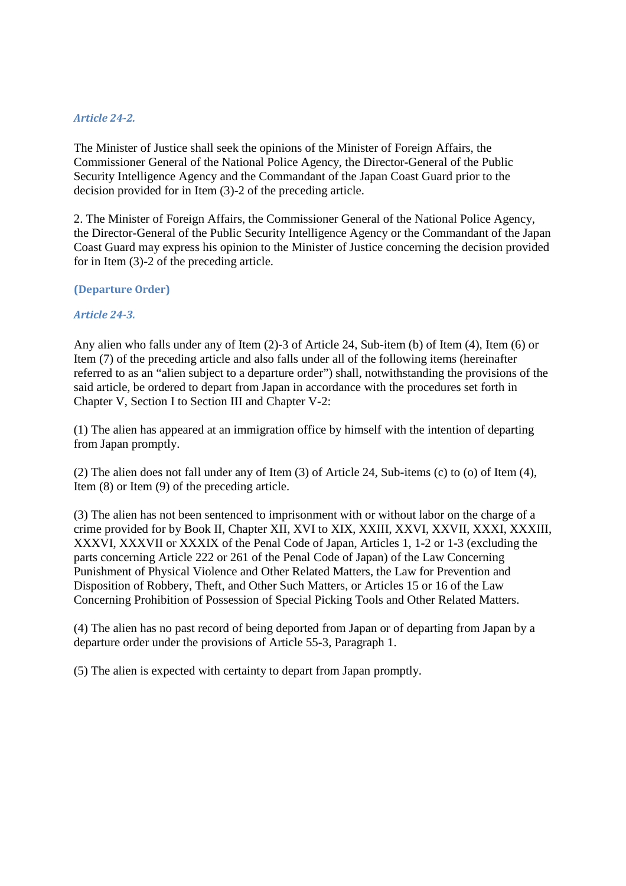## *Article 24-2.*

The Minister of Justice shall seek the opinions of the Minister of Foreign Affairs, the Commissioner General of the National Police Agency, the Director-General of the Public Security Intelligence Agency and the Commandant of the Japan Coast Guard prior to the decision provided for in Item (3)-2 of the preceding article.

2. The Minister of Foreign Affairs, the Commissioner General of the National Police Agency, the Director-General of the Public Security Intelligence Agency or the Commandant of the Japan Coast Guard may express his opinion to the Minister of Justice concerning the decision provided for in Item (3)-2 of the preceding article.

### **(Departure Order)**

### *Article 24-3.*

Any alien who falls under any of Item (2)-3 of Article 24, Sub-item (b) of Item (4), Item (6) or Item (7) of the preceding article and also falls under all of the following items (hereinafter referred to as an "alien subject to a departure order") shall, notwithstanding the provisions of the said article, be ordered to depart from Japan in accordance with the procedures set forth in Chapter V, Section I to Section III and Chapter V-2:

(1) The alien has appeared at an immigration office by himself with the intention of departing from Japan promptly.

(2) The alien does not fall under any of Item (3) of Article 24, Sub-items (c) to (o) of Item (4), Item (8) or Item (9) of the preceding article.

(3) The alien has not been sentenced to imprisonment with or without labor on the charge of a crime provided for by Book II, Chapter XII, XVI to XIX, XXIII, XXVI, XXVII, XXXI, XXXIII, XXXVI, XXXVII or XXXIX of the Penal Code of Japan, Articles 1, 1-2 or 1-3 (excluding the parts concerning Article 222 or 261 of the Penal Code of Japan) of the Law Concerning Punishment of Physical Violence and Other Related Matters, the Law for Prevention and Disposition of Robbery, Theft, and Other Such Matters, or Articles 15 or 16 of the Law Concerning Prohibition of Possession of Special Picking Tools and Other Related Matters.

(4) The alien has no past record of being deported from Japan or of departing from Japan by a departure order under the provisions of Article 55-3, Paragraph 1.

(5) The alien is expected with certainty to depart from Japan promptly.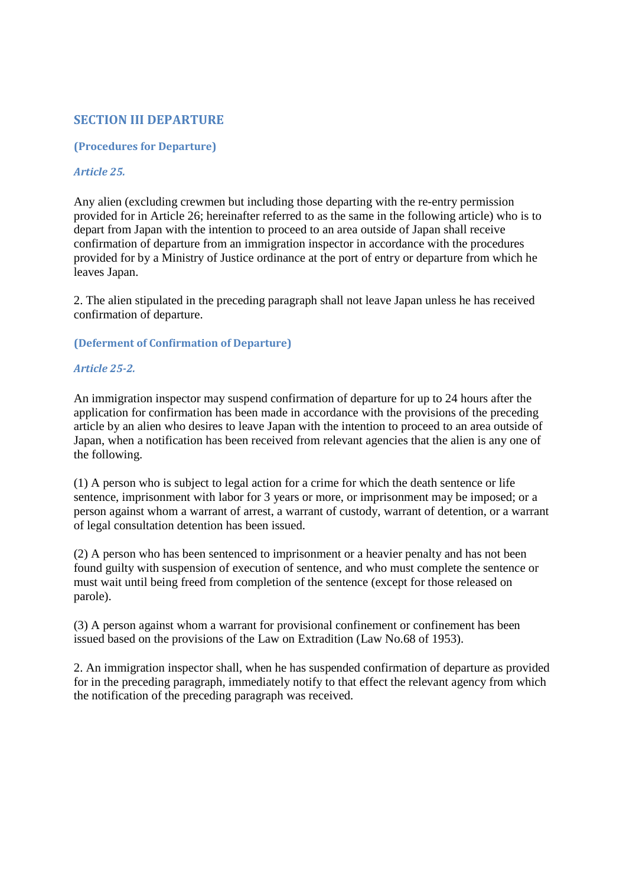## **SECTION III DEPARTURE**

#### **(Procedures for Departure)**

### *Article 25.*

Any alien (excluding crewmen but including those departing with the re-entry permission provided for in Article 26; hereinafter referred to as the same in the following article) who is to depart from Japan with the intention to proceed to an area outside of Japan shall receive confirmation of departure from an immigration inspector in accordance with the procedures provided for by a Ministry of Justice ordinance at the port of entry or departure from which he leaves Japan.

2. The alien stipulated in the preceding paragraph shall not leave Japan unless he has received confirmation of departure.

### **(Deferment of Confirmation of Departure)**

### *Article 25-2.*

An immigration inspector may suspend confirmation of departure for up to 24 hours after the application for confirmation has been made in accordance with the provisions of the preceding article by an alien who desires to leave Japan with the intention to proceed to an area outside of Japan, when a notification has been received from relevant agencies that the alien is any one of the following.

(1) A person who is subject to legal action for a crime for which the death sentence or life sentence, imprisonment with labor for 3 years or more, or imprisonment may be imposed; or a person against whom a warrant of arrest, a warrant of custody, warrant of detention, or a warrant of legal consultation detention has been issued.

(2) A person who has been sentenced to imprisonment or a heavier penalty and has not been found guilty with suspension of execution of sentence, and who must complete the sentence or must wait until being freed from completion of the sentence (except for those released on parole).

(3) A person against whom a warrant for provisional confinement or confinement has been issued based on the provisions of the Law on Extradition (Law No.68 of 1953).

2. An immigration inspector shall, when he has suspended confirmation of departure as provided for in the preceding paragraph, immediately notify to that effect the relevant agency from which the notification of the preceding paragraph was received.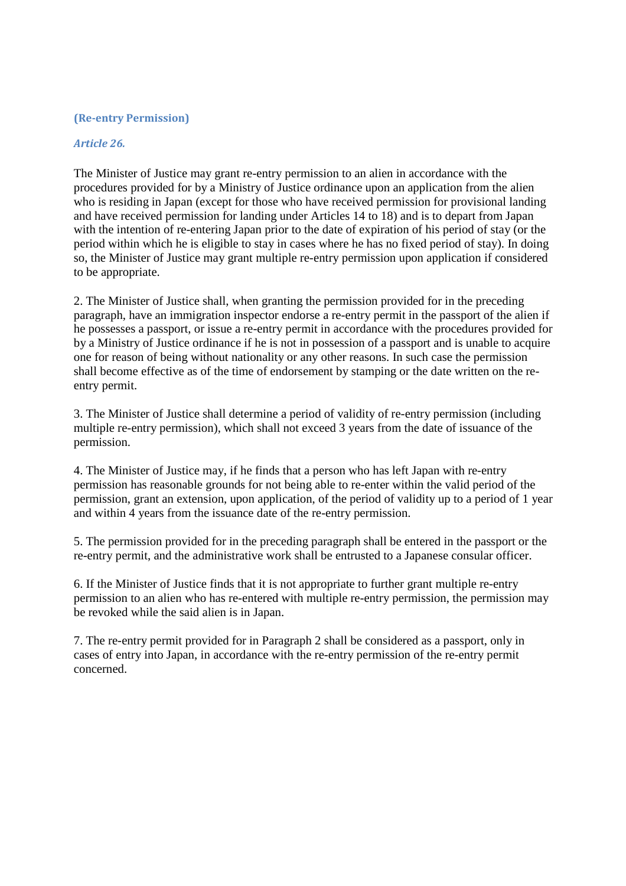### **(Re-entry Permission)**

#### *Article 26.*

The Minister of Justice may grant re-entry permission to an alien in accordance with the procedures provided for by a Ministry of Justice ordinance upon an application from the alien who is residing in Japan (except for those who have received permission for provisional landing and have received permission for landing under Articles 14 to 18) and is to depart from Japan with the intention of re-entering Japan prior to the date of expiration of his period of stay (or the period within which he is eligible to stay in cases where he has no fixed period of stay). In doing so, the Minister of Justice may grant multiple re-entry permission upon application if considered to be appropriate.

2. The Minister of Justice shall, when granting the permission provided for in the preceding paragraph, have an immigration inspector endorse a re-entry permit in the passport of the alien if he possesses a passport, or issue a re-entry permit in accordance with the procedures provided for by a Ministry of Justice ordinance if he is not in possession of a passport and is unable to acquire one for reason of being without nationality or any other reasons. In such case the permission shall become effective as of the time of endorsement by stamping or the date written on the reentry permit.

3. The Minister of Justice shall determine a period of validity of re-entry permission (including multiple re-entry permission), which shall not exceed 3 years from the date of issuance of the permission.

4. The Minister of Justice may, if he finds that a person who has left Japan with re-entry permission has reasonable grounds for not being able to re-enter within the valid period of the permission, grant an extension, upon application, of the period of validity up to a period of 1 year and within 4 years from the issuance date of the re-entry permission.

5. The permission provided for in the preceding paragraph shall be entered in the passport or the re-entry permit, and the administrative work shall be entrusted to a Japanese consular officer.

6. If the Minister of Justice finds that it is not appropriate to further grant multiple re-entry permission to an alien who has re-entered with multiple re-entry permission, the permission may be revoked while the said alien is in Japan.

7. The re-entry permit provided for in Paragraph 2 shall be considered as a passport, only in cases of entry into Japan, in accordance with the re-entry permission of the re-entry permit concerned.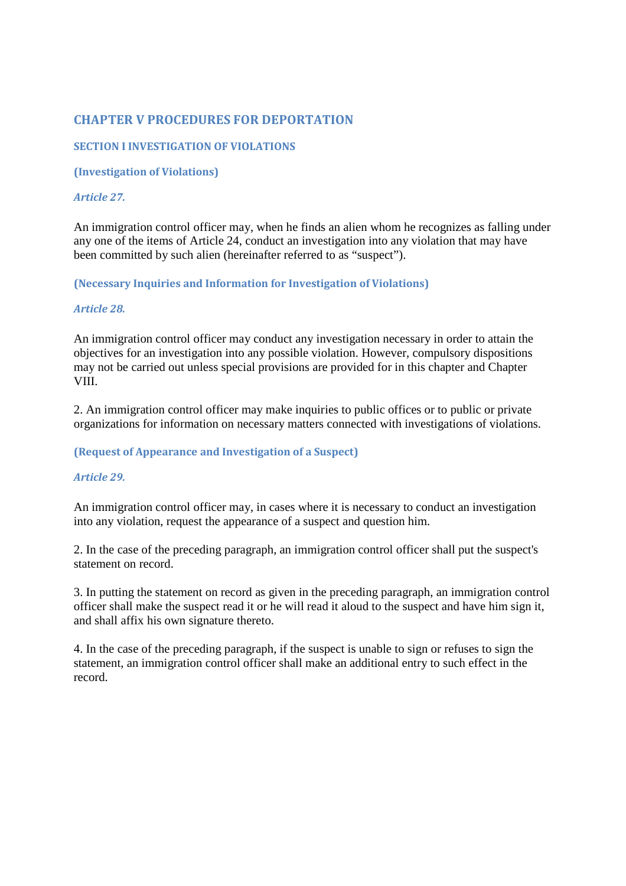# **CHAPTER V PROCEDURES FOR DEPORTATION**

## **SECTION I INVESTIGATION OF VIOLATIONS**

**(Investigation of Violations)** 

## *Article 27.*

An immigration control officer may, when he finds an alien whom he recognizes as falling under any one of the items of Article 24, conduct an investigation into any violation that may have been committed by such alien (hereinafter referred to as "suspect").

**(Necessary Inquiries and Information for Investigation of Violations)** 

## *Article 28.*

An immigration control officer may conduct any investigation necessary in order to attain the objectives for an investigation into any possible violation. However, compulsory dispositions may not be carried out unless special provisions are provided for in this chapter and Chapter VIII.

2. An immigration control officer may make inquiries to public offices or to public or private organizations for information on necessary matters connected with investigations of violations.

## **(Request of Appearance and Investigation of a Suspect)**

## *Article 29.*

An immigration control officer may, in cases where it is necessary to conduct an investigation into any violation, request the appearance of a suspect and question him.

2. In the case of the preceding paragraph, an immigration control officer shall put the suspect's statement on record.

3. In putting the statement on record as given in the preceding paragraph, an immigration control officer shall make the suspect read it or he will read it aloud to the suspect and have him sign it, and shall affix his own signature thereto.

4. In the case of the preceding paragraph, if the suspect is unable to sign or refuses to sign the statement, an immigration control officer shall make an additional entry to such effect in the record.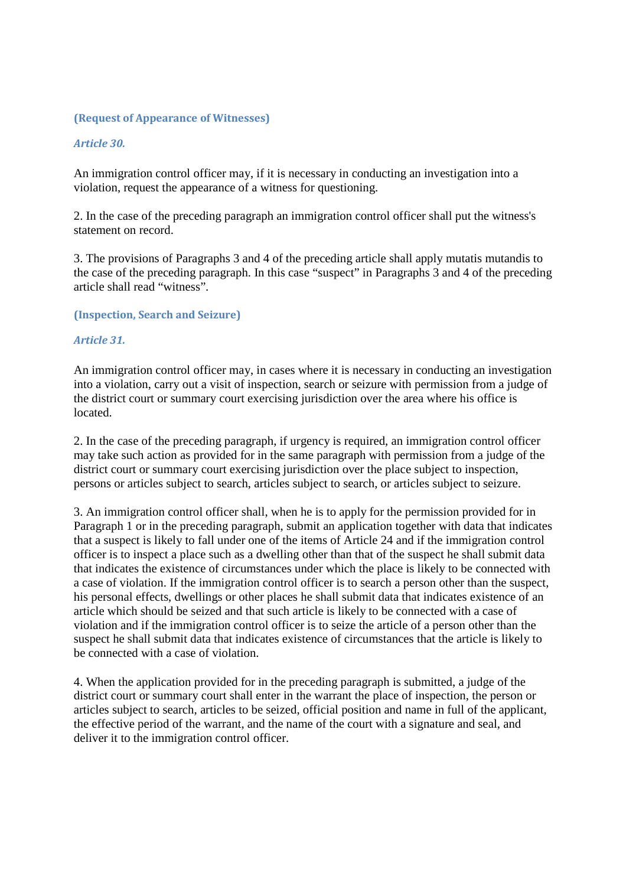### **(Request of Appearance of Witnesses)**

### *Article 30.*

An immigration control officer may, if it is necessary in conducting an investigation into a violation, request the appearance of a witness for questioning.

2. In the case of the preceding paragraph an immigration control officer shall put the witness's statement on record.

3. The provisions of Paragraphs 3 and 4 of the preceding article shall apply mutatis mutandis to the case of the preceding paragraph. In this case "suspect" in Paragraphs 3 and 4 of the preceding article shall read "witness".

**(Inspection, Search and Seizure)** 

#### *Article 31.*

An immigration control officer may, in cases where it is necessary in conducting an investigation into a violation, carry out a visit of inspection, search or seizure with permission from a judge of the district court or summary court exercising jurisdiction over the area where his office is located.

2. In the case of the preceding paragraph, if urgency is required, an immigration control officer may take such action as provided for in the same paragraph with permission from a judge of the district court or summary court exercising jurisdiction over the place subject to inspection, persons or articles subject to search, articles subject to search, or articles subject to seizure.

3. An immigration control officer shall, when he is to apply for the permission provided for in Paragraph 1 or in the preceding paragraph, submit an application together with data that indicates that a suspect is likely to fall under one of the items of Article 24 and if the immigration control officer is to inspect a place such as a dwelling other than that of the suspect he shall submit data that indicates the existence of circumstances under which the place is likely to be connected with a case of violation. If the immigration control officer is to search a person other than the suspect, his personal effects, dwellings or other places he shall submit data that indicates existence of an article which should be seized and that such article is likely to be connected with a case of violation and if the immigration control officer is to seize the article of a person other than the suspect he shall submit data that indicates existence of circumstances that the article is likely to be connected with a case of violation.

4. When the application provided for in the preceding paragraph is submitted, a judge of the district court or summary court shall enter in the warrant the place of inspection, the person or articles subject to search, articles to be seized, official position and name in full of the applicant, the effective period of the warrant, and the name of the court with a signature and seal, and deliver it to the immigration control officer.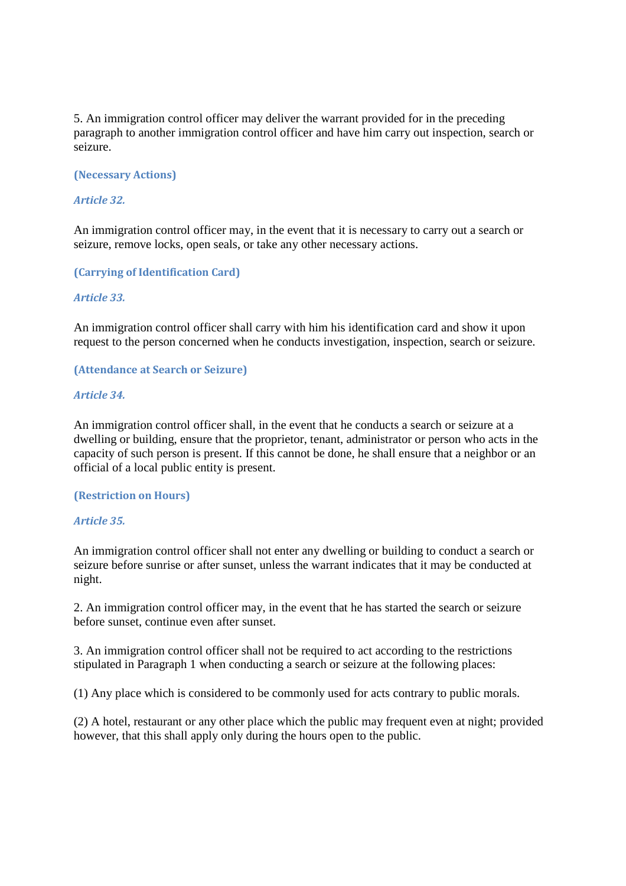5. An immigration control officer may deliver the warrant provided for in the preceding paragraph to another immigration control officer and have him carry out inspection, search or seizure.

**(Necessary Actions)** 

#### *Article 32.*

An immigration control officer may, in the event that it is necessary to carry out a search or seizure, remove locks, open seals, or take any other necessary actions.

**(Carrying of Identification Card)** 

#### *Article 33.*

An immigration control officer shall carry with him his identification card and show it upon request to the person concerned when he conducts investigation, inspection, search or seizure.

**(Attendance at Search or Seizure)** 

#### *Article 34.*

An immigration control officer shall, in the event that he conducts a search or seizure at a dwelling or building, ensure that the proprietor, tenant, administrator or person who acts in the capacity of such person is present. If this cannot be done, he shall ensure that a neighbor or an official of a local public entity is present.

#### **(Restriction on Hours)**

#### *Article 35.*

An immigration control officer shall not enter any dwelling or building to conduct a search or seizure before sunrise or after sunset, unless the warrant indicates that it may be conducted at night.

2. An immigration control officer may, in the event that he has started the search or seizure before sunset, continue even after sunset.

3. An immigration control officer shall not be required to act according to the restrictions stipulated in Paragraph 1 when conducting a search or seizure at the following places:

(1) Any place which is considered to be commonly used for acts contrary to public morals.

(2) A hotel, restaurant or any other place which the public may frequent even at night; provided however, that this shall apply only during the hours open to the public.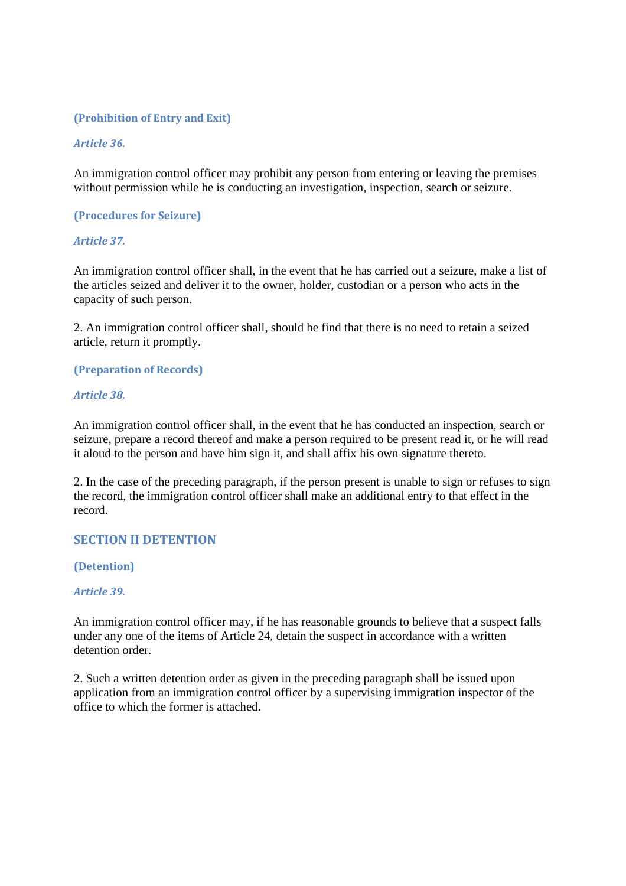### **(Prohibition of Entry and Exit)**

#### *Article 36.*

An immigration control officer may prohibit any person from entering or leaving the premises without permission while he is conducting an investigation, inspection, search or seizure.

#### **(Procedures for Seizure)**

#### *Article 37.*

An immigration control officer shall, in the event that he has carried out a seizure, make a list of the articles seized and deliver it to the owner, holder, custodian or a person who acts in the capacity of such person.

2. An immigration control officer shall, should he find that there is no need to retain a seized article, return it promptly.

#### **(Preparation of Records)**

#### *Article 38.*

An immigration control officer shall, in the event that he has conducted an inspection, search or seizure, prepare a record thereof and make a person required to be present read it, or he will read it aloud to the person and have him sign it, and shall affix his own signature thereto.

2. In the case of the preceding paragraph, if the person present is unable to sign or refuses to sign the record, the immigration control officer shall make an additional entry to that effect in the record.

## **SECTION II DETENTION**

**(Detention)** 

#### *Article 39.*

An immigration control officer may, if he has reasonable grounds to believe that a suspect falls under any one of the items of Article 24, detain the suspect in accordance with a written detention order.

2. Such a written detention order as given in the preceding paragraph shall be issued upon application from an immigration control officer by a supervising immigration inspector of the office to which the former is attached.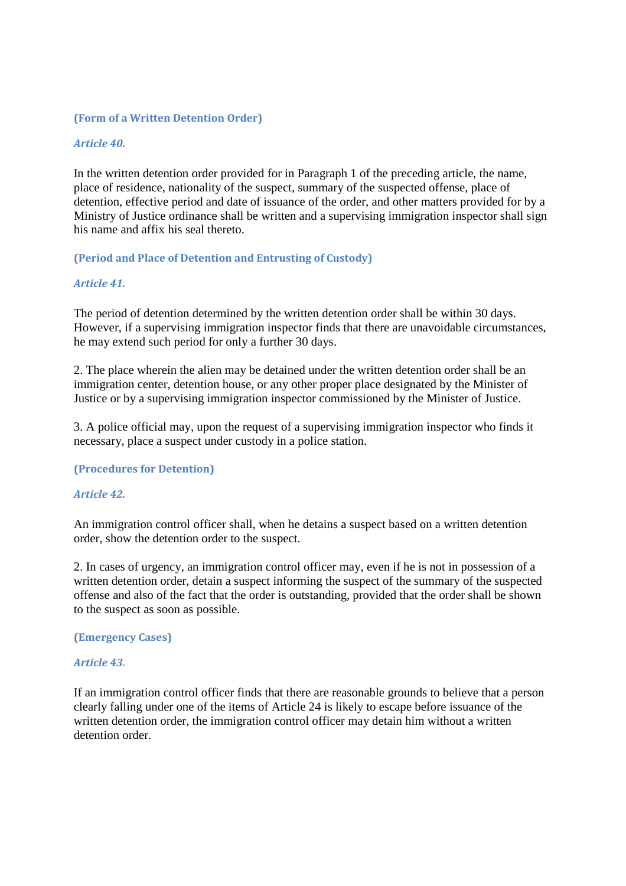#### **(Form of a Written Detention Order)**

#### *Article 40.*

In the written detention order provided for in Paragraph 1 of the preceding article, the name, place of residence, nationality of the suspect, summary of the suspected offense, place of detention, effective period and date of issuance of the order, and other matters provided for by a Ministry of Justice ordinance shall be written and a supervising immigration inspector shall sign his name and affix his seal thereto.

### **(Period and Place of Detention and Entrusting of Custody)**

#### *Article 41.*

The period of detention determined by the written detention order shall be within 30 days. However, if a supervising immigration inspector finds that there are unavoidable circumstances, he may extend such period for only a further 30 days.

2. The place wherein the alien may be detained under the written detention order shall be an immigration center, detention house, or any other proper place designated by the Minister of Justice or by a supervising immigration inspector commissioned by the Minister of Justice.

3. A police official may, upon the request of a supervising immigration inspector who finds it necessary, place a suspect under custody in a police station.

#### **(Procedures for Detention)**

#### *Article 42.*

An immigration control officer shall, when he detains a suspect based on a written detention order, show the detention order to the suspect.

2. In cases of urgency, an immigration control officer may, even if he is not in possession of a written detention order, detain a suspect informing the suspect of the summary of the suspected offense and also of the fact that the order is outstanding, provided that the order shall be shown to the suspect as soon as possible.

#### **(Emergency Cases)**

#### *Article 43.*

If an immigration control officer finds that there are reasonable grounds to believe that a person clearly falling under one of the items of Article 24 is likely to escape before issuance of the written detention order, the immigration control officer may detain him without a written detention order.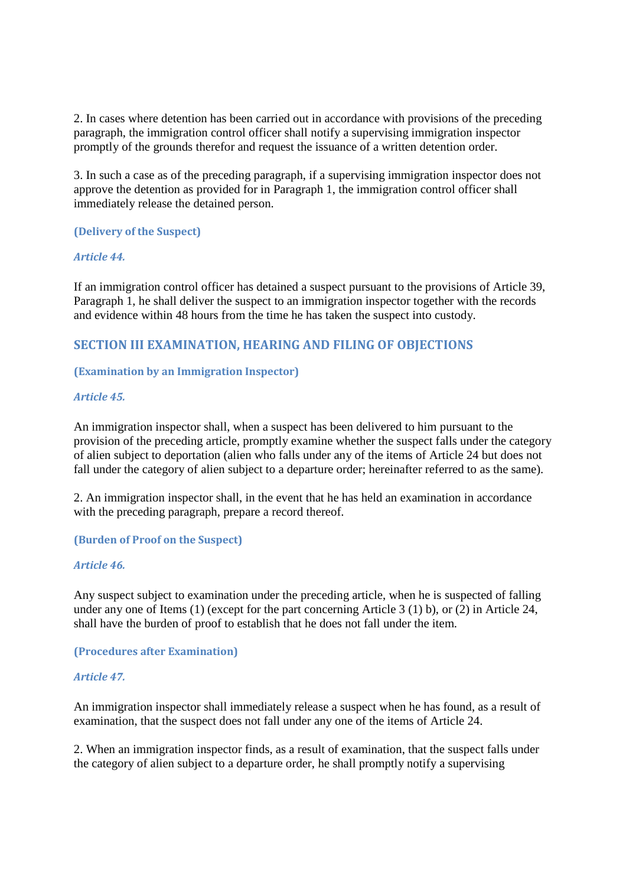2. In cases where detention has been carried out in accordance with provisions of the preceding paragraph, the immigration control officer shall notify a supervising immigration inspector promptly of the grounds therefor and request the issuance of a written detention order.

3. In such a case as of the preceding paragraph, if a supervising immigration inspector does not approve the detention as provided for in Paragraph 1, the immigration control officer shall immediately release the detained person.

## **(Delivery of the Suspect)**

## *Article 44.*

If an immigration control officer has detained a suspect pursuant to the provisions of Article 39, Paragraph 1, he shall deliver the suspect to an immigration inspector together with the records and evidence within 48 hours from the time he has taken the suspect into custody.

# **SECTION III EXAMINATION, HEARING AND FILING OF OBJECTIONS**

## **(Examination by an Immigration Inspector)**

## *Article 45.*

An immigration inspector shall, when a suspect has been delivered to him pursuant to the provision of the preceding article, promptly examine whether the suspect falls under the category of alien subject to deportation (alien who falls under any of the items of Article 24 but does not fall under the category of alien subject to a departure order; hereinafter referred to as the same).

2. An immigration inspector shall, in the event that he has held an examination in accordance with the preceding paragraph, prepare a record thereof.

## **(Burden of Proof on the Suspect)**

## *Article 46.*

Any suspect subject to examination under the preceding article, when he is suspected of falling under any one of Items (1) (except for the part concerning Article 3 (1) b), or (2) in Article 24, shall have the burden of proof to establish that he does not fall under the item.

**(Procedures after Examination)** 

## *Article 47.*

An immigration inspector shall immediately release a suspect when he has found, as a result of examination, that the suspect does not fall under any one of the items of Article 24.

2. When an immigration inspector finds, as a result of examination, that the suspect falls under the category of alien subject to a departure order, he shall promptly notify a supervising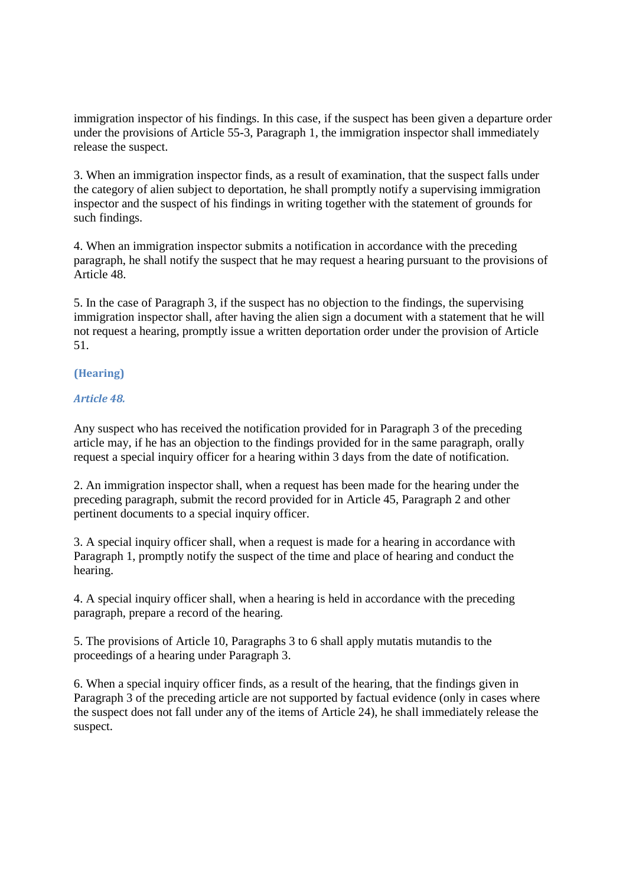immigration inspector of his findings. In this case, if the suspect has been given a departure order under the provisions of Article 55-3, Paragraph 1, the immigration inspector shall immediately release the suspect.

3. When an immigration inspector finds, as a result of examination, that the suspect falls under the category of alien subject to deportation, he shall promptly notify a supervising immigration inspector and the suspect of his findings in writing together with the statement of grounds for such findings.

4. When an immigration inspector submits a notification in accordance with the preceding paragraph, he shall notify the suspect that he may request a hearing pursuant to the provisions of Article 48.

5. In the case of Paragraph 3, if the suspect has no objection to the findings, the supervising immigration inspector shall, after having the alien sign a document with a statement that he will not request a hearing, promptly issue a written deportation order under the provision of Article 51.

## **(Hearing)**

## *Article 48.*

Any suspect who has received the notification provided for in Paragraph 3 of the preceding article may, if he has an objection to the findings provided for in the same paragraph, orally request a special inquiry officer for a hearing within 3 days from the date of notification.

2. An immigration inspector shall, when a request has been made for the hearing under the preceding paragraph, submit the record provided for in Article 45, Paragraph 2 and other pertinent documents to a special inquiry officer.

3. A special inquiry officer shall, when a request is made for a hearing in accordance with Paragraph 1, promptly notify the suspect of the time and place of hearing and conduct the hearing.

4. A special inquiry officer shall, when a hearing is held in accordance with the preceding paragraph, prepare a record of the hearing.

5. The provisions of Article 10, Paragraphs 3 to 6 shall apply mutatis mutandis to the proceedings of a hearing under Paragraph 3.

6. When a special inquiry officer finds, as a result of the hearing, that the findings given in Paragraph 3 of the preceding article are not supported by factual evidence (only in cases where the suspect does not fall under any of the items of Article 24), he shall immediately release the suspect.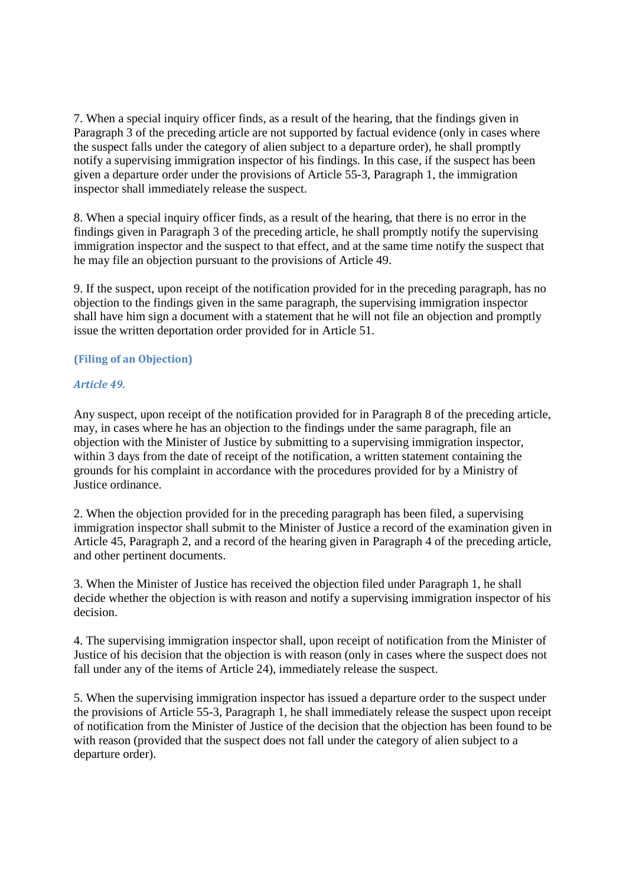7. When a special inquiry officer finds, as a result of the hearing, that the findings given in Paragraph 3 of the preceding article are not supported by factual evidence (only in cases where the suspect falls under the category of alien subject to a departure order), he shall promptly notify a supervising immigration inspector of his findings. In this case, if the suspect has been given a departure order under the provisions of Article 55-3, Paragraph 1, the immigration inspector shall immediately release the suspect.

8. When a special inquiry officer finds, as a result of the hearing, that there is no error in the findings given in Paragraph 3 of the preceding article, he shall promptly notify the supervising immigration inspector and the suspect to that effect, and at the same time notify the suspect that he may file an objection pursuant to the provisions of Article 49.

9. If the suspect, upon receipt of the notification provided for in the preceding paragraph, has no objection to the findings given in the same paragraph, the supervising immigration inspector shall have him sign a document with a statement that he will not file an objection and promptly issue the written deportation order provided for in Article 51.

## **(Filing of an Objection)**

## *Article 49.*

Any suspect, upon receipt of the notification provided for in Paragraph 8 of the preceding article, may, in cases where he has an objection to the findings under the same paragraph, file an objection with the Minister of Justice by submitting to a supervising immigration inspector, within 3 days from the date of receipt of the notification, a written statement containing the grounds for his complaint in accordance with the procedures provided for by a Ministry of Justice ordinance.

2. When the objection provided for in the preceding paragraph has been filed, a supervising immigration inspector shall submit to the Minister of Justice a record of the examination given in Article 45, Paragraph 2, and a record of the hearing given in Paragraph 4 of the preceding article, and other pertinent documents.

3. When the Minister of Justice has received the objection filed under Paragraph 1, he shall decide whether the objection is with reason and notify a supervising immigration inspector of his decision.

4. The supervising immigration inspector shall, upon receipt of notification from the Minister of Justice of his decision that the objection is with reason (only in cases where the suspect does not fall under any of the items of Article 24), immediately release the suspect.

5. When the supervising immigration inspector has issued a departure order to the suspect under the provisions of Article 55-3, Paragraph 1, he shall immediately release the suspect upon receipt of notification from the Minister of Justice of the decision that the objection has been found to be with reason (provided that the suspect does not fall under the category of alien subject to a departure order).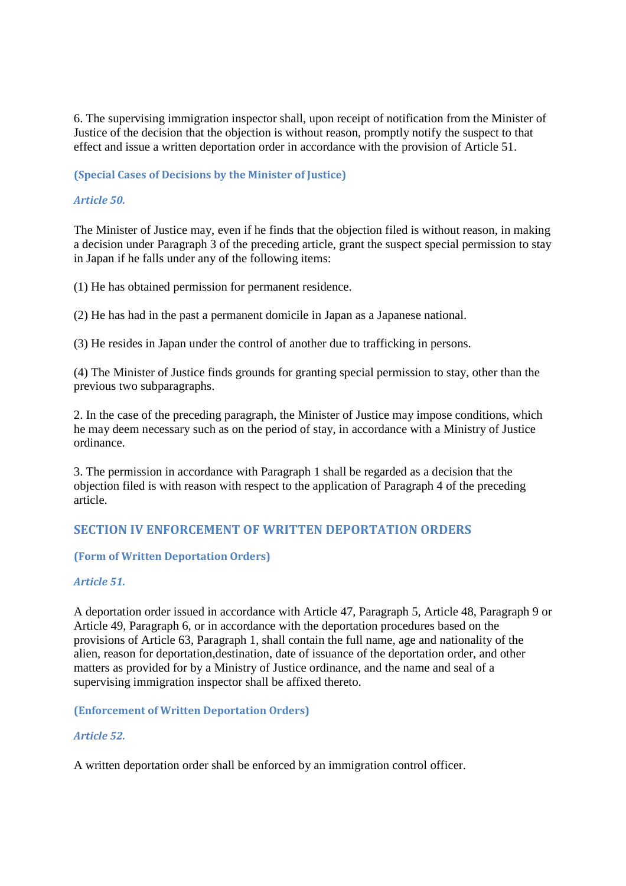6. The supervising immigration inspector shall, upon receipt of notification from the Minister of Justice of the decision that the objection is without reason, promptly notify the suspect to that effect and issue a written deportation order in accordance with the provision of Article 51.

## **(Special Cases of Decisions by the Minister of Justice)**

## *Article 50.*

The Minister of Justice may, even if he finds that the objection filed is without reason, in making a decision under Paragraph 3 of the preceding article, grant the suspect special permission to stay in Japan if he falls under any of the following items:

(1) He has obtained permission for permanent residence.

(2) He has had in the past a permanent domicile in Japan as a Japanese national.

(3) He resides in Japan under the control of another due to trafficking in persons.

(4) The Minister of Justice finds grounds for granting special permission to stay, other than the previous two subparagraphs.

2. In the case of the preceding paragraph, the Minister of Justice may impose conditions, which he may deem necessary such as on the period of stay, in accordance with a Ministry of Justice ordinance.

3. The permission in accordance with Paragraph 1 shall be regarded as a decision that the objection filed is with reason with respect to the application of Paragraph 4 of the preceding article.

# **SECTION IV ENFORCEMENT OF WRITTEN DEPORTATION ORDERS**

#### **(Form of Written Deportation Orders)**

#### *Article 51.*

A deportation order issued in accordance with Article 47, Paragraph 5, Article 48, Paragraph 9 or Article 49, Paragraph 6, or in accordance with the deportation procedures based on the provisions of Article 63, Paragraph 1, shall contain the full name, age and nationality of the alien, reason for deportation,destination, date of issuance of the deportation order, and other matters as provided for by a Ministry of Justice ordinance, and the name and seal of a supervising immigration inspector shall be affixed thereto.

**(Enforcement of Written Deportation Orders)** 

## *Article 52.*

A written deportation order shall be enforced by an immigration control officer.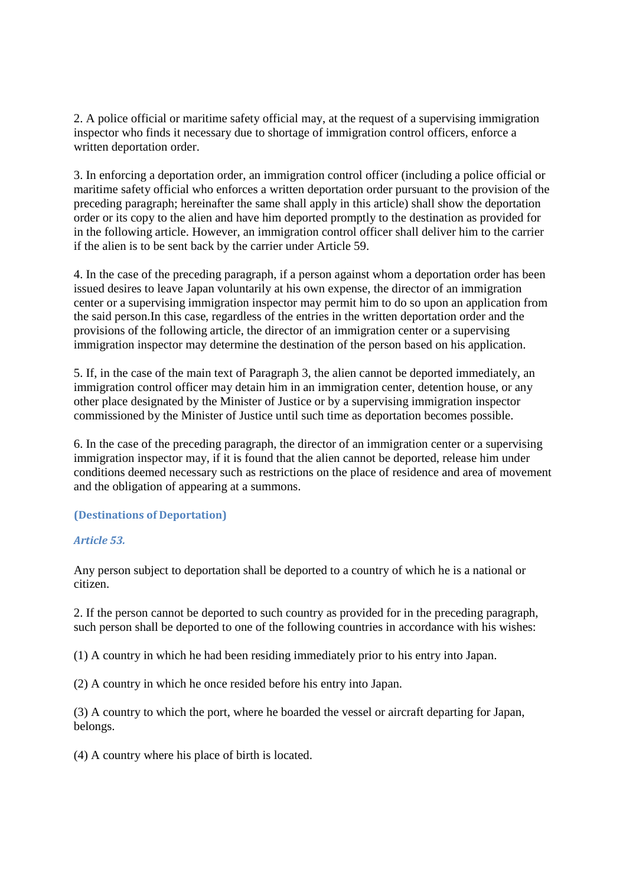2. A police official or maritime safety official may, at the request of a supervising immigration inspector who finds it necessary due to shortage of immigration control officers, enforce a written deportation order.

3. In enforcing a deportation order, an immigration control officer (including a police official or maritime safety official who enforces a written deportation order pursuant to the provision of the preceding paragraph; hereinafter the same shall apply in this article) shall show the deportation order or its copy to the alien and have him deported promptly to the destination as provided for in the following article. However, an immigration control officer shall deliver him to the carrier if the alien is to be sent back by the carrier under Article 59.

4. In the case of the preceding paragraph, if a person against whom a deportation order has been issued desires to leave Japan voluntarily at his own expense, the director of an immigration center or a supervising immigration inspector may permit him to do so upon an application from the said person.In this case, regardless of the entries in the written deportation order and the provisions of the following article, the director of an immigration center or a supervising immigration inspector may determine the destination of the person based on his application.

5. If, in the case of the main text of Paragraph 3, the alien cannot be deported immediately, an immigration control officer may detain him in an immigration center, detention house, or any other place designated by the Minister of Justice or by a supervising immigration inspector commissioned by the Minister of Justice until such time as deportation becomes possible.

6. In the case of the preceding paragraph, the director of an immigration center or a supervising immigration inspector may, if it is found that the alien cannot be deported, release him under conditions deemed necessary such as restrictions on the place of residence and area of movement and the obligation of appearing at a summons.

## **(Destinations of Deportation)**

## *Article 53.*

Any person subject to deportation shall be deported to a country of which he is a national or citizen.

2. If the person cannot be deported to such country as provided for in the preceding paragraph, such person shall be deported to one of the following countries in accordance with his wishes:

(1) A country in which he had been residing immediately prior to his entry into Japan.

(2) A country in which he once resided before his entry into Japan.

(3) A country to which the port, where he boarded the vessel or aircraft departing for Japan, belongs.

(4) A country where his place of birth is located.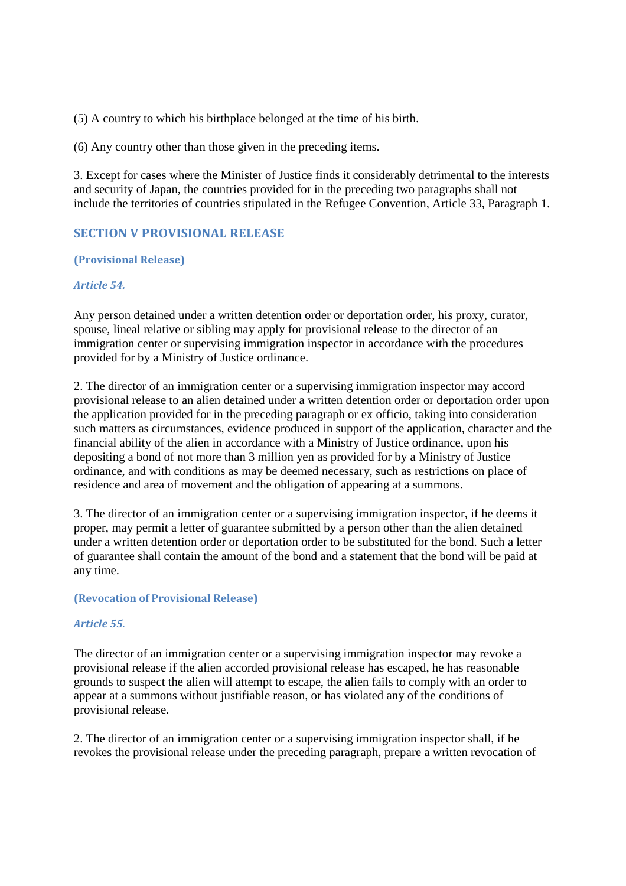(5) A country to which his birthplace belonged at the time of his birth.

(6) Any country other than those given in the preceding items.

3. Except for cases where the Minister of Justice finds it considerably detrimental to the interests and security of Japan, the countries provided for in the preceding two paragraphs shall not include the territories of countries stipulated in the Refugee Convention, Article 33, Paragraph 1.

# **SECTION V PROVISIONAL RELEASE**

### **(Provisional Release)**

### *Article 54.*

Any person detained under a written detention order or deportation order, his proxy, curator, spouse, lineal relative or sibling may apply for provisional release to the director of an immigration center or supervising immigration inspector in accordance with the procedures provided for by a Ministry of Justice ordinance.

2. The director of an immigration center or a supervising immigration inspector may accord provisional release to an alien detained under a written detention order or deportation order upon the application provided for in the preceding paragraph or ex officio, taking into consideration such matters as circumstances, evidence produced in support of the application, character and the financial ability of the alien in accordance with a Ministry of Justice ordinance, upon his depositing a bond of not more than 3 million yen as provided for by a Ministry of Justice ordinance, and with conditions as may be deemed necessary, such as restrictions on place of residence and area of movement and the obligation of appearing at a summons.

3. The director of an immigration center or a supervising immigration inspector, if he deems it proper, may permit a letter of guarantee submitted by a person other than the alien detained under a written detention order or deportation order to be substituted for the bond. Such a letter of guarantee shall contain the amount of the bond and a statement that the bond will be paid at any time.

#### **(Revocation of Provisional Release)**

## *Article 55.*

The director of an immigration center or a supervising immigration inspector may revoke a provisional release if the alien accorded provisional release has escaped, he has reasonable grounds to suspect the alien will attempt to escape, the alien fails to comply with an order to appear at a summons without justifiable reason, or has violated any of the conditions of provisional release.

2. The director of an immigration center or a supervising immigration inspector shall, if he revokes the provisional release under the preceding paragraph, prepare a written revocation of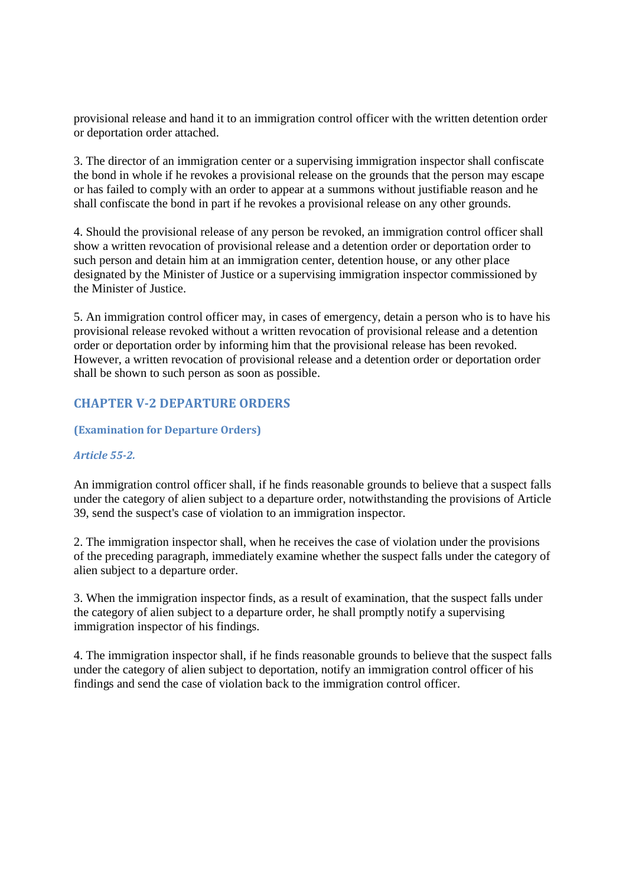provisional release and hand it to an immigration control officer with the written detention order or deportation order attached.

3. The director of an immigration center or a supervising immigration inspector shall confiscate the bond in whole if he revokes a provisional release on the grounds that the person may escape or has failed to comply with an order to appear at a summons without justifiable reason and he shall confiscate the bond in part if he revokes a provisional release on any other grounds.

4. Should the provisional release of any person be revoked, an immigration control officer shall show a written revocation of provisional release and a detention order or deportation order to such person and detain him at an immigration center, detention house, or any other place designated by the Minister of Justice or a supervising immigration inspector commissioned by the Minister of Justice.

5. An immigration control officer may, in cases of emergency, detain a person who is to have his provisional release revoked without a written revocation of provisional release and a detention order or deportation order by informing him that the provisional release has been revoked. However, a written revocation of provisional release and a detention order or deportation order shall be shown to such person as soon as possible.

# **CHAPTER V-2 DEPARTURE ORDERS**

#### **(Examination for Departure Orders)**

#### *Article 55-2.*

An immigration control officer shall, if he finds reasonable grounds to believe that a suspect falls under the category of alien subject to a departure order, notwithstanding the provisions of Article 39, send the suspect's case of violation to an immigration inspector.

2. The immigration inspector shall, when he receives the case of violation under the provisions of the preceding paragraph, immediately examine whether the suspect falls under the category of alien subject to a departure order.

3. When the immigration inspector finds, as a result of examination, that the suspect falls under the category of alien subject to a departure order, he shall promptly notify a supervising immigration inspector of his findings.

4. The immigration inspector shall, if he finds reasonable grounds to believe that the suspect falls under the category of alien subject to deportation, notify an immigration control officer of his findings and send the case of violation back to the immigration control officer.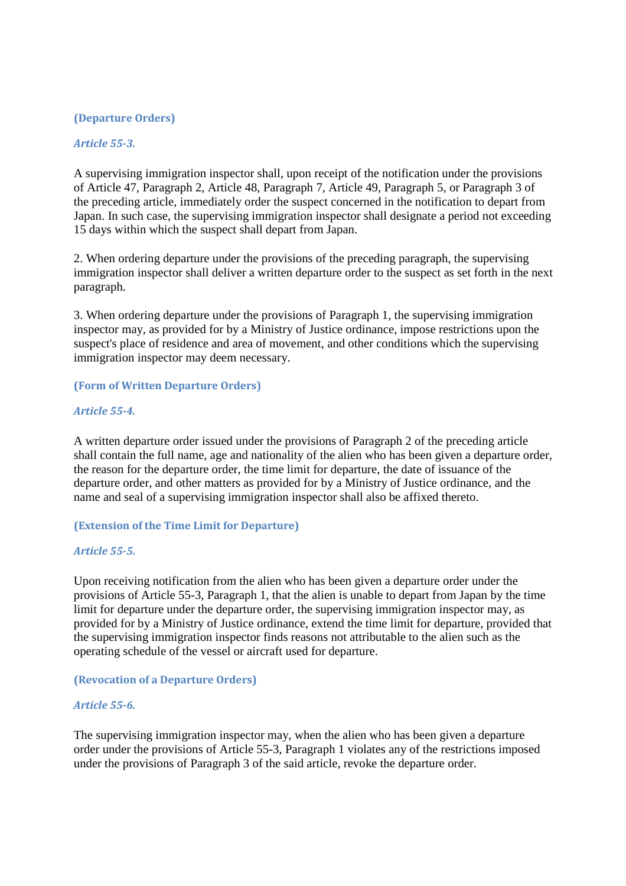## **(Departure Orders)**

#### *Article 55-3.*

A supervising immigration inspector shall, upon receipt of the notification under the provisions of Article 47, Paragraph 2, Article 48, Paragraph 7, Article 49, Paragraph 5, or Paragraph 3 of the preceding article, immediately order the suspect concerned in the notification to depart from Japan. In such case, the supervising immigration inspector shall designate a period not exceeding 15 days within which the suspect shall depart from Japan.

2. When ordering departure under the provisions of the preceding paragraph, the supervising immigration inspector shall deliver a written departure order to the suspect as set forth in the next paragraph.

3. When ordering departure under the provisions of Paragraph 1, the supervising immigration inspector may, as provided for by a Ministry of Justice ordinance, impose restrictions upon the suspect's place of residence and area of movement, and other conditions which the supervising immigration inspector may deem necessary.

#### **(Form of Written Departure Orders)**

#### *Article 55-4.*

A written departure order issued under the provisions of Paragraph 2 of the preceding article shall contain the full name, age and nationality of the alien who has been given a departure order, the reason for the departure order, the time limit for departure, the date of issuance of the departure order, and other matters as provided for by a Ministry of Justice ordinance, and the name and seal of a supervising immigration inspector shall also be affixed thereto.

#### **(Extension of the Time Limit for Departure)**

#### *Article 55-5.*

Upon receiving notification from the alien who has been given a departure order under the provisions of Article 55-3, Paragraph 1, that the alien is unable to depart from Japan by the time limit for departure under the departure order, the supervising immigration inspector may, as provided for by a Ministry of Justice ordinance, extend the time limit for departure, provided that the supervising immigration inspector finds reasons not attributable to the alien such as the operating schedule of the vessel or aircraft used for departure.

#### **(Revocation of a Departure Orders)**

#### *Article 55-6.*

The supervising immigration inspector may, when the alien who has been given a departure order under the provisions of Article 55-3, Paragraph 1 violates any of the restrictions imposed under the provisions of Paragraph 3 of the said article, revoke the departure order.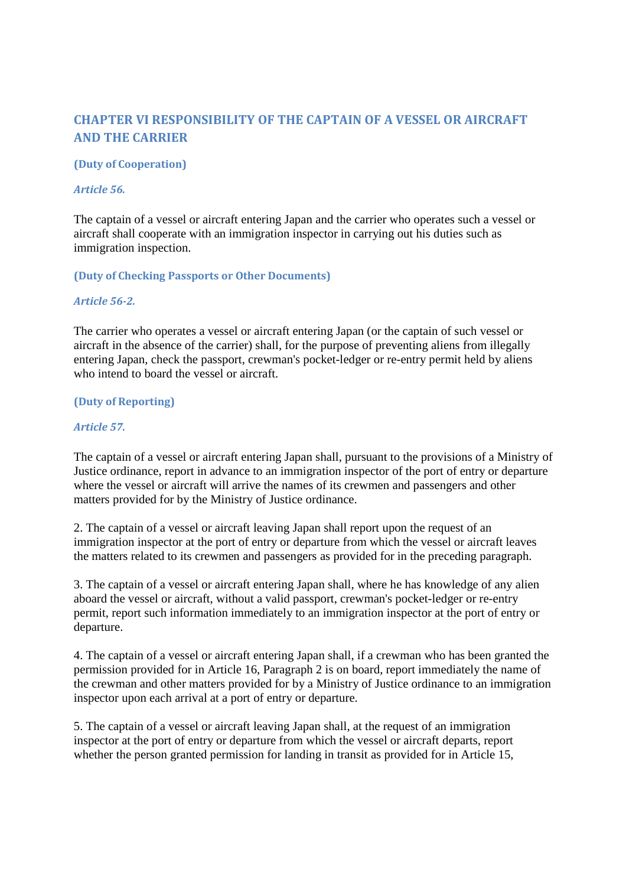# **CHAPTER VI RESPONSIBILITY OF THE CAPTAIN OF A VESSEL OR AIRCRAFT AND THE CARRIER**

## **(Duty of Cooperation)**

#### *Article 56.*

The captain of a vessel or aircraft entering Japan and the carrier who operates such a vessel or aircraft shall cooperate with an immigration inspector in carrying out his duties such as immigration inspection.

### **(Duty of Checking Passports or Other Documents)**

#### *Article 56-2.*

The carrier who operates a vessel or aircraft entering Japan (or the captain of such vessel or aircraft in the absence of the carrier) shall, for the purpose of preventing aliens from illegally entering Japan, check the passport, crewman's pocket-ledger or re-entry permit held by aliens who intend to board the vessel or aircraft.

## **(Duty of Reporting)**

### *Article 57.*

The captain of a vessel or aircraft entering Japan shall, pursuant to the provisions of a Ministry of Justice ordinance, report in advance to an immigration inspector of the port of entry or departure where the vessel or aircraft will arrive the names of its crewmen and passengers and other matters provided for by the Ministry of Justice ordinance.

2. The captain of a vessel or aircraft leaving Japan shall report upon the request of an immigration inspector at the port of entry or departure from which the vessel or aircraft leaves the matters related to its crewmen and passengers as provided for in the preceding paragraph.

3. The captain of a vessel or aircraft entering Japan shall, where he has knowledge of any alien aboard the vessel or aircraft, without a valid passport, crewman's pocket-ledger or re-entry permit, report such information immediately to an immigration inspector at the port of entry or departure.

4. The captain of a vessel or aircraft entering Japan shall, if a crewman who has been granted the permission provided for in Article 16, Paragraph 2 is on board, report immediately the name of the crewman and other matters provided for by a Ministry of Justice ordinance to an immigration inspector upon each arrival at a port of entry or departure.

5. The captain of a vessel or aircraft leaving Japan shall, at the request of an immigration inspector at the port of entry or departure from which the vessel or aircraft departs, report whether the person granted permission for landing in transit as provided for in Article 15,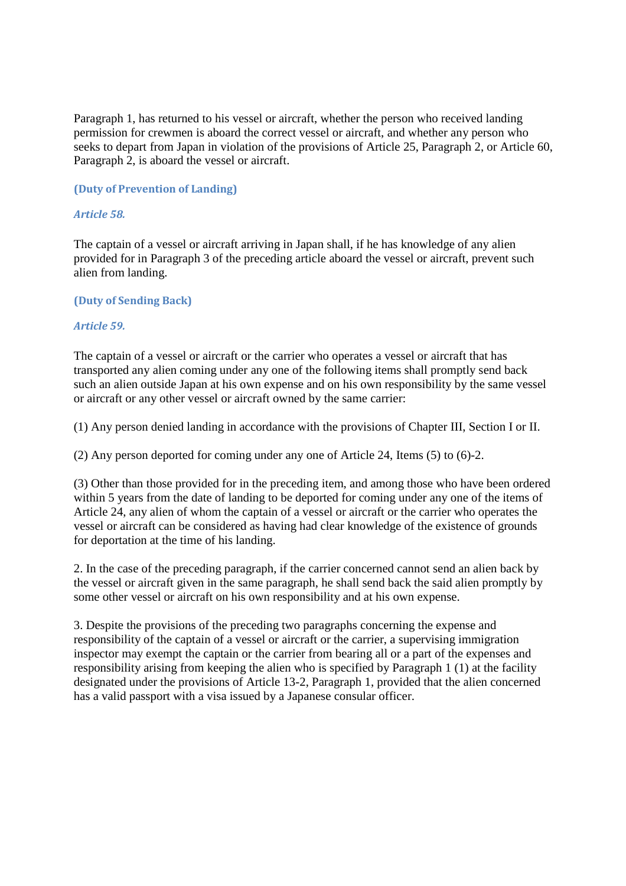Paragraph 1, has returned to his vessel or aircraft, whether the person who received landing permission for crewmen is aboard the correct vessel or aircraft, and whether any person who seeks to depart from Japan in violation of the provisions of Article 25, Paragraph 2, or Article 60, Paragraph 2, is aboard the vessel or aircraft.

## **(Duty of Prevention of Landing)**

## *Article 58.*

The captain of a vessel or aircraft arriving in Japan shall, if he has knowledge of any alien provided for in Paragraph 3 of the preceding article aboard the vessel or aircraft, prevent such alien from landing.

### **(Duty of Sending Back)**

### *Article 59.*

The captain of a vessel or aircraft or the carrier who operates a vessel or aircraft that has transported any alien coming under any one of the following items shall promptly send back such an alien outside Japan at his own expense and on his own responsibility by the same vessel or aircraft or any other vessel or aircraft owned by the same carrier:

(1) Any person denied landing in accordance with the provisions of Chapter III, Section I or II.

(2) Any person deported for coming under any one of Article 24, Items (5) to (6)-2.

(3) Other than those provided for in the preceding item, and among those who have been ordered within 5 years from the date of landing to be deported for coming under any one of the items of Article 24, any alien of whom the captain of a vessel or aircraft or the carrier who operates the vessel or aircraft can be considered as having had clear knowledge of the existence of grounds for deportation at the time of his landing.

2. In the case of the preceding paragraph, if the carrier concerned cannot send an alien back by the vessel or aircraft given in the same paragraph, he shall send back the said alien promptly by some other vessel or aircraft on his own responsibility and at his own expense.

3. Despite the provisions of the preceding two paragraphs concerning the expense and responsibility of the captain of a vessel or aircraft or the carrier, a supervising immigration inspector may exempt the captain or the carrier from bearing all or a part of the expenses and responsibility arising from keeping the alien who is specified by Paragraph 1 (1) at the facility designated under the provisions of Article 13-2, Paragraph 1, provided that the alien concerned has a valid passport with a visa issued by a Japanese consular officer.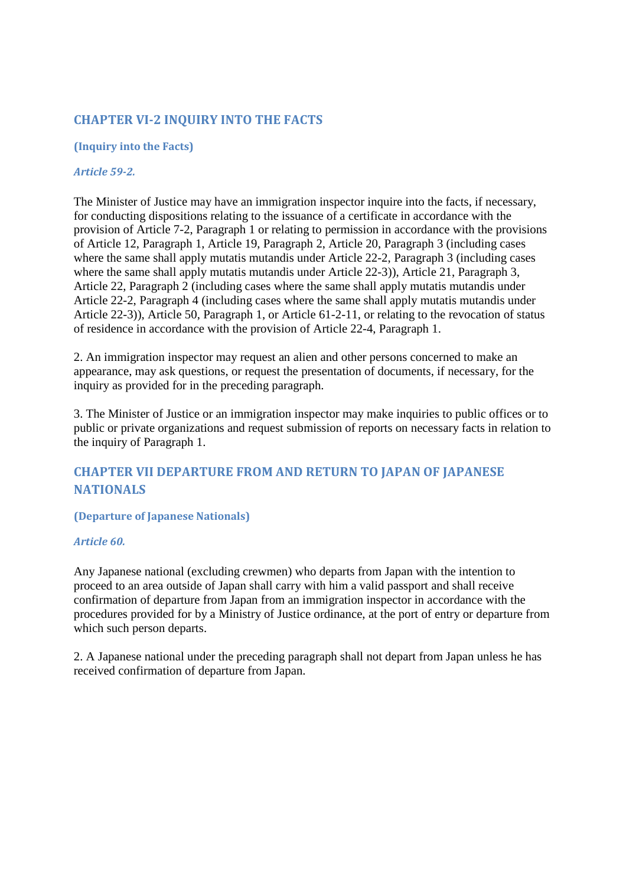# **CHAPTER VI-2 INQUIRY INTO THE FACTS**

## **(Inquiry into the Facts)**

#### *Article 59-2.*

The Minister of Justice may have an immigration inspector inquire into the facts, if necessary, for conducting dispositions relating to the issuance of a certificate in accordance with the provision of Article 7-2, Paragraph 1 or relating to permission in accordance with the provisions of Article 12, Paragraph 1, Article 19, Paragraph 2, Article 20, Paragraph 3 (including cases where the same shall apply mutatis mutandis under Article 22-2, Paragraph 3 (including cases where the same shall apply mutatis mutandis under Article 22-3)), Article 21, Paragraph 3, Article 22, Paragraph 2 (including cases where the same shall apply mutatis mutandis under Article 22-2, Paragraph 4 (including cases where the same shall apply mutatis mutandis under Article 22-3)), Article 50, Paragraph 1, or Article 61-2-11, or relating to the revocation of status of residence in accordance with the provision of Article 22-4, Paragraph 1.

2. An immigration inspector may request an alien and other persons concerned to make an appearance, may ask questions, or request the presentation of documents, if necessary, for the inquiry as provided for in the preceding paragraph.

3. The Minister of Justice or an immigration inspector may make inquiries to public offices or to public or private organizations and request submission of reports on necessary facts in relation to the inquiry of Paragraph 1.

# **CHAPTER VII DEPARTURE FROM AND RETURN TO JAPAN OF JAPANESE NATIONALS**

## **(Departure of Japanese Nationals)**

#### *Article 60.*

Any Japanese national (excluding crewmen) who departs from Japan with the intention to proceed to an area outside of Japan shall carry with him a valid passport and shall receive confirmation of departure from Japan from an immigration inspector in accordance with the procedures provided for by a Ministry of Justice ordinance, at the port of entry or departure from which such person departs.

2. A Japanese national under the preceding paragraph shall not depart from Japan unless he has received confirmation of departure from Japan.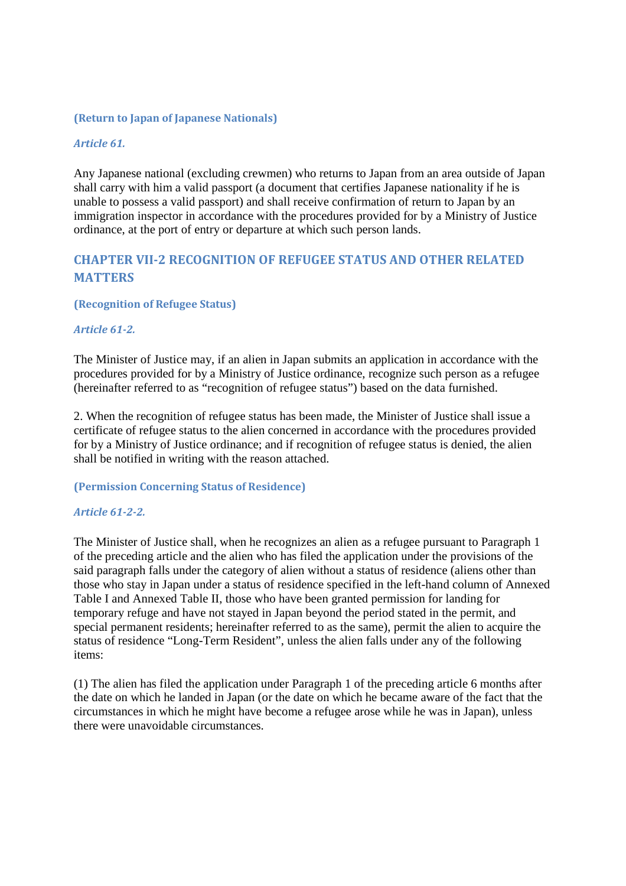### **(Return to Japan of Japanese Nationals)**

#### *Article 61.*

Any Japanese national (excluding crewmen) who returns to Japan from an area outside of Japan shall carry with him a valid passport (a document that certifies Japanese nationality if he is unable to possess a valid passport) and shall receive confirmation of return to Japan by an immigration inspector in accordance with the procedures provided for by a Ministry of Justice ordinance, at the port of entry or departure at which such person lands.

# **CHAPTER VII-2 RECOGNITION OF REFUGEE STATUS AND OTHER RELATED MATTERS**

#### **(Recognition of Refugee Status)**

#### *Article 61-2.*

The Minister of Justice may, if an alien in Japan submits an application in accordance with the procedures provided for by a Ministry of Justice ordinance, recognize such person as a refugee (hereinafter referred to as "recognition of refugee status") based on the data furnished.

2. When the recognition of refugee status has been made, the Minister of Justice shall issue a certificate of refugee status to the alien concerned in accordance with the procedures provided for by a Ministry of Justice ordinance; and if recognition of refugee status is denied, the alien shall be notified in writing with the reason attached.

#### **(Permission Concerning Status of Residence)**

#### *Article 61-2-2.*

The Minister of Justice shall, when he recognizes an alien as a refugee pursuant to Paragraph 1 of the preceding article and the alien who has filed the application under the provisions of the said paragraph falls under the category of alien without a status of residence (aliens other than those who stay in Japan under a status of residence specified in the left-hand column of Annexed Table I and Annexed Table II, those who have been granted permission for landing for temporary refuge and have not stayed in Japan beyond the period stated in the permit, and special permanent residents; hereinafter referred to as the same), permit the alien to acquire the status of residence "Long-Term Resident", unless the alien falls under any of the following items:

(1) The alien has filed the application under Paragraph 1 of the preceding article 6 months after the date on which he landed in Japan (or the date on which he became aware of the fact that the circumstances in which he might have become a refugee arose while he was in Japan), unless there were unavoidable circumstances.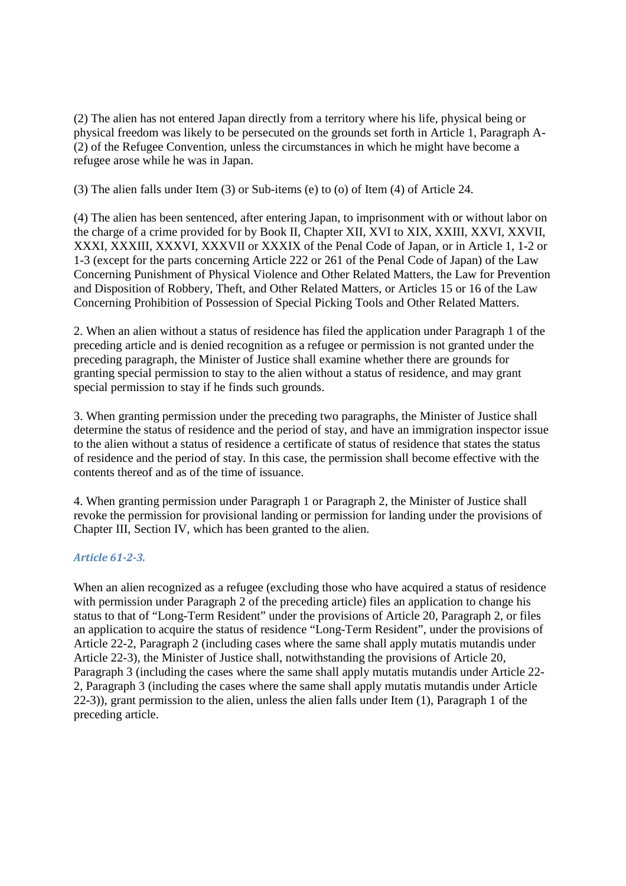(2) The alien has not entered Japan directly from a territory where his life, physical being or physical freedom was likely to be persecuted on the grounds set forth in Article 1, Paragraph A- (2) of the Refugee Convention, unless the circumstances in which he might have become a refugee arose while he was in Japan.

(3) The alien falls under Item (3) or Sub-items (e) to (o) of Item (4) of Article 24.

(4) The alien has been sentenced, after entering Japan, to imprisonment with or without labor on the charge of a crime provided for by Book II, Chapter XII, XVI to XIX, XXIII, XXVI, XXVII, XXXI, XXXIII, XXXVI, XXXVII or XXXIX of the Penal Code of Japan, or in Article 1, 1-2 or 1-3 (except for the parts concerning Article 222 or 261 of the Penal Code of Japan) of the Law Concerning Punishment of Physical Violence and Other Related Matters, the Law for Prevention and Disposition of Robbery, Theft, and Other Related Matters, or Articles 15 or 16 of the Law Concerning Prohibition of Possession of Special Picking Tools and Other Related Matters.

2. When an alien without a status of residence has filed the application under Paragraph 1 of the preceding article and is denied recognition as a refugee or permission is not granted under the preceding paragraph, the Minister of Justice shall examine whether there are grounds for granting special permission to stay to the alien without a status of residence, and may grant special permission to stay if he finds such grounds.

3. When granting permission under the preceding two paragraphs, the Minister of Justice shall determine the status of residence and the period of stay, and have an immigration inspector issue to the alien without a status of residence a certificate of status of residence that states the status of residence and the period of stay. In this case, the permission shall become effective with the contents thereof and as of the time of issuance.

4. When granting permission under Paragraph 1 or Paragraph 2, the Minister of Justice shall revoke the permission for provisional landing or permission for landing under the provisions of Chapter III, Section IV, which has been granted to the alien.

## *Article 61-2-3.*

When an alien recognized as a refugee (excluding those who have acquired a status of residence with permission under Paragraph 2 of the preceding article) files an application to change his status to that of "Long-Term Resident" under the provisions of Article 20, Paragraph 2, or files an application to acquire the status of residence "Long-Term Resident", under the provisions of Article 22-2, Paragraph 2 (including cases where the same shall apply mutatis mutandis under Article 22-3), the Minister of Justice shall, notwithstanding the provisions of Article 20, Paragraph 3 (including the cases where the same shall apply mutatis mutandis under Article 22- 2, Paragraph 3 (including the cases where the same shall apply mutatis mutandis under Article 22-3)), grant permission to the alien, unless the alien falls under Item (1), Paragraph 1 of the preceding article.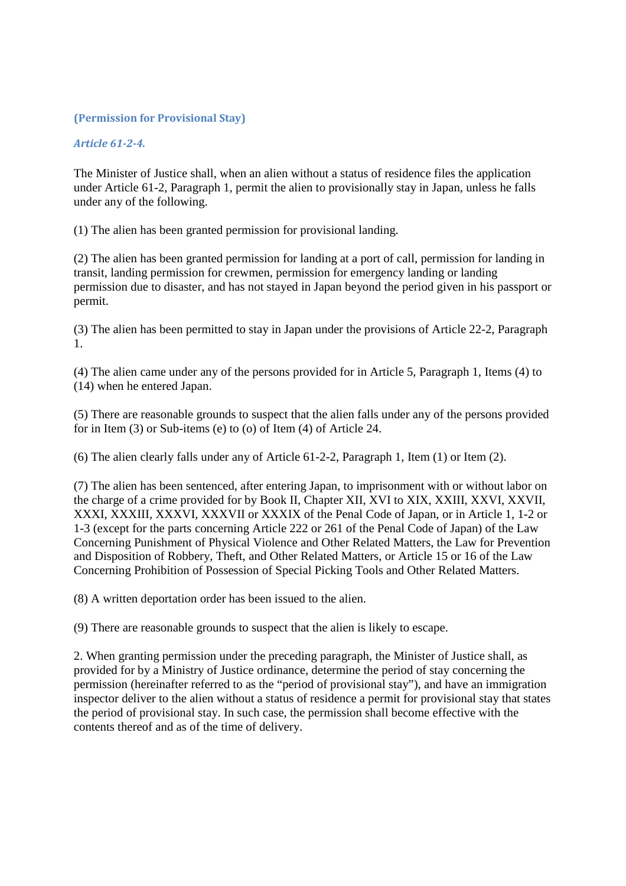## **(Permission for Provisional Stay)**

### *Article 61-2-4.*

The Minister of Justice shall, when an alien without a status of residence files the application under Article 61-2, Paragraph 1, permit the alien to provisionally stay in Japan, unless he falls under any of the following.

(1) The alien has been granted permission for provisional landing.

(2) The alien has been granted permission for landing at a port of call, permission for landing in transit, landing permission for crewmen, permission for emergency landing or landing permission due to disaster, and has not stayed in Japan beyond the period given in his passport or permit.

(3) The alien has been permitted to stay in Japan under the provisions of Article 22-2, Paragraph 1.

(4) The alien came under any of the persons provided for in Article 5, Paragraph 1, Items (4) to (14) when he entered Japan.

(5) There are reasonable grounds to suspect that the alien falls under any of the persons provided for in Item (3) or Sub-items (e) to (o) of Item (4) of Article 24.

(6) The alien clearly falls under any of Article 61-2-2, Paragraph 1, Item (1) or Item (2).

(7) The alien has been sentenced, after entering Japan, to imprisonment with or without labor on the charge of a crime provided for by Book II, Chapter XII, XVI to XIX, XXIII, XXVI, XXVII, XXXI, XXXIII, XXXVI, XXXVII or XXXIX of the Penal Code of Japan, or in Article 1, 1-2 or 1-3 (except for the parts concerning Article 222 or 261 of the Penal Code of Japan) of the Law Concerning Punishment of Physical Violence and Other Related Matters, the Law for Prevention and Disposition of Robbery, Theft, and Other Related Matters, or Article 15 or 16 of the Law Concerning Prohibition of Possession of Special Picking Tools and Other Related Matters.

(8) A written deportation order has been issued to the alien.

(9) There are reasonable grounds to suspect that the alien is likely to escape.

2. When granting permission under the preceding paragraph, the Minister of Justice shall, as provided for by a Ministry of Justice ordinance, determine the period of stay concerning the permission (hereinafter referred to as the "period of provisional stay"), and have an immigration inspector deliver to the alien without a status of residence a permit for provisional stay that states the period of provisional stay. In such case, the permission shall become effective with the contents thereof and as of the time of delivery.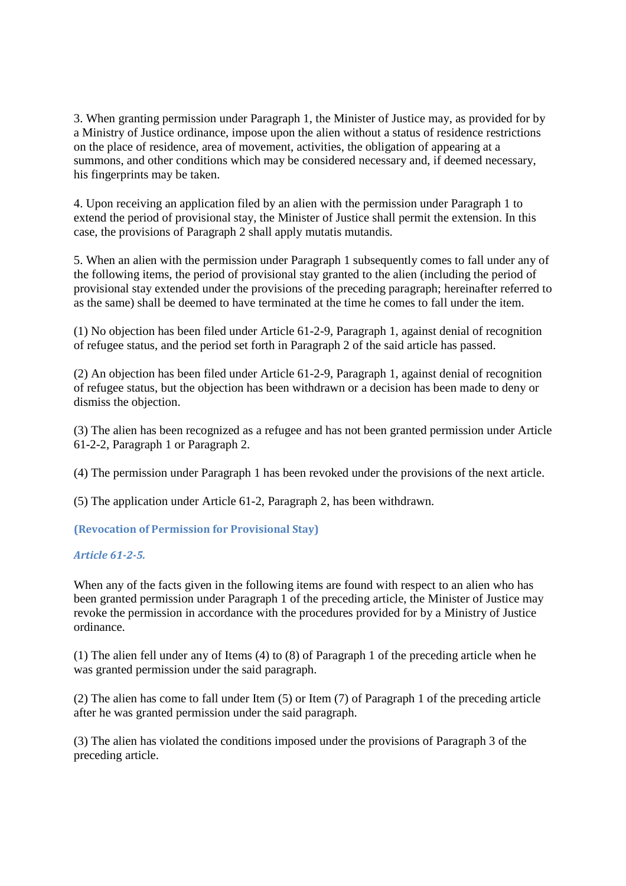3. When granting permission under Paragraph 1, the Minister of Justice may, as provided for by a Ministry of Justice ordinance, impose upon the alien without a status of residence restrictions on the place of residence, area of movement, activities, the obligation of appearing at a summons, and other conditions which may be considered necessary and, if deemed necessary, his fingerprints may be taken.

4. Upon receiving an application filed by an alien with the permission under Paragraph 1 to extend the period of provisional stay, the Minister of Justice shall permit the extension. In this case, the provisions of Paragraph 2 shall apply mutatis mutandis.

5. When an alien with the permission under Paragraph 1 subsequently comes to fall under any of the following items, the period of provisional stay granted to the alien (including the period of provisional stay extended under the provisions of the preceding paragraph; hereinafter referred to as the same) shall be deemed to have terminated at the time he comes to fall under the item.

(1) No objection has been filed under Article 61-2-9, Paragraph 1, against denial of recognition of refugee status, and the period set forth in Paragraph 2 of the said article has passed.

(2) An objection has been filed under Article 61-2-9, Paragraph 1, against denial of recognition of refugee status, but the objection has been withdrawn or a decision has been made to deny or dismiss the objection.

(3) The alien has been recognized as a refugee and has not been granted permission under Article 61-2-2, Paragraph 1 or Paragraph 2.

(4) The permission under Paragraph 1 has been revoked under the provisions of the next article.

(5) The application under Article 61-2, Paragraph 2, has been withdrawn.

**(Revocation of Permission for Provisional Stay)** 

*Article 61-2-5.* 

When any of the facts given in the following items are found with respect to an alien who has been granted permission under Paragraph 1 of the preceding article, the Minister of Justice may revoke the permission in accordance with the procedures provided for by a Ministry of Justice ordinance.

(1) The alien fell under any of Items (4) to (8) of Paragraph 1 of the preceding article when he was granted permission under the said paragraph.

(2) The alien has come to fall under Item (5) or Item (7) of Paragraph 1 of the preceding article after he was granted permission under the said paragraph.

(3) The alien has violated the conditions imposed under the provisions of Paragraph 3 of the preceding article.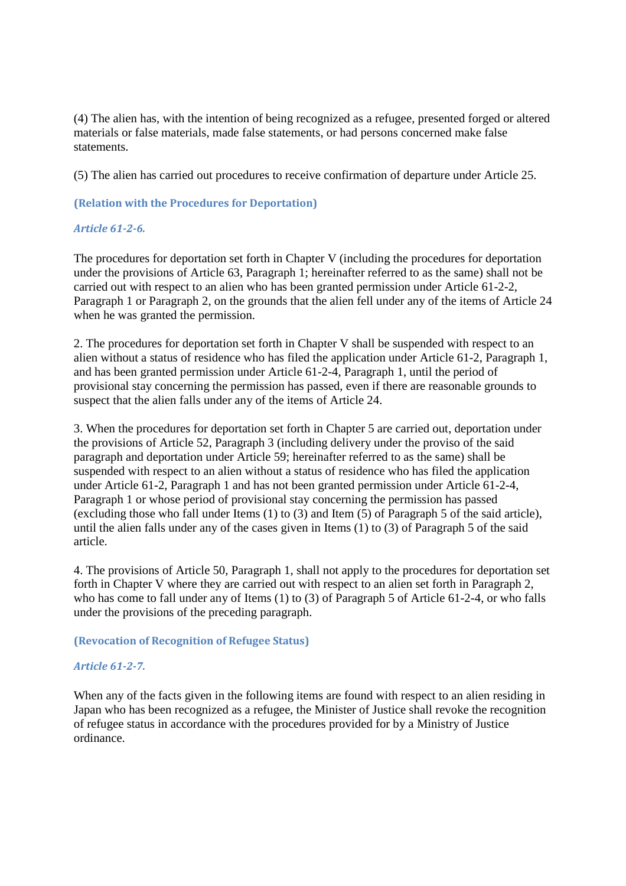(4) The alien has, with the intention of being recognized as a refugee, presented forged or altered materials or false materials, made false statements, or had persons concerned make false statements.

(5) The alien has carried out procedures to receive confirmation of departure under Article 25.

### **(Relation with the Procedures for Deportation)**

## *Article 61-2-6.*

The procedures for deportation set forth in Chapter V (including the procedures for deportation under the provisions of Article 63, Paragraph 1; hereinafter referred to as the same) shall not be carried out with respect to an alien who has been granted permission under Article 61-2-2, Paragraph 1 or Paragraph 2, on the grounds that the alien fell under any of the items of Article 24 when he was granted the permission.

2. The procedures for deportation set forth in Chapter V shall be suspended with respect to an alien without a status of residence who has filed the application under Article 61-2, Paragraph 1, and has been granted permission under Article 61-2-4, Paragraph 1, until the period of provisional stay concerning the permission has passed, even if there are reasonable grounds to suspect that the alien falls under any of the items of Article 24.

3. When the procedures for deportation set forth in Chapter 5 are carried out, deportation under the provisions of Article 52, Paragraph 3 (including delivery under the proviso of the said paragraph and deportation under Article 59; hereinafter referred to as the same) shall be suspended with respect to an alien without a status of residence who has filed the application under Article 61-2, Paragraph 1 and has not been granted permission under Article 61-2-4, Paragraph 1 or whose period of provisional stay concerning the permission has passed (excluding those who fall under Items (1) to (3) and Item (5) of Paragraph 5 of the said article), until the alien falls under any of the cases given in Items (1) to (3) of Paragraph 5 of the said article.

4. The provisions of Article 50, Paragraph 1, shall not apply to the procedures for deportation set forth in Chapter V where they are carried out with respect to an alien set forth in Paragraph 2, who has come to fall under any of Items (1) to (3) of Paragraph 5 of Article 61-2-4, or who falls under the provisions of the preceding paragraph.

#### **(Revocation of Recognition of Refugee Status)**

## *Article 61-2-7.*

When any of the facts given in the following items are found with respect to an alien residing in Japan who has been recognized as a refugee, the Minister of Justice shall revoke the recognition of refugee status in accordance with the procedures provided for by a Ministry of Justice ordinance.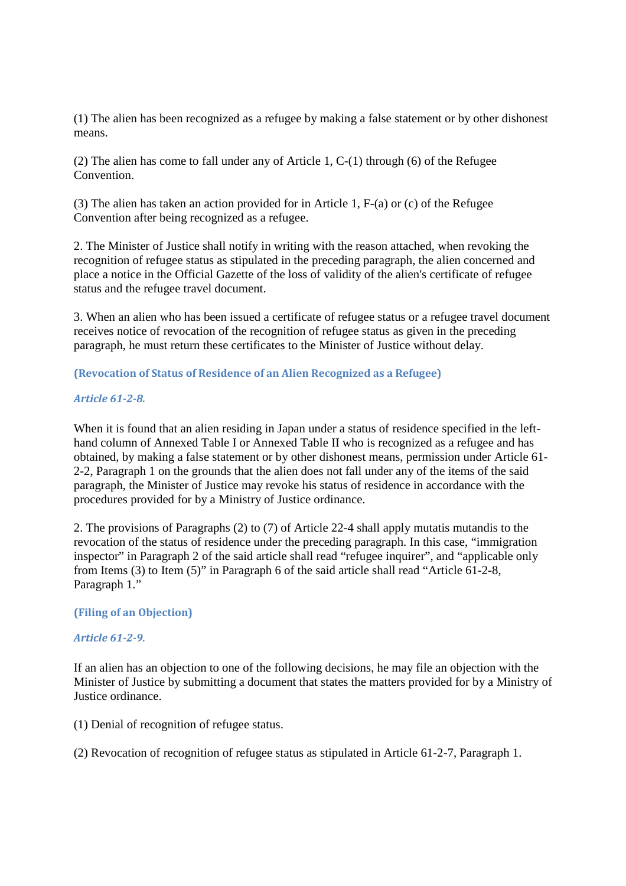(1) The alien has been recognized as a refugee by making a false statement or by other dishonest means.

(2) The alien has come to fall under any of Article 1, C-(1) through (6) of the Refugee Convention.

(3) The alien has taken an action provided for in Article 1, F-(a) or (c) of the Refugee Convention after being recognized as a refugee.

2. The Minister of Justice shall notify in writing with the reason attached, when revoking the recognition of refugee status as stipulated in the preceding paragraph, the alien concerned and place a notice in the Official Gazette of the loss of validity of the alien's certificate of refugee status and the refugee travel document.

3. When an alien who has been issued a certificate of refugee status or a refugee travel document receives notice of revocation of the recognition of refugee status as given in the preceding paragraph, he must return these certificates to the Minister of Justice without delay.

**(Revocation of Status of Residence of an Alien Recognized as a Refugee)** 

### *Article 61-2-8.*

When it is found that an alien residing in Japan under a status of residence specified in the lefthand column of Annexed Table I or Annexed Table II who is recognized as a refugee and has obtained, by making a false statement or by other dishonest means, permission under Article 61- 2-2, Paragraph 1 on the grounds that the alien does not fall under any of the items of the said paragraph, the Minister of Justice may revoke his status of residence in accordance with the procedures provided for by a Ministry of Justice ordinance.

2. The provisions of Paragraphs (2) to (7) of Article 22-4 shall apply mutatis mutandis to the revocation of the status of residence under the preceding paragraph. In this case, "immigration inspector" in Paragraph 2 of the said article shall read "refugee inquirer", and "applicable only from Items (3) to Item (5)" in Paragraph 6 of the said article shall read "Article 61-2-8, Paragraph 1."

#### **(Filing of an Objection)**

#### *Article 61-2-9.*

If an alien has an objection to one of the following decisions, he may file an objection with the Minister of Justice by submitting a document that states the matters provided for by a Ministry of Justice ordinance.

(1) Denial of recognition of refugee status.

(2) Revocation of recognition of refugee status as stipulated in Article 61-2-7, Paragraph 1.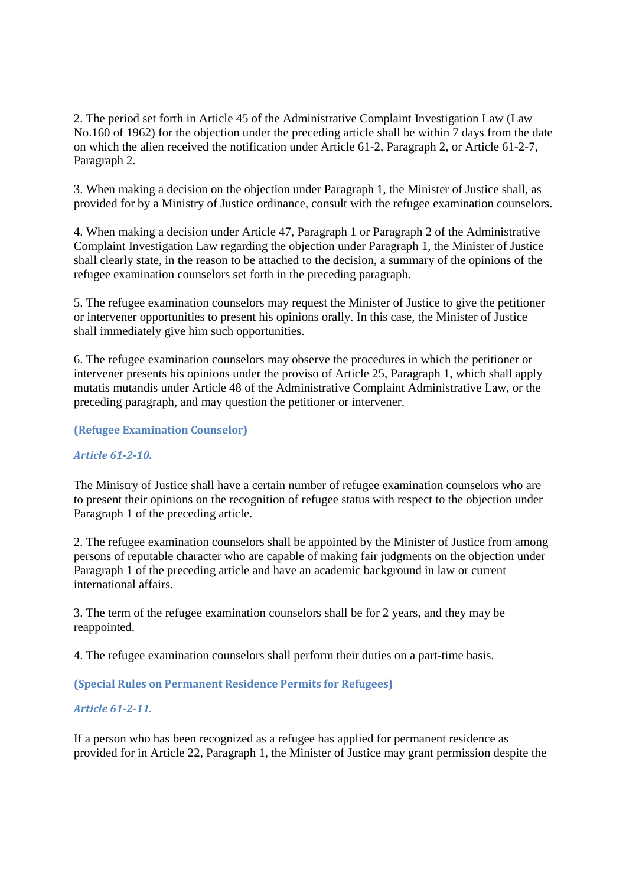2. The period set forth in Article 45 of the Administrative Complaint Investigation Law (Law No.160 of 1962) for the objection under the preceding article shall be within 7 days from the date on which the alien received the notification under Article 61-2, Paragraph 2, or Article 61-2-7, Paragraph 2.

3. When making a decision on the objection under Paragraph 1, the Minister of Justice shall, as provided for by a Ministry of Justice ordinance, consult with the refugee examination counselors.

4. When making a decision under Article 47, Paragraph 1 or Paragraph 2 of the Administrative Complaint Investigation Law regarding the objection under Paragraph 1, the Minister of Justice shall clearly state, in the reason to be attached to the decision, a summary of the opinions of the refugee examination counselors set forth in the preceding paragraph.

5. The refugee examination counselors may request the Minister of Justice to give the petitioner or intervener opportunities to present his opinions orally. In this case, the Minister of Justice shall immediately give him such opportunities.

6. The refugee examination counselors may observe the procedures in which the petitioner or intervener presents his opinions under the proviso of Article 25, Paragraph 1, which shall apply mutatis mutandis under Article 48 of the Administrative Complaint Administrative Law, or the preceding paragraph, and may question the petitioner or intervener.

**(Refugee Examination Counselor)** 

## *Article 61-2-10.*

The Ministry of Justice shall have a certain number of refugee examination counselors who are to present their opinions on the recognition of refugee status with respect to the objection under Paragraph 1 of the preceding article.

2. The refugee examination counselors shall be appointed by the Minister of Justice from among persons of reputable character who are capable of making fair judgments on the objection under Paragraph 1 of the preceding article and have an academic background in law or current international affairs.

3. The term of the refugee examination counselors shall be for 2 years, and they may be reappointed.

4. The refugee examination counselors shall perform their duties on a part-time basis.

**(Special Rules on Permanent Residence Permits for Refugees)** 

## *Article 61-2-11.*

If a person who has been recognized as a refugee has applied for permanent residence as provided for in Article 22, Paragraph 1, the Minister of Justice may grant permission despite the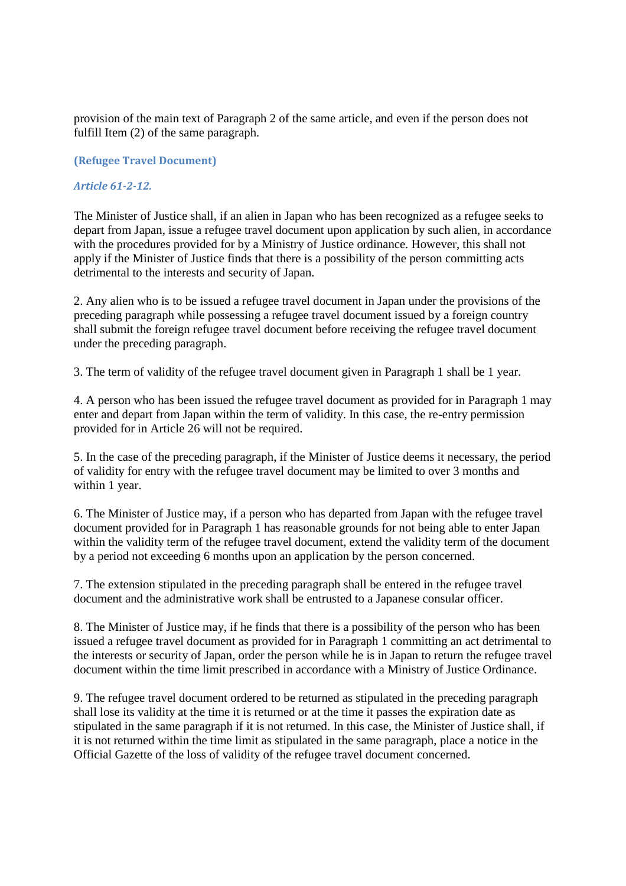provision of the main text of Paragraph 2 of the same article, and even if the person does not fulfill Item (2) of the same paragraph.

#### **(Refugee Travel Document)**

#### *Article 61-2-12.*

The Minister of Justice shall, if an alien in Japan who has been recognized as a refugee seeks to depart from Japan, issue a refugee travel document upon application by such alien, in accordance with the procedures provided for by a Ministry of Justice ordinance. However, this shall not apply if the Minister of Justice finds that there is a possibility of the person committing acts detrimental to the interests and security of Japan.

2. Any alien who is to be issued a refugee travel document in Japan under the provisions of the preceding paragraph while possessing a refugee travel document issued by a foreign country shall submit the foreign refugee travel document before receiving the refugee travel document under the preceding paragraph.

3. The term of validity of the refugee travel document given in Paragraph 1 shall be 1 year.

4. A person who has been issued the refugee travel document as provided for in Paragraph 1 may enter and depart from Japan within the term of validity. In this case, the re-entry permission provided for in Article 26 will not be required.

5. In the case of the preceding paragraph, if the Minister of Justice deems it necessary, the period of validity for entry with the refugee travel document may be limited to over 3 months and within 1 year.

6. The Minister of Justice may, if a person who has departed from Japan with the refugee travel document provided for in Paragraph 1 has reasonable grounds for not being able to enter Japan within the validity term of the refugee travel document, extend the validity term of the document by a period not exceeding 6 months upon an application by the person concerned.

7. The extension stipulated in the preceding paragraph shall be entered in the refugee travel document and the administrative work shall be entrusted to a Japanese consular officer.

8. The Minister of Justice may, if he finds that there is a possibility of the person who has been issued a refugee travel document as provided for in Paragraph 1 committing an act detrimental to the interests or security of Japan, order the person while he is in Japan to return the refugee travel document within the time limit prescribed in accordance with a Ministry of Justice Ordinance.

9. The refugee travel document ordered to be returned as stipulated in the preceding paragraph shall lose its validity at the time it is returned or at the time it passes the expiration date as stipulated in the same paragraph if it is not returned. In this case, the Minister of Justice shall, if it is not returned within the time limit as stipulated in the same paragraph, place a notice in the Official Gazette of the loss of validity of the refugee travel document concerned.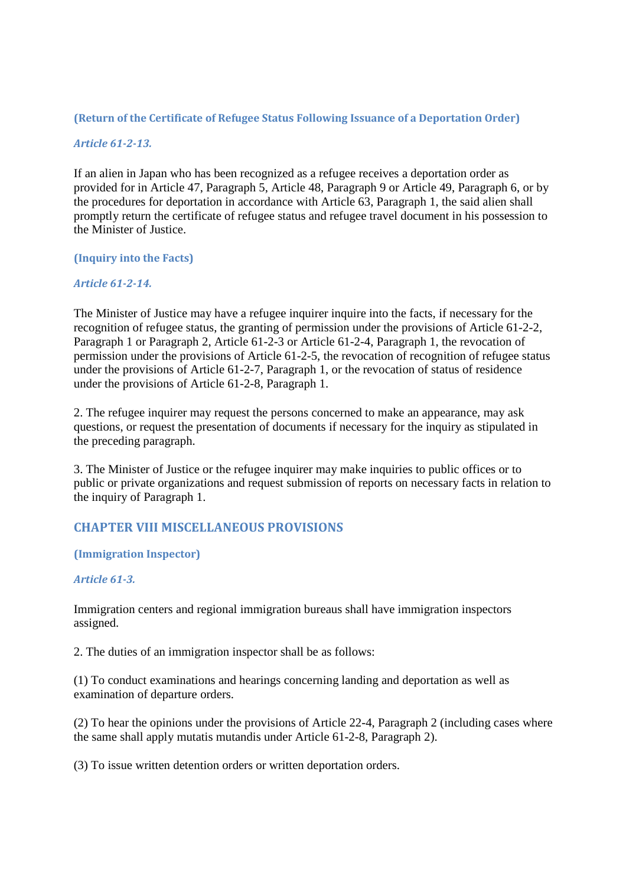## **(Return of the Certificate of Refugee Status Following Issuance of a Deportation Order)**

## *Article 61-2-13.*

If an alien in Japan who has been recognized as a refugee receives a deportation order as provided for in Article 47, Paragraph 5, Article 48, Paragraph 9 or Article 49, Paragraph 6, or by the procedures for deportation in accordance with Article 63, Paragraph 1, the said alien shall promptly return the certificate of refugee status and refugee travel document in his possession to the Minister of Justice.

#### **(Inquiry into the Facts)**

### *Article 61-2-14.*

The Minister of Justice may have a refugee inquirer inquire into the facts, if necessary for the recognition of refugee status, the granting of permission under the provisions of Article 61-2-2, Paragraph 1 or Paragraph 2, Article 61-2-3 or Article 61-2-4, Paragraph 1, the revocation of permission under the provisions of Article 61-2-5, the revocation of recognition of refugee status under the provisions of Article 61-2-7, Paragraph 1, or the revocation of status of residence under the provisions of Article 61-2-8, Paragraph 1.

2. The refugee inquirer may request the persons concerned to make an appearance, may ask questions, or request the presentation of documents if necessary for the inquiry as stipulated in the preceding paragraph.

3. The Minister of Justice or the refugee inquirer may make inquiries to public offices or to public or private organizations and request submission of reports on necessary facts in relation to the inquiry of Paragraph 1.

# **CHAPTER VIII MISCELLANEOUS PROVISIONS**

## **(Immigration Inspector)**

## *Article 61-3.*

Immigration centers and regional immigration bureaus shall have immigration inspectors assigned.

2. The duties of an immigration inspector shall be as follows:

(1) To conduct examinations and hearings concerning landing and deportation as well as examination of departure orders.

(2) To hear the opinions under the provisions of Article 22-4, Paragraph 2 (including cases where the same shall apply mutatis mutandis under Article 61-2-8, Paragraph 2).

(3) To issue written detention orders or written deportation orders.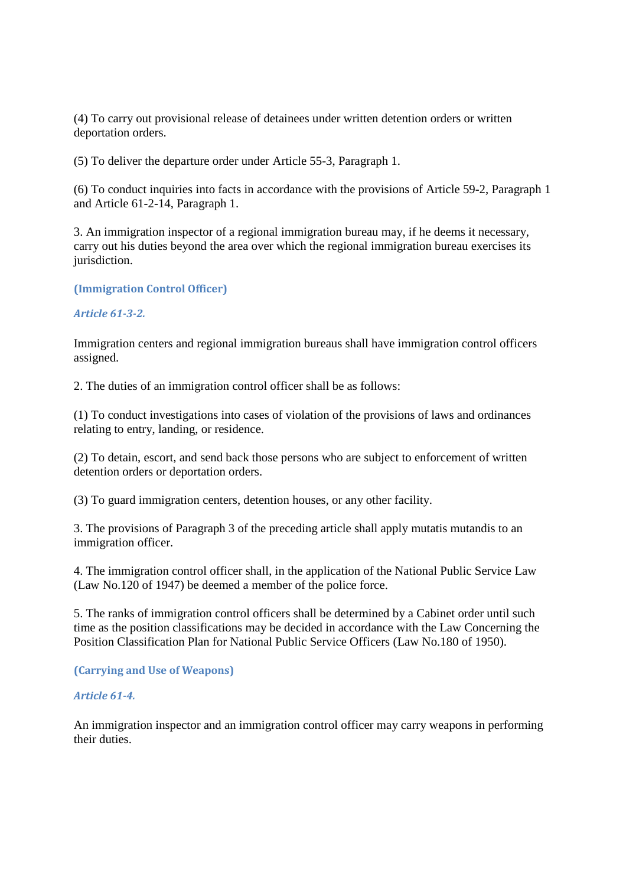(4) To carry out provisional release of detainees under written detention orders or written deportation orders.

(5) To deliver the departure order under Article 55-3, Paragraph 1.

(6) To conduct inquiries into facts in accordance with the provisions of Article 59-2, Paragraph 1 and Article 61-2-14, Paragraph 1.

3. An immigration inspector of a regional immigration bureau may, if he deems it necessary, carry out his duties beyond the area over which the regional immigration bureau exercises its jurisdiction.

**(Immigration Control Officer)** 

#### *Article 61-3-2.*

Immigration centers and regional immigration bureaus shall have immigration control officers assigned.

2. The duties of an immigration control officer shall be as follows:

(1) To conduct investigations into cases of violation of the provisions of laws and ordinances relating to entry, landing, or residence.

(2) To detain, escort, and send back those persons who are subject to enforcement of written detention orders or deportation orders.

(3) To guard immigration centers, detention houses, or any other facility.

3. The provisions of Paragraph 3 of the preceding article shall apply mutatis mutandis to an immigration officer.

4. The immigration control officer shall, in the application of the National Public Service Law (Law No.120 of 1947) be deemed a member of the police force.

5. The ranks of immigration control officers shall be determined by a Cabinet order until such time as the position classifications may be decided in accordance with the Law Concerning the Position Classification Plan for National Public Service Officers (Law No.180 of 1950).

#### **(Carrying and Use of Weapons)**

#### *Article 61-4.*

An immigration inspector and an immigration control officer may carry weapons in performing their duties.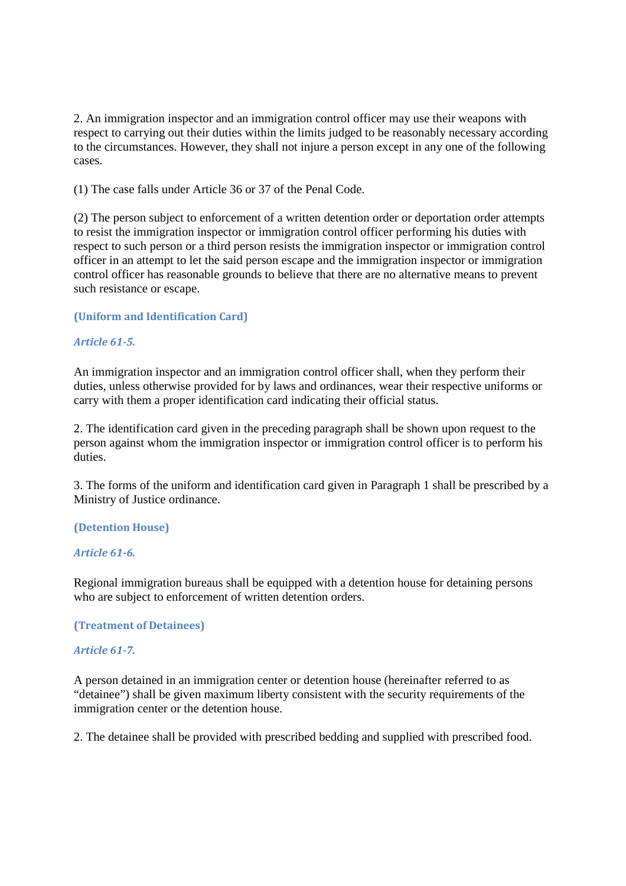2. An immigration inspector and an immigration control officer may use their weapons with respect to carrying out their duties within the limits judged to be reasonably necessary according to the circumstances. However, they shall not injure a person except in any one of the following cases.

(1) The case falls under Article 36 or 37 of the Penal Code.

(2) The person subject to enforcement of a written detention order or deportation order attempts to resist the immigration inspector or immigration control officer performing his duties with respect to such person or a third person resists the immigration inspector or immigration control officer in an attempt to let the said person escape and the immigration inspector or immigration control officer has reasonable grounds to believe that there are no alternative means to prevent such resistance or escape.

### **(Uniform and Identification Card)**

### *Article 61-5.*

An immigration inspector and an immigration control officer shall, when they perform their duties, unless otherwise provided for by laws and ordinances, wear their respective uniforms or carry with them a proper identification card indicating their official status.

2. The identification card given in the preceding paragraph shall be shown upon request to the person against whom the immigration inspector or immigration control officer is to perform his duties.

3. The forms of the uniform and identification card given in Paragraph 1 shall be prescribed by a Ministry of Justice ordinance.

#### **(Detention House)**

#### *Article 61-6.*

Regional immigration bureaus shall be equipped with a detention house for detaining persons who are subject to enforcement of written detention orders.

#### **(Treatment of Detainees)**

#### *Article 61-7.*

A person detained in an immigration center or detention house (hereinafter referred to as "detainee") shall be given maximum liberty consistent with the security requirements of the immigration center or the detention house.

2. The detainee shall be provided with prescribed bedding and supplied with prescribed food.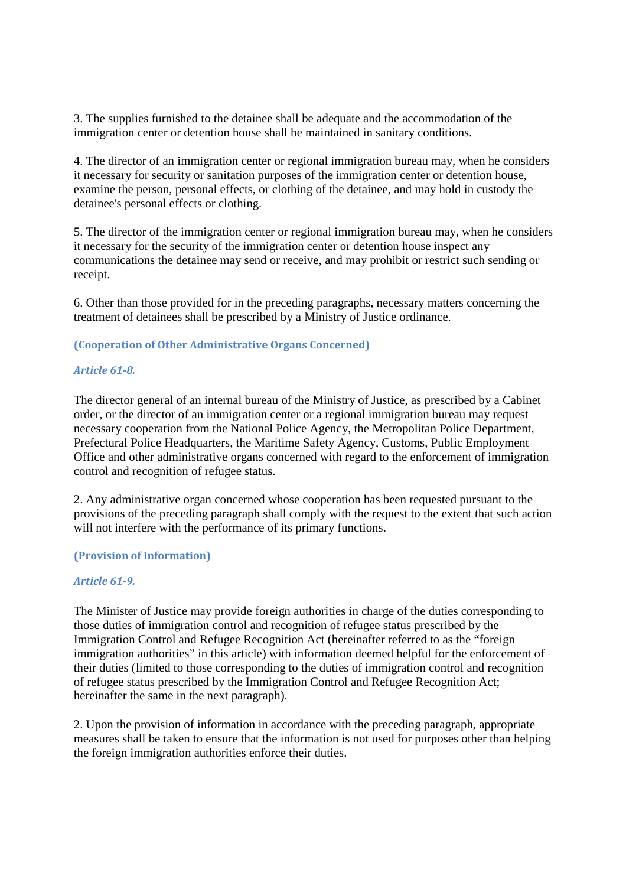3. The supplies furnished to the detainee shall be adequate and the accommodation of the immigration center or detention house shall be maintained in sanitary conditions.

4. The director of an immigration center or regional immigration bureau may, when he considers it necessary for security or sanitation purposes of the immigration center or detention house, examine the person, personal effects, or clothing of the detainee, and may hold in custody the detainee's personal effects or clothing.

5. The director of the immigration center or regional immigration bureau may, when he considers it necessary for the security of the immigration center or detention house inspect any communications the detainee may send or receive, and may prohibit or restrict such sending or receipt.

6. Other than those provided for in the preceding paragraphs, necessary matters concerning the treatment of detainees shall be prescribed by a Ministry of Justice ordinance.

## **(Cooperation of Other Administrative Organs Concerned)**

#### *Article 61-8.*

The director general of an internal bureau of the Ministry of Justice, as prescribed by a Cabinet order, or the director of an immigration center or a regional immigration bureau may request necessary cooperation from the National Police Agency, the Metropolitan Police Department, Prefectural Police Headquarters, the Maritime Safety Agency, Customs, Public Employment Office and other administrative organs concerned with regard to the enforcement of immigration control and recognition of refugee status.

2. Any administrative organ concerned whose cooperation has been requested pursuant to the provisions of the preceding paragraph shall comply with the request to the extent that such action will not interfere with the performance of its primary functions.

#### **(Provision of Information)**

#### *Article 61-9.*

The Minister of Justice may provide foreign authorities in charge of the duties corresponding to those duties of immigration control and recognition of refugee status prescribed by the Immigration Control and Refugee Recognition Act (hereinafter referred to as the "foreign immigration authorities" in this article) with information deemed helpful for the enforcement of their duties (limited to those corresponding to the duties of immigration control and recognition of refugee status prescribed by the Immigration Control and Refugee Recognition Act; hereinafter the same in the next paragraph).

2. Upon the provision of information in accordance with the preceding paragraph, appropriate measures shall be taken to ensure that the information is not used for purposes other than helping the foreign immigration authorities enforce their duties.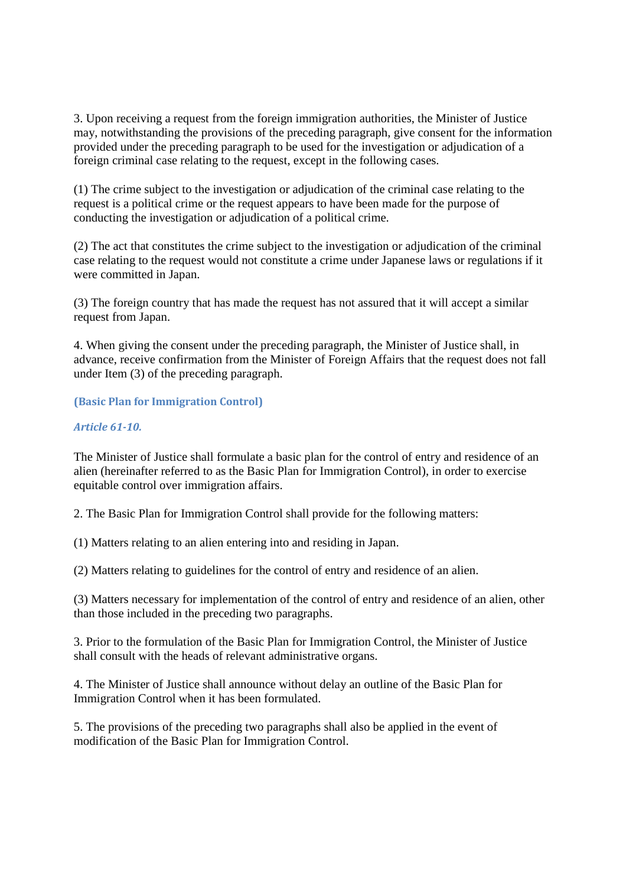3. Upon receiving a request from the foreign immigration authorities, the Minister of Justice may, notwithstanding the provisions of the preceding paragraph, give consent for the information provided under the preceding paragraph to be used for the investigation or adjudication of a foreign criminal case relating to the request, except in the following cases.

(1) The crime subject to the investigation or adjudication of the criminal case relating to the request is a political crime or the request appears to have been made for the purpose of conducting the investigation or adjudication of a political crime.

(2) The act that constitutes the crime subject to the investigation or adjudication of the criminal case relating to the request would not constitute a crime under Japanese laws or regulations if it were committed in Japan.

(3) The foreign country that has made the request has not assured that it will accept a similar request from Japan.

4. When giving the consent under the preceding paragraph, the Minister of Justice shall, in advance, receive confirmation from the Minister of Foreign Affairs that the request does not fall under Item (3) of the preceding paragraph.

## **(Basic Plan for Immigration Control)**

#### *Article 61-10.*

The Minister of Justice shall formulate a basic plan for the control of entry and residence of an alien (hereinafter referred to as the Basic Plan for Immigration Control), in order to exercise equitable control over immigration affairs.

2. The Basic Plan for Immigration Control shall provide for the following matters:

(1) Matters relating to an alien entering into and residing in Japan.

(2) Matters relating to guidelines for the control of entry and residence of an alien.

(3) Matters necessary for implementation of the control of entry and residence of an alien, other than those included in the preceding two paragraphs.

3. Prior to the formulation of the Basic Plan for Immigration Control, the Minister of Justice shall consult with the heads of relevant administrative organs.

4. The Minister of Justice shall announce without delay an outline of the Basic Plan for Immigration Control when it has been formulated.

5. The provisions of the preceding two paragraphs shall also be applied in the event of modification of the Basic Plan for Immigration Control.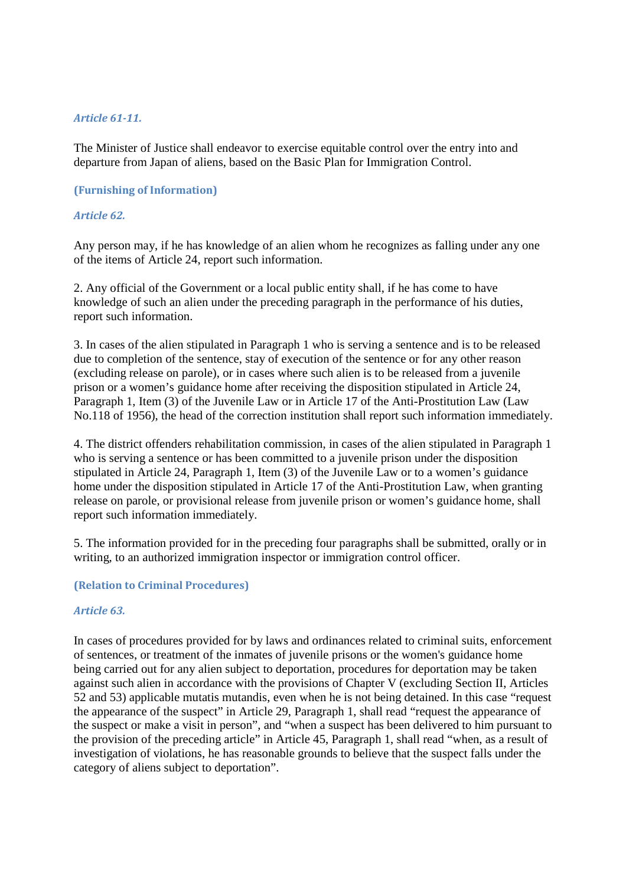#### *Article 61-11.*

The Minister of Justice shall endeavor to exercise equitable control over the entry into and departure from Japan of aliens, based on the Basic Plan for Immigration Control.

### **(Furnishing of Information)**

### *Article 62.*

Any person may, if he has knowledge of an alien whom he recognizes as falling under any one of the items of Article 24, report such information.

2. Any official of the Government or a local public entity shall, if he has come to have knowledge of such an alien under the preceding paragraph in the performance of his duties, report such information.

3. In cases of the alien stipulated in Paragraph 1 who is serving a sentence and is to be released due to completion of the sentence, stay of execution of the sentence or for any other reason (excluding release on parole), or in cases where such alien is to be released from a juvenile prison or a women's guidance home after receiving the disposition stipulated in Article 24, Paragraph 1, Item (3) of the Juvenile Law or in Article 17 of the Anti-Prostitution Law (Law No.118 of 1956), the head of the correction institution shall report such information immediately.

4. The district offenders rehabilitation commission, in cases of the alien stipulated in Paragraph 1 who is serving a sentence or has been committed to a juvenile prison under the disposition stipulated in Article 24, Paragraph 1, Item (3) of the Juvenile Law or to a women's guidance home under the disposition stipulated in Article 17 of the Anti-Prostitution Law, when granting release on parole, or provisional release from juvenile prison or women's guidance home, shall report such information immediately.

5. The information provided for in the preceding four paragraphs shall be submitted, orally or in writing, to an authorized immigration inspector or immigration control officer.

#### **(Relation to Criminal Procedures)**

#### *Article 63.*

In cases of procedures provided for by laws and ordinances related to criminal suits, enforcement of sentences, or treatment of the inmates of juvenile prisons or the women's guidance home being carried out for any alien subject to deportation, procedures for deportation may be taken against such alien in accordance with the provisions of Chapter V (excluding Section II, Articles 52 and 53) applicable mutatis mutandis, even when he is not being detained. In this case "request the appearance of the suspect" in Article 29, Paragraph 1, shall read "request the appearance of the suspect or make a visit in person", and "when a suspect has been delivered to him pursuant to the provision of the preceding article" in Article 45, Paragraph 1, shall read "when, as a result of investigation of violations, he has reasonable grounds to believe that the suspect falls under the category of aliens subject to deportation".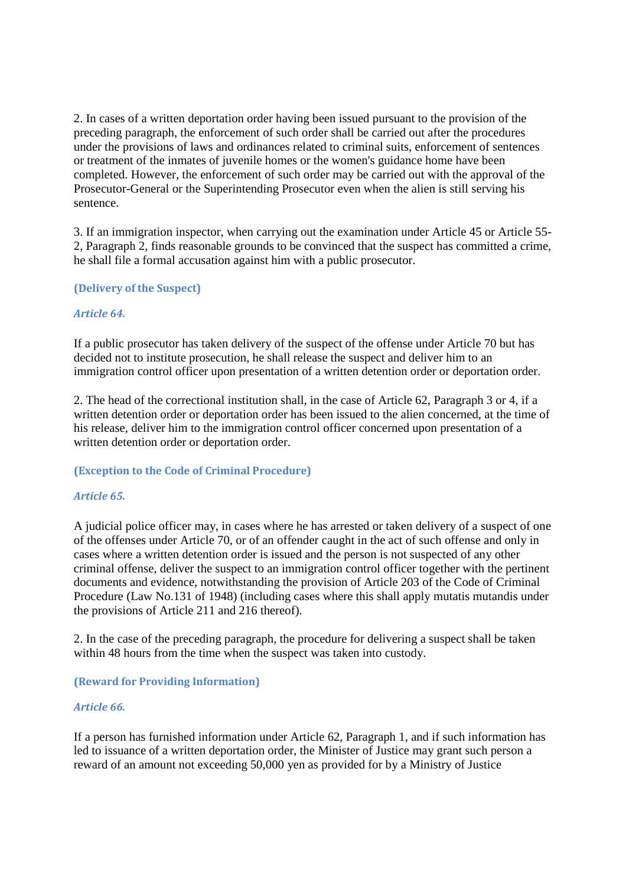2. In cases of a written deportation order having been issued pursuant to the provision of the preceding paragraph, the enforcement of such order shall be carried out after the procedures under the provisions of laws and ordinances related to criminal suits, enforcement of sentences or treatment of the inmates of juvenile homes or the women's guidance home have been completed. However, the enforcement of such order may be carried out with the approval of the Prosecutor-General or the Superintending Prosecutor even when the alien is still serving his sentence.

3. If an immigration inspector, when carrying out the examination under Article 45 or Article 55- 2, Paragraph 2, finds reasonable grounds to be convinced that the suspect has committed a crime, he shall file a formal accusation against him with a public prosecutor.

## **(Delivery of the Suspect)**

### *Article 64.*

If a public prosecutor has taken delivery of the suspect of the offense under Article 70 but has decided not to institute prosecution, he shall release the suspect and deliver him to an immigration control officer upon presentation of a written detention order or deportation order.

2. The head of the correctional institution shall, in the case of Article 62, Paragraph 3 or 4, if a written detention order or deportation order has been issued to the alien concerned, at the time of his release, deliver him to the immigration control officer concerned upon presentation of a written detention order or deportation order.

#### **(Exception to the Code of Criminal Procedure)**

## *Article 65.*

A judicial police officer may, in cases where he has arrested or taken delivery of a suspect of one of the offenses under Article 70, or of an offender caught in the act of such offense and only in cases where a written detention order is issued and the person is not suspected of any other criminal offense, deliver the suspect to an immigration control officer together with the pertinent documents and evidence, notwithstanding the provision of Article 203 of the Code of Criminal Procedure (Law No.131 of 1948) (including cases where this shall apply mutatis mutandis under the provisions of Article 211 and 216 thereof).

2. In the case of the preceding paragraph, the procedure for delivering a suspect shall be taken within 48 hours from the time when the suspect was taken into custody.

#### **(Reward for Providing Information)**

#### *Article 66.*

If a person has furnished information under Article 62, Paragraph 1, and if such information has led to issuance of a written deportation order, the Minister of Justice may grant such person a reward of an amount not exceeding 50,000 yen as provided for by a Ministry of Justice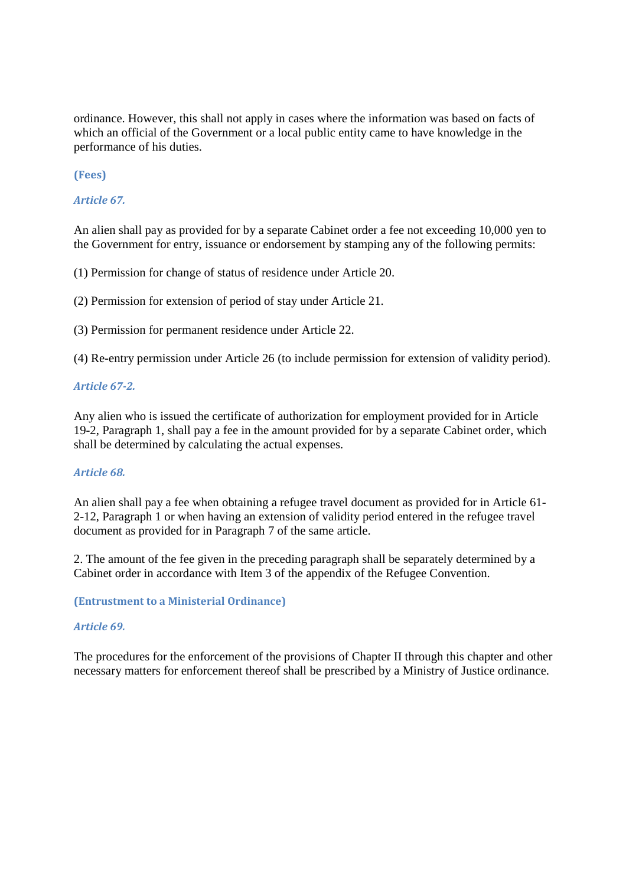ordinance. However, this shall not apply in cases where the information was based on facts of which an official of the Government or a local public entity came to have knowledge in the performance of his duties.

**(Fees)** 

*Article 67.* 

An alien shall pay as provided for by a separate Cabinet order a fee not exceeding 10,000 yen to the Government for entry, issuance or endorsement by stamping any of the following permits:

(1) Permission for change of status of residence under Article 20.

(2) Permission for extension of period of stay under Article 21.

(3) Permission for permanent residence under Article 22.

(4) Re-entry permission under Article 26 (to include permission for extension of validity period).

### *Article 67-2.*

Any alien who is issued the certificate of authorization for employment provided for in Article 19-2, Paragraph 1, shall pay a fee in the amount provided for by a separate Cabinet order, which shall be determined by calculating the actual expenses.

#### *Article 68.*

An alien shall pay a fee when obtaining a refugee travel document as provided for in Article 61- 2-12, Paragraph 1 or when having an extension of validity period entered in the refugee travel document as provided for in Paragraph 7 of the same article.

2. The amount of the fee given in the preceding paragraph shall be separately determined by a Cabinet order in accordance with Item 3 of the appendix of the Refugee Convention.

#### **(Entrustment to a Ministerial Ordinance)**

#### *Article 69.*

The procedures for the enforcement of the provisions of Chapter II through this chapter and other necessary matters for enforcement thereof shall be prescribed by a Ministry of Justice ordinance.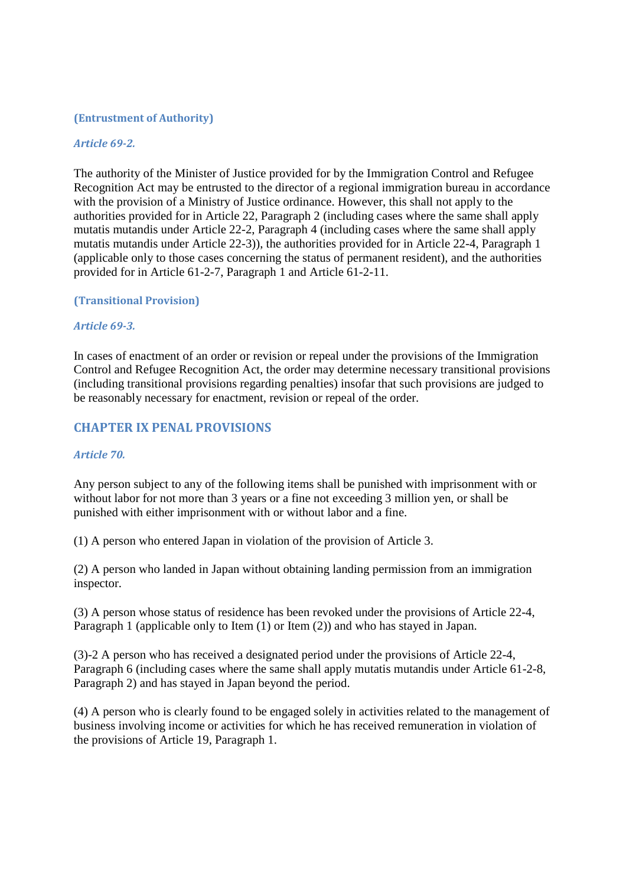#### **(Entrustment of Authority)**

#### *Article 69-2.*

The authority of the Minister of Justice provided for by the Immigration Control and Refugee Recognition Act may be entrusted to the director of a regional immigration bureau in accordance with the provision of a Ministry of Justice ordinance. However, this shall not apply to the authorities provided for in Article 22, Paragraph 2 (including cases where the same shall apply mutatis mutandis under Article 22-2, Paragraph 4 (including cases where the same shall apply mutatis mutandis under Article 22-3)), the authorities provided for in Article 22-4, Paragraph 1 (applicable only to those cases concerning the status of permanent resident), and the authorities provided for in Article 61-2-7, Paragraph 1 and Article 61-2-11.

### **(Transitional Provision)**

#### *Article 69-3.*

In cases of enactment of an order or revision or repeal under the provisions of the Immigration Control and Refugee Recognition Act, the order may determine necessary transitional provisions (including transitional provisions regarding penalties) insofar that such provisions are judged to be reasonably necessary for enactment, revision or repeal of the order.

# **CHAPTER IX PENAL PROVISIONS**

#### *Article 70.*

Any person subject to any of the following items shall be punished with imprisonment with or without labor for not more than 3 years or a fine not exceeding 3 million yen, or shall be punished with either imprisonment with or without labor and a fine.

(1) A person who entered Japan in violation of the provision of Article 3.

(2) A person who landed in Japan without obtaining landing permission from an immigration inspector.

(3) A person whose status of residence has been revoked under the provisions of Article 22-4, Paragraph 1 (applicable only to Item (1) or Item (2)) and who has stayed in Japan.

(3)-2 A person who has received a designated period under the provisions of Article 22-4, Paragraph 6 (including cases where the same shall apply mutatis mutandis under Article 61-2-8, Paragraph 2) and has stayed in Japan beyond the period.

(4) A person who is clearly found to be engaged solely in activities related to the management of business involving income or activities for which he has received remuneration in violation of the provisions of Article 19, Paragraph 1.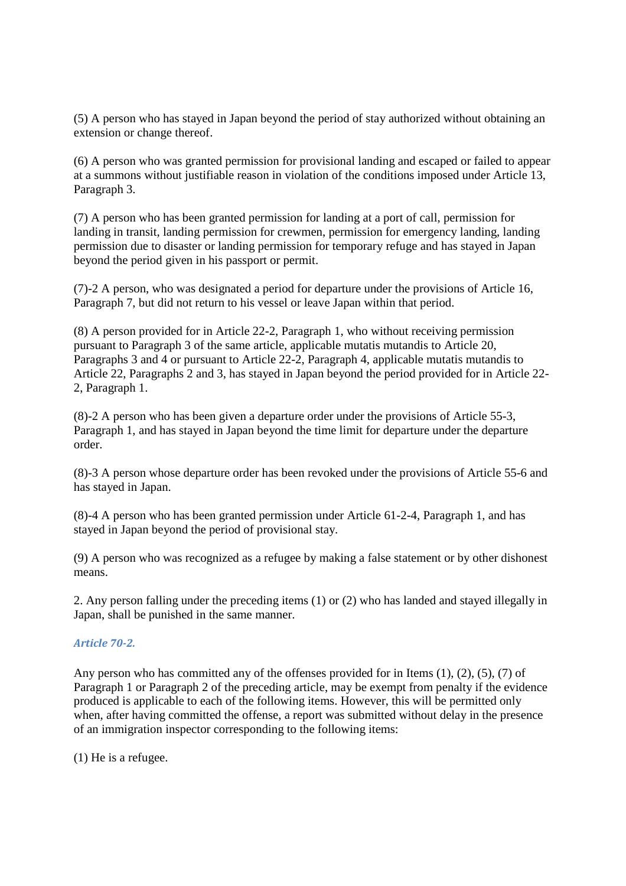(5) A person who has stayed in Japan beyond the period of stay authorized without obtaining an extension or change thereof.

(6) A person who was granted permission for provisional landing and escaped or failed to appear at a summons without justifiable reason in violation of the conditions imposed under Article 13, Paragraph 3.

(7) A person who has been granted permission for landing at a port of call, permission for landing in transit, landing permission for crewmen, permission for emergency landing, landing permission due to disaster or landing permission for temporary refuge and has stayed in Japan beyond the period given in his passport or permit.

(7)-2 A person, who was designated a period for departure under the provisions of Article 16, Paragraph 7, but did not return to his vessel or leave Japan within that period.

(8) A person provided for in Article 22-2, Paragraph 1, who without receiving permission pursuant to Paragraph 3 of the same article, applicable mutatis mutandis to Article 20, Paragraphs 3 and 4 or pursuant to Article 22-2, Paragraph 4, applicable mutatis mutandis to Article 22, Paragraphs 2 and 3, has stayed in Japan beyond the period provided for in Article 22- 2, Paragraph 1.

(8)-2 A person who has been given a departure order under the provisions of Article 55-3, Paragraph 1, and has stayed in Japan beyond the time limit for departure under the departure order.

(8)-3 A person whose departure order has been revoked under the provisions of Article 55-6 and has stayed in Japan.

(8)-4 A person who has been granted permission under Article 61-2-4, Paragraph 1, and has stayed in Japan beyond the period of provisional stay.

(9) A person who was recognized as a refugee by making a false statement or by other dishonest means.

2. Any person falling under the preceding items (1) or (2) who has landed and stayed illegally in Japan, shall be punished in the same manner.

## *Article 70-2.*

Any person who has committed any of the offenses provided for in Items (1), (2), (5), (7) of Paragraph 1 or Paragraph 2 of the preceding article, may be exempt from penalty if the evidence produced is applicable to each of the following items. However, this will be permitted only when, after having committed the offense, a report was submitted without delay in the presence of an immigration inspector corresponding to the following items:

(1) He is a refugee.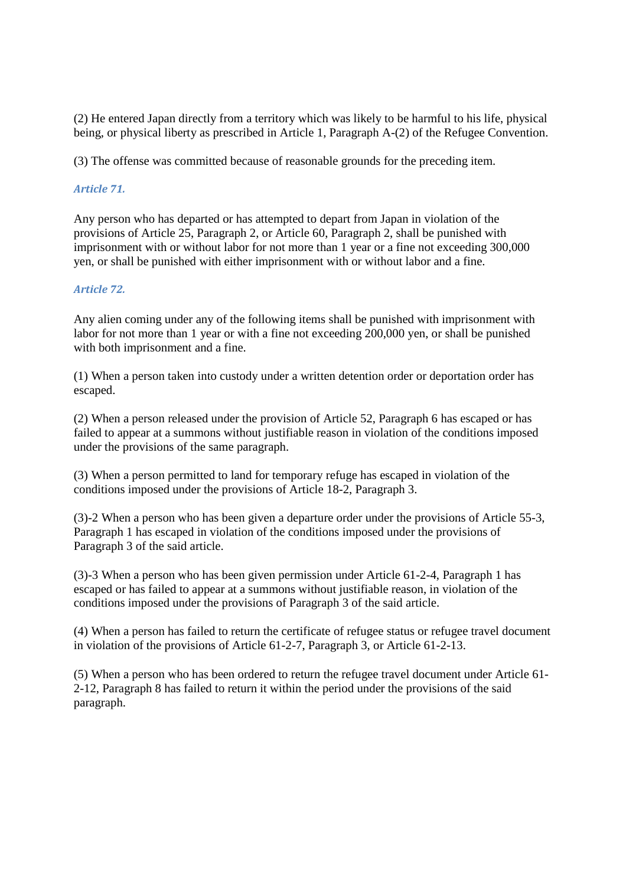(2) He entered Japan directly from a territory which was likely to be harmful to his life, physical being, or physical liberty as prescribed in Article 1, Paragraph A-(2) of the Refugee Convention.

(3) The offense was committed because of reasonable grounds for the preceding item.

## *Article 71.*

Any person who has departed or has attempted to depart from Japan in violation of the provisions of Article 25, Paragraph 2, or Article 60, Paragraph 2, shall be punished with imprisonment with or without labor for not more than 1 year or a fine not exceeding 300,000 yen, or shall be punished with either imprisonment with or without labor and a fine.

### *Article 72.*

Any alien coming under any of the following items shall be punished with imprisonment with labor for not more than 1 year or with a fine not exceeding 200,000 yen, or shall be punished with both imprisonment and a fine.

(1) When a person taken into custody under a written detention order or deportation order has escaped.

(2) When a person released under the provision of Article 52, Paragraph 6 has escaped or has failed to appear at a summons without justifiable reason in violation of the conditions imposed under the provisions of the same paragraph.

(3) When a person permitted to land for temporary refuge has escaped in violation of the conditions imposed under the provisions of Article 18-2, Paragraph 3.

(3)-2 When a person who has been given a departure order under the provisions of Article 55-3, Paragraph 1 has escaped in violation of the conditions imposed under the provisions of Paragraph 3 of the said article.

(3)-3 When a person who has been given permission under Article 61-2-4, Paragraph 1 has escaped or has failed to appear at a summons without justifiable reason, in violation of the conditions imposed under the provisions of Paragraph 3 of the said article.

(4) When a person has failed to return the certificate of refugee status or refugee travel document in violation of the provisions of Article 61-2-7, Paragraph 3, or Article 61-2-13.

(5) When a person who has been ordered to return the refugee travel document under Article 61- 2-12, Paragraph 8 has failed to return it within the period under the provisions of the said paragraph.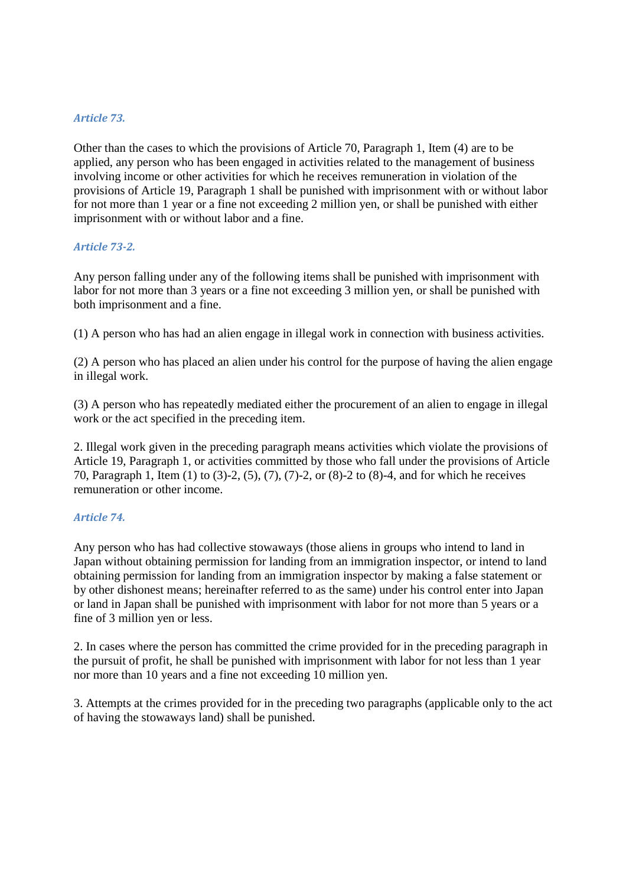### *Article 73.*

Other than the cases to which the provisions of Article 70, Paragraph 1, Item (4) are to be applied, any person who has been engaged in activities related to the management of business involving income or other activities for which he receives remuneration in violation of the provisions of Article 19, Paragraph 1 shall be punished with imprisonment with or without labor for not more than 1 year or a fine not exceeding 2 million yen, or shall be punished with either imprisonment with or without labor and a fine.

#### *Article 73-2.*

Any person falling under any of the following items shall be punished with imprisonment with labor for not more than 3 years or a fine not exceeding 3 million yen, or shall be punished with both imprisonment and a fine.

(1) A person who has had an alien engage in illegal work in connection with business activities.

(2) A person who has placed an alien under his control for the purpose of having the alien engage in illegal work.

(3) A person who has repeatedly mediated either the procurement of an alien to engage in illegal work or the act specified in the preceding item.

2. Illegal work given in the preceding paragraph means activities which violate the provisions of Article 19, Paragraph 1, or activities committed by those who fall under the provisions of Article 70, Paragraph 1, Item (1) to (3)-2, (5), (7), (7)-2, or (8)-2 to (8)-4, and for which he receives remuneration or other income.

## *Article 74.*

Any person who has had collective stowaways (those aliens in groups who intend to land in Japan without obtaining permission for landing from an immigration inspector, or intend to land obtaining permission for landing from an immigration inspector by making a false statement or by other dishonest means; hereinafter referred to as the same) under his control enter into Japan or land in Japan shall be punished with imprisonment with labor for not more than 5 years or a fine of 3 million yen or less.

2. In cases where the person has committed the crime provided for in the preceding paragraph in the pursuit of profit, he shall be punished with imprisonment with labor for not less than 1 year nor more than 10 years and a fine not exceeding 10 million yen.

3. Attempts at the crimes provided for in the preceding two paragraphs (applicable only to the act of having the stowaways land) shall be punished.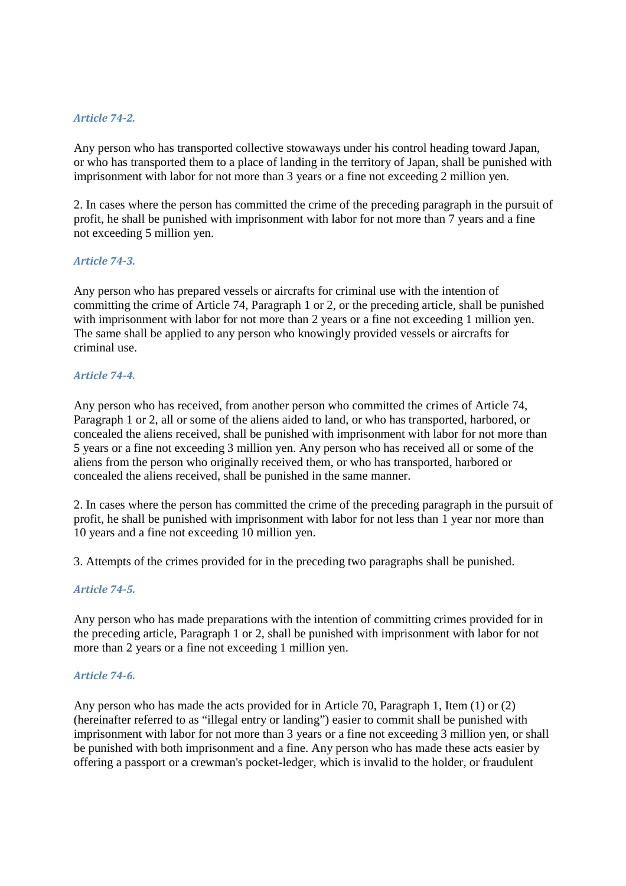## *Article 74-2.*

Any person who has transported collective stowaways under his control heading toward Japan, or who has transported them to a place of landing in the territory of Japan, shall be punished with imprisonment with labor for not more than 3 years or a fine not exceeding 2 million yen.

2. In cases where the person has committed the crime of the preceding paragraph in the pursuit of profit, he shall be punished with imprisonment with labor for not more than 7 years and a fine not exceeding 5 million yen.

#### *Article 74-3.*

Any person who has prepared vessels or aircrafts for criminal use with the intention of committing the crime of Article 74, Paragraph 1 or 2, or the preceding article, shall be punished with imprisonment with labor for not more than 2 years or a fine not exceeding 1 million yen. The same shall be applied to any person who knowingly provided vessels or aircrafts for criminal use.

### *Article 74-4.*

Any person who has received, from another person who committed the crimes of Article 74, Paragraph 1 or 2, all or some of the aliens aided to land, or who has transported, harbored, or concealed the aliens received, shall be punished with imprisonment with labor for not more than 5 years or a fine not exceeding 3 million yen. Any person who has received all or some of the aliens from the person who originally received them, or who has transported, harbored or concealed the aliens received, shall be punished in the same manner.

2. In cases where the person has committed the crime of the preceding paragraph in the pursuit of profit, he shall be punished with imprisonment with labor for not less than 1 year nor more than 10 years and a fine not exceeding 10 million yen.

3. Attempts of the crimes provided for in the preceding two paragraphs shall be punished.

## *Article 74-5.*

Any person who has made preparations with the intention of committing crimes provided for in the preceding article, Paragraph 1 or 2, shall be punished with imprisonment with labor for not more than 2 years or a fine not exceeding 1 million yen.

#### *Article 74-6.*

Any person who has made the acts provided for in Article 70, Paragraph 1, Item (1) or (2) (hereinafter referred to as "illegal entry or landing") easier to commit shall be punished with imprisonment with labor for not more than 3 years or a fine not exceeding 3 million yen, or shall be punished with both imprisonment and a fine. Any person who has made these acts easier by offering a passport or a crewman's pocket-ledger, which is invalid to the holder, or fraudulent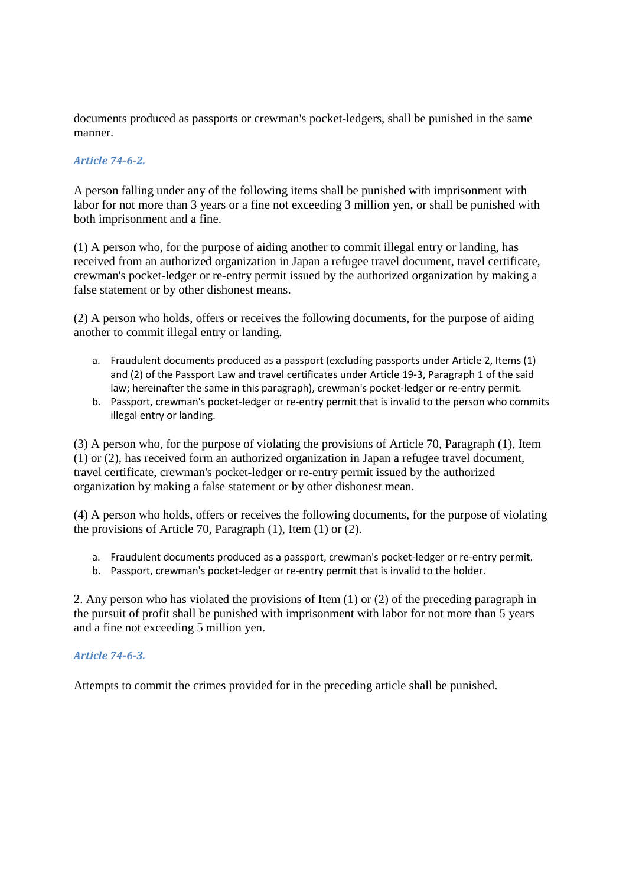documents produced as passports or crewman's pocket-ledgers, shall be punished in the same manner.

## *Article 74-6-2.*

A person falling under any of the following items shall be punished with imprisonment with labor for not more than 3 years or a fine not exceeding 3 million yen, or shall be punished with both imprisonment and a fine.

(1) A person who, for the purpose of aiding another to commit illegal entry or landing, has received from an authorized organization in Japan a refugee travel document, travel certificate, crewman's pocket-ledger or re-entry permit issued by the authorized organization by making a false statement or by other dishonest means.

(2) A person who holds, offers or receives the following documents, for the purpose of aiding another to commit illegal entry or landing.

- a. Fraudulent documents produced as a passport (excluding passports under Article 2, Items (1) and (2) of the Passport Law and travel certificates under Article 19-3, Paragraph 1 of the said law; hereinafter the same in this paragraph), crewman's pocket-ledger or re-entry permit.
- b. Passport, crewman's pocket-ledger or re-entry permit that is invalid to the person who commits illegal entry or landing.

(3) A person who, for the purpose of violating the provisions of Article 70, Paragraph (1), Item (1) or (2), has received form an authorized organization in Japan a refugee travel document, travel certificate, crewman's pocket-ledger or re-entry permit issued by the authorized organization by making a false statement or by other dishonest mean.

(4) A person who holds, offers or receives the following documents, for the purpose of violating the provisions of Article 70, Paragraph (1), Item (1) or (2).

- a. Fraudulent documents produced as a passport, crewman's pocket-ledger or re-entry permit.
- b. Passport, crewman's pocket-ledger or re-entry permit that is invalid to the holder.

2. Any person who has violated the provisions of Item (1) or (2) of the preceding paragraph in the pursuit of profit shall be punished with imprisonment with labor for not more than 5 years and a fine not exceeding 5 million yen.

## *Article 74-6-3.*

Attempts to commit the crimes provided for in the preceding article shall be punished.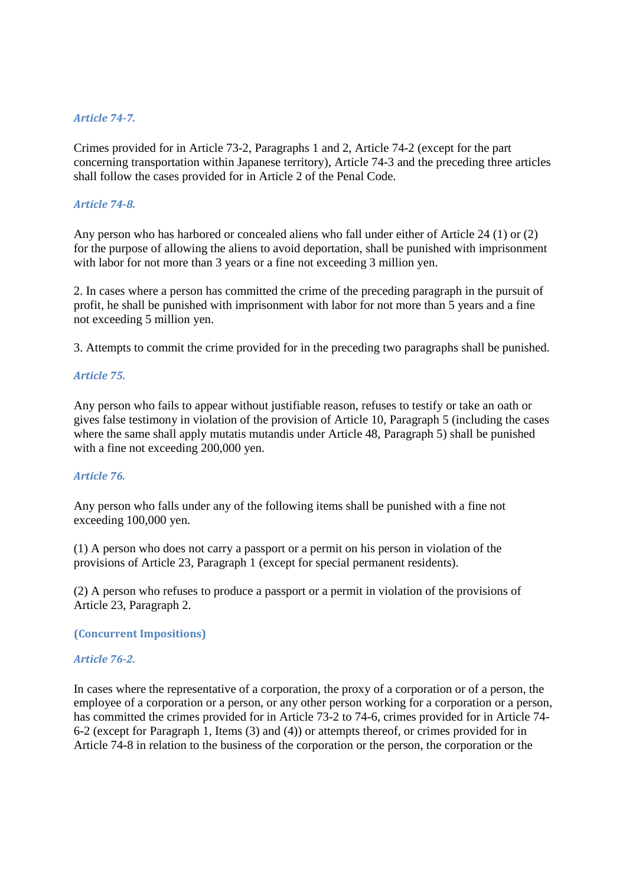#### *Article 74-7.*

Crimes provided for in Article 73-2, Paragraphs 1 and 2, Article 74-2 (except for the part concerning transportation within Japanese territory), Article 74-3 and the preceding three articles shall follow the cases provided for in Article 2 of the Penal Code.

#### *Article 74-8.*

Any person who has harbored or concealed aliens who fall under either of Article 24 (1) or (2) for the purpose of allowing the aliens to avoid deportation, shall be punished with imprisonment with labor for not more than 3 years or a fine not exceeding 3 million yen.

2. In cases where a person has committed the crime of the preceding paragraph in the pursuit of profit, he shall be punished with imprisonment with labor for not more than 5 years and a fine not exceeding 5 million yen.

3. Attempts to commit the crime provided for in the preceding two paragraphs shall be punished.

### *Article 75.*

Any person who fails to appear without justifiable reason, refuses to testify or take an oath or gives false testimony in violation of the provision of Article 10, Paragraph 5 (including the cases where the same shall apply mutatis mutandis under Article 48, Paragraph 5) shall be punished with a fine not exceeding 200,000 yen.

## *Article 76.*

Any person who falls under any of the following items shall be punished with a fine not exceeding 100,000 yen.

(1) A person who does not carry a passport or a permit on his person in violation of the provisions of Article 23, Paragraph 1 (except for special permanent residents).

(2) A person who refuses to produce a passport or a permit in violation of the provisions of Article 23, Paragraph 2.

**(Concurrent Impositions)** 

#### *Article 76-2.*

In cases where the representative of a corporation, the proxy of a corporation or of a person, the employee of a corporation or a person, or any other person working for a corporation or a person, has committed the crimes provided for in Article 73-2 to 74-6, crimes provided for in Article 74- 6-2 (except for Paragraph 1, Items (3) and (4)) or attempts thereof, or crimes provided for in Article 74-8 in relation to the business of the corporation or the person, the corporation or the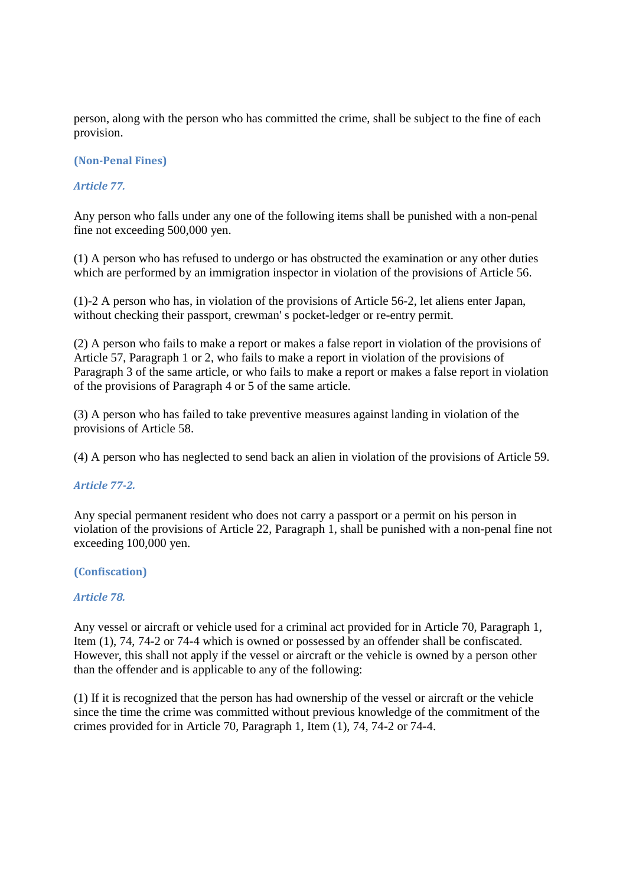person, along with the person who has committed the crime, shall be subject to the fine of each provision.

## **(Non-Penal Fines)**

## *Article 77.*

Any person who falls under any one of the following items shall be punished with a non-penal fine not exceeding 500,000 yen.

(1) A person who has refused to undergo or has obstructed the examination or any other duties which are performed by an immigration inspector in violation of the provisions of Article 56.

(1)-2 A person who has, in violation of the provisions of Article 56-2, let aliens enter Japan, without checking their passport, crewman' s pocket-ledger or re-entry permit.

(2) A person who fails to make a report or makes a false report in violation of the provisions of Article 57, Paragraph 1 or 2, who fails to make a report in violation of the provisions of Paragraph 3 of the same article, or who fails to make a report or makes a false report in violation of the provisions of Paragraph 4 or 5 of the same article.

(3) A person who has failed to take preventive measures against landing in violation of the provisions of Article 58.

(4) A person who has neglected to send back an alien in violation of the provisions of Article 59.

#### *Article 77-2.*

Any special permanent resident who does not carry a passport or a permit on his person in violation of the provisions of Article 22, Paragraph 1, shall be punished with a non-penal fine not exceeding 100,000 yen.

#### **(Confiscation)**

#### *Article 78.*

Any vessel or aircraft or vehicle used for a criminal act provided for in Article 70, Paragraph 1, Item (1), 74, 74-2 or 74-4 which is owned or possessed by an offender shall be confiscated. However, this shall not apply if the vessel or aircraft or the vehicle is owned by a person other than the offender and is applicable to any of the following:

(1) If it is recognized that the person has had ownership of the vessel or aircraft or the vehicle since the time the crime was committed without previous knowledge of the commitment of the crimes provided for in Article 70, Paragraph 1, Item (1), 74, 74-2 or 74-4.